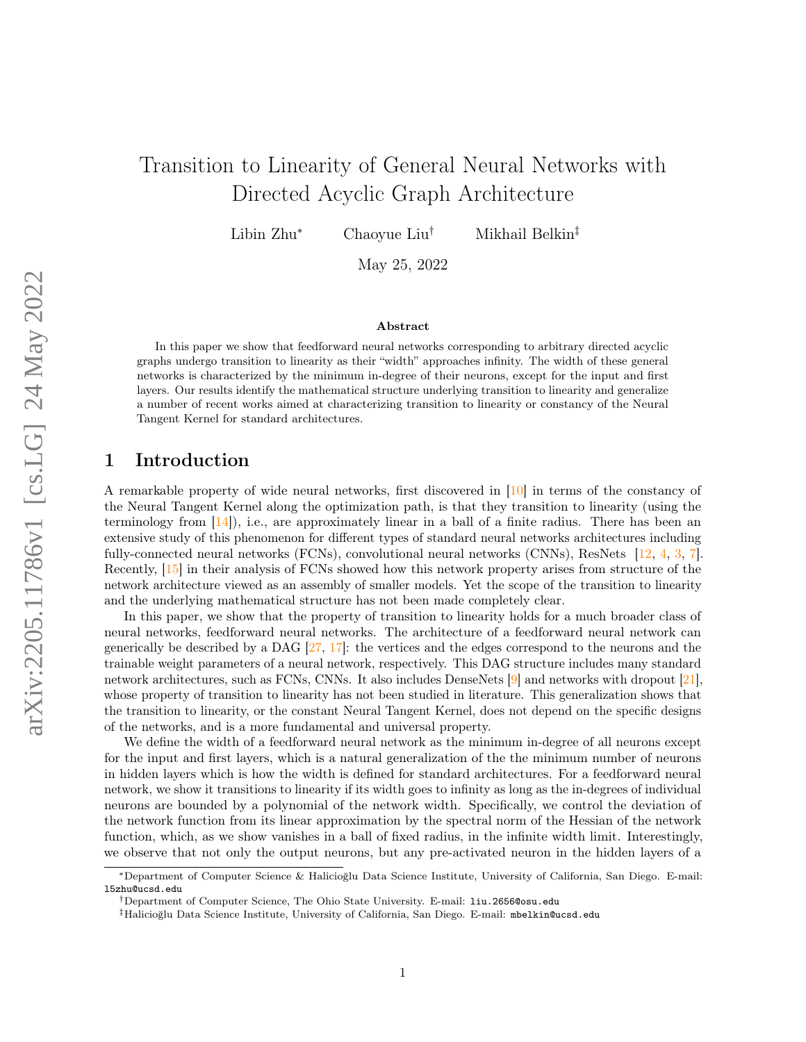# Transition to Linearity of General Neural Networks with Directed Acyclic Graph Architecture

Libin Zhu<sup>∗</sup> Chaoyue Liu† Mikhail Belkin‡

May 25, 2022

#### Abstract

In this paper we show that feedforward neural networks corresponding to arbitrary directed acyclic graphs undergo transition to linearity as their "width" approaches infinity. The width of these general networks is characterized by the minimum in-degree of their neurons, except for the input and first layers. Our results identify the mathematical structure underlying transition to linearity and generalize a number of recent works aimed at characterizing transition to linearity or constancy of the Neural Tangent Kernel for standard architectures.

### 1 Introduction

A remarkable property of wide neural networks, first discovered in [\[10\]](#page-10-0) in terms of the constancy of the Neural Tangent Kernel along the optimization path, is that they transition to linearity (using the terminology from  $[14]$ , i.e., are approximately linear in a ball of a finite radius. There has been an extensive study of this phenomenon for different types of standard neural networks architectures including fully-connected neural networks (FCNs), convolutional neural networks (CNNs), ResNets [\[12,](#page-10-2) [4,](#page-10-3) [3,](#page-10-4) [7\]](#page-10-5). Recently, [\[15\]](#page-10-6) in their analysis of FCNs showed how this network property arises from structure of the network architecture viewed as an assembly of smaller models. Yet the scope of the transition to linearity and the underlying mathematical structure has not been made completely clear.

In this paper, we show that the property of transition to linearity holds for a much broader class of neural networks, feedforward neural networks. The architecture of a feedforward neural network can generically be described by a DAG  $[27, 17]$  $[27, 17]$  $[27, 17]$ : the vertices and the edges correspond to the neurons and the trainable weight parameters of a neural network, respectively. This DAG structure includes many standard network architectures, such as FCNs, CNNs. It also includes DenseNets [\[9\]](#page-10-7) and networks with dropout [\[21\]](#page-11-2) whose property of transition to linearity has not been studied in literature. This generalization shows that the transition to linearity, or the constant Neural Tangent Kernel, does not depend on the specific designs of the networks, and is a more fundamental and universal property.

We define the width of a feedforward neural network as the minimum in-degree of all neurons except for the input and first layers, which is a natural generalization of the the minimum number of neurons in hidden layers which is how the width is defined for standard architectures. For a feedforward neural network, we show it transitions to linearity if its width goes to infinity as long as the in-degrees of individual neurons are bounded by a polynomial of the network width. Specifically, we control the deviation of the network function from its linear approximation by the spectral norm of the Hessian of the network function, which, as we show vanishes in a ball of fixed radius, in the infinite width limit. Interestingly, we observe that not only the output neurons, but any pre-activated neuron in the hidden layers of a

<sup>∗</sup>Department of Computer Science & Halicioğlu Data Science Institute, University of California, San Diego. E-mail: l5zhu@ucsd.edu

<sup>†</sup>Department of Computer Science, The Ohio State University. E-mail: liu.2656@osu.edu

<sup>‡</sup>Halicioğlu Data Science Institute, University of California, San Diego. E-mail: mbelkin@ucsd.edu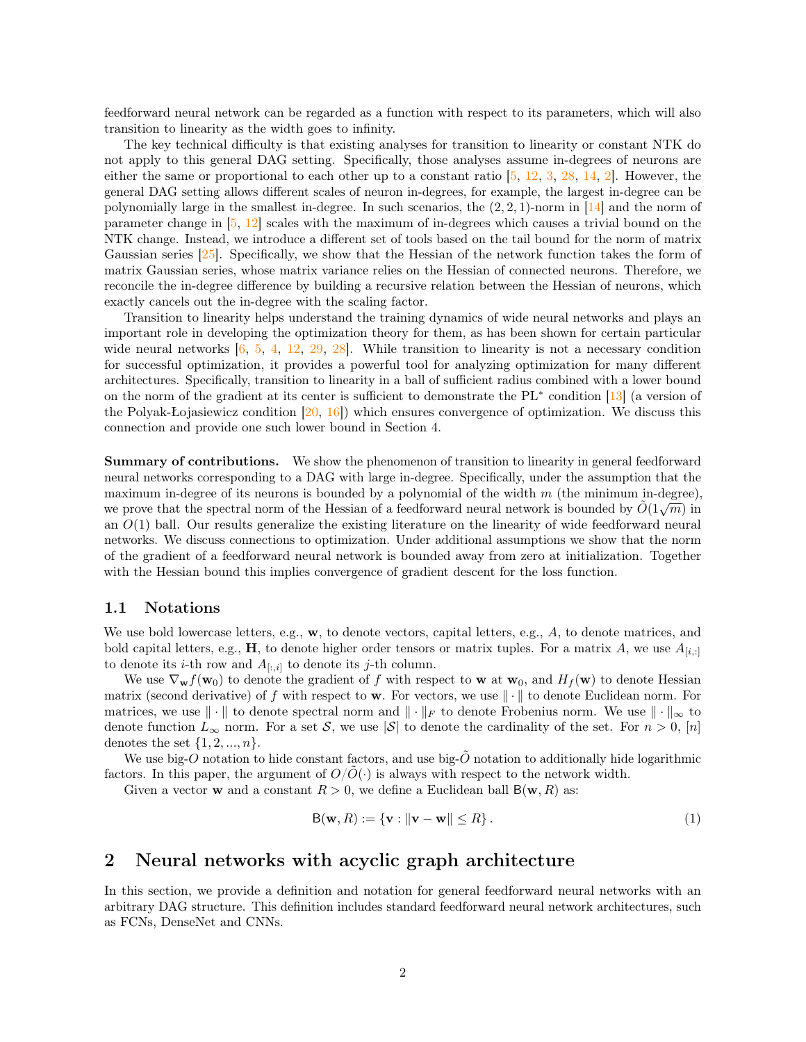feedforward neural network can be regarded as a function with respect to its parameters, which will also transition to linearity as the width goes to infinity.

The key technical difficulty is that existing analyses for transition to linearity or constant NTK do not apply to this general DAG setting. Specifically, those analyses assume in-degrees of neurons are either the same or proportional to each other up to a constant ratio  $[5, 12, 3, 28, 14, 2]$  $[5, 12, 3, 28, 14, 2]$  $[5, 12, 3, 28, 14, 2]$  $[5, 12, 3, 28, 14, 2]$  $[5, 12, 3, 28, 14, 2]$  $[5, 12, 3, 28, 14, 2]$  $[5, 12, 3, 28, 14, 2]$  $[5, 12, 3, 28, 14, 2]$  $[5, 12, 3, 28, 14, 2]$  $[5, 12, 3, 28, 14, 2]$  $[5, 12, 3, 28, 14, 2]$ . However, the general DAG setting allows different scales of neuron in-degrees, for example, the largest in-degree can be polynomially large in the smallest in-degree. In such scenarios, the  $(2, 2, 1)$ -norm in [\[14\]](#page-10-1) and the norm of parameter change in [\[5,](#page-10-8) [12\]](#page-10-2) scales with the maximum of in-degrees which causes a trivial bound on the NTK change. Instead, we introduce a different set of tools based on the tail bound for the norm of matrix Gaussian series [\[25\]](#page-11-4). Specifically, we show that the Hessian of the network function takes the form of matrix Gaussian series, whose matrix variance relies on the Hessian of connected neurons. Therefore, we reconcile the in-degree difference by building a recursive relation between the Hessian of neurons, which exactly cancels out the in-degree with the scaling factor.

Transition to linearity helps understand the training dynamics of wide neural networks and plays an important role in developing the optimization theory for them, as has been shown for certain particular wide neural networks  $[6, 5, 4, 12, 29, 28]$  $[6, 5, 4, 12, 29, 28]$  $[6, 5, 4, 12, 29, 28]$  $[6, 5, 4, 12, 29, 28]$  $[6, 5, 4, 12, 29, 28]$  $[6, 5, 4, 12, 29, 28]$  $[6, 5, 4, 12, 29, 28]$  $[6, 5, 4, 12, 29, 28]$  $[6, 5, 4, 12, 29, 28]$  $[6, 5, 4, 12, 29, 28]$  $[6, 5, 4, 12, 29, 28]$ . While transition to linearity is not a necessary condition for successful optimization, it provides a powerful tool for analyzing optimization for many different architectures. Specifically, transition to linearity in a ball of sufficient radius combined with a lower bound on the norm of the gradient at its center is sufficient to demonstrate the PL<sup>∗</sup> condition [\[13\]](#page-10-11) (a version of the Polyak-Łojasiewicz condition  $[20, 16]$  $[20, 16]$  $[20, 16]$ ) which ensures convergence of optimization. We discuss this connection and provide one such lower bound in Section [4.](#page-8-0)

Summary of contributions. We show the phenomenon of transition to linearity in general feedforward neural networks corresponding to a DAG with large in-degree. Specifically, under the assumption that the maximum in-degree of its neurons is bounded by a polynomial of the width  $m$  (the minimum in-degree), maximum in-degree of its neurons is bounded by a polynomial of the width m (the minimum in-degree),<br>we prove that the spectral norm of the Hessian of a feedforward neural network is bounded by  $\tilde{O}(1\sqrt{m})$  in an  $O(1)$  ball. Our results generalize the existing literature on the linearity of wide feedforward neural networks. We discuss connections to optimization. Under additional assumptions we show that the norm of the gradient of a feedforward neural network is bounded away from zero at initialization. Together with the Hessian bound this implies convergence of gradient descent for the loss function.

#### 1.1 Notations

We use bold lowercase letters, e.g.,  $\mathbf{w}$ , to denote vectors, capital letters, e.g.,  $A$ , to denote matrices, and bold capital letters, e.g., H, to denote higher order tensors or matrix tuples. For a matrix A, we use  $A_{[i,:]}$ to denote its *i*-th row and  $A_{[:,i]}$  to denote its *j*-th column.

We use  $\nabla_{\mathbf{w}} f(\mathbf{w}_0)$  to denote the gradient of f with respect to **w** at  $\mathbf{w}_0$ , and  $H_f(\mathbf{w})$  to denote Hessian matrix (second derivative) of f with respect to w. For vectors, we use  $\|\cdot\|$  to denote Euclidean norm. For matrices, we use  $\|\cdot\|$  to denote spectral norm and  $\|\cdot\|_F$  to denote Frobenius norm. We use  $\|\cdot\|_{\infty}$  to denote function  $L_{\infty}$  norm. For a set S, we use  $|\mathcal{S}|$  to denote the cardinality of the set. For  $n > 0$ , [n] denotes the set  $\{1, 2, ..., n\}$ .

We use big- $O$  notation to hide constant factors, and use big- $\tilde{O}$  notation to additionally hide logarithmic factors. In this paper, the argument of  $O/O(\cdot)$  is always with respect to the network width.

Given a vector **w** and a constant  $R > 0$ , we define a Euclidean ball  $B(\mathbf{w}, R)$  as:

$$
\mathsf{B}(\mathbf{w}, R) := \{ \mathbf{v} : \|\mathbf{v} - \mathbf{w}\| \le R \}. \tag{1}
$$

#### <span id="page-1-0"></span>2 Neural networks with acyclic graph architecture

In this section, we provide a definition and notation for general feedforward neural networks with an arbitrary DAG structure. This definition includes standard feedforward neural network architectures, such as FCNs, DenseNet and CNNs.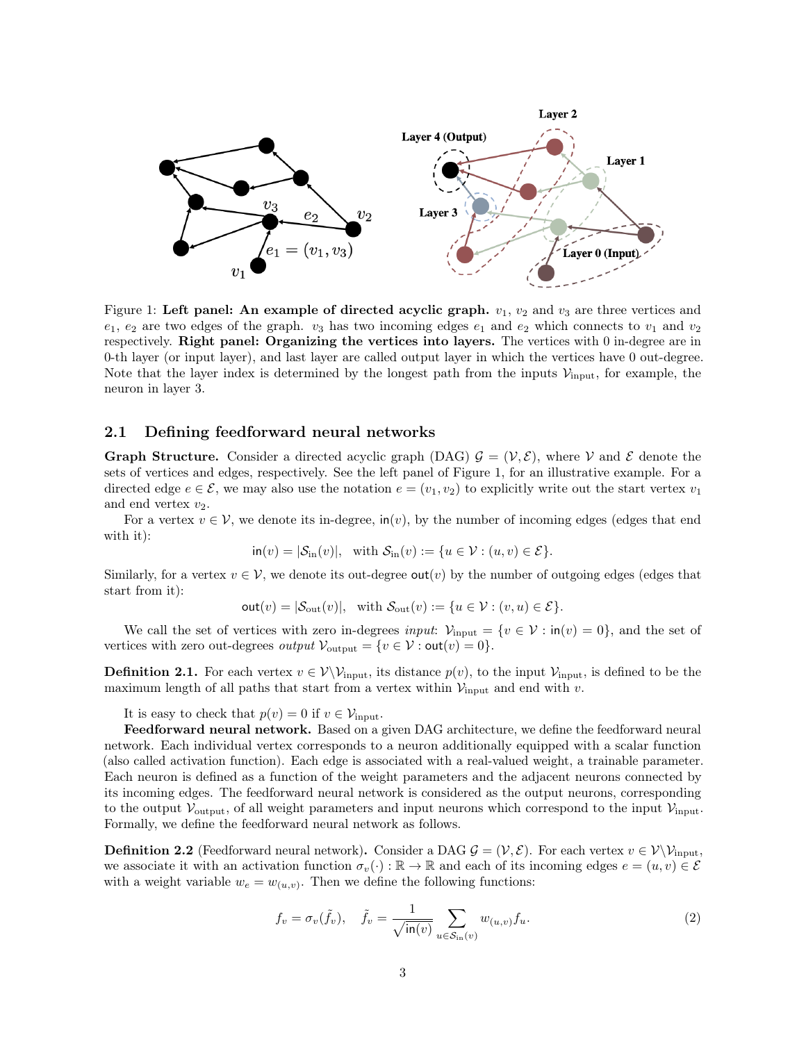<span id="page-2-0"></span>

Figure 1: Left panel: An example of directed acyclic graph.  $v_1, v_2$  and  $v_3$  are three vertices and  $e_1, e_2$  are two edges of the graph.  $v_3$  has two incoming edges  $e_1$  and  $e_2$  which connects to  $v_1$  and  $v_2$ respectively. Right panel: Organizing the vertices into layers. The vertices with 0 in-degree are in 0-th layer (or input layer), and last layer are called output layer in which the vertices have 0 out-degree. Note that the layer index is determined by the longest path from the inputs  $\mathcal{V}_{input}$ , for example, the neuron in layer 3.

#### 2.1 Defining feedforward neural networks

**Graph Structure.** Consider a directed acyclic graph (DAG)  $\mathcal{G} = (\mathcal{V}, \mathcal{E})$ , where V and E denote the sets of vertices and edges, respectively. See the left panel of Figure [1,](#page-2-0) for an illustrative example. For a directed edge  $e \in \mathcal{E}$ , we may also use the notation  $e = (v_1, v_2)$  to explicitly write out the start vertex  $v_1$ and end vertex  $v_2$ .

<span id="page-2-1"></span>For a vertex  $v \in V$ , we denote its in-degree,  $\text{in}(v)$ , by the number of incoming edges (edges that end with it):

$$
\mathsf{in}(v) = |\mathcal{S}_{\text{in}}(v)|, \quad \text{with } \mathcal{S}_{\text{in}}(v) := \{u \in \mathcal{V} : (u, v) \in \mathcal{E}\}.
$$

Similarly, for a vertex  $v \in V$ , we denote its out-degree out(v) by the number of outgoing edges (edges that start from it):

$$
out(v) = |\mathcal{S}_{out}(v)|, \text{ with } \mathcal{S}_{out}(v) := \{u \in \mathcal{V} : (v, u) \in \mathcal{E}\}.
$$

We call the set of vertices with zero in-degrees input:  $\mathcal{V}_{input} = \{v \in \mathcal{V} : \text{in}(v) = 0\}$ , and the set of vertices with zero out-degrees *output*  $\mathcal{V}_{\text{output}} = \{v \in \mathcal{V} : \text{out}(v) = 0\}.$ 

**Definition 2.1.** For each vertex  $v \in V\backslash \mathcal{V}_{input}$ , its distance  $p(v)$ , to the input  $\mathcal{V}_{input}$ , is defined to be the maximum length of all paths that start from a vertex within  $\mathcal{V}_{input}$  and end with v.

It is easy to check that  $p(v) = 0$  if  $v \in \mathcal{V}_{input}$ .

Feedforward neural network. Based on a given DAG architecture, we define the feedforward neural network. Each individual vertex corresponds to a neuron additionally equipped with a scalar function (also called activation function). Each edge is associated with a real-valued weight, a trainable parameter. Each neuron is defined as a function of the weight parameters and the adjacent neurons connected by its incoming edges. The feedforward neural network is considered as the output neurons, corresponding to the output  $V_{\text{output}}$ , of all weight parameters and input neurons which correspond to the input  $V_{\text{input}}$ . Formally, we define the feedforward neural network as follows.

<span id="page-2-2"></span>**Definition 2.2** (Feedforward neural network). Consider a DAG  $\mathcal{G} = (\mathcal{V}, \mathcal{E})$ . For each vertex  $v \in \mathcal{V}\setminus\mathcal{V}_{input}$ , we associate it with an activation function  $\sigma_v(\cdot) : \mathbb{R} \to \mathbb{R}$  and each of its incoming edges  $e = (u, v) \in \mathcal{E}$ with a weight variable  $w_e = w_{(u,v)}$ . Then we define the following functions:

$$
f_v = \sigma_v(\tilde{f}_v), \quad \tilde{f}_v = \frac{1}{\sqrt{\text{in}(v)}} \sum_{u \in S_{\text{in}}(v)} w_{(u,v)} f_u.
$$
 (2)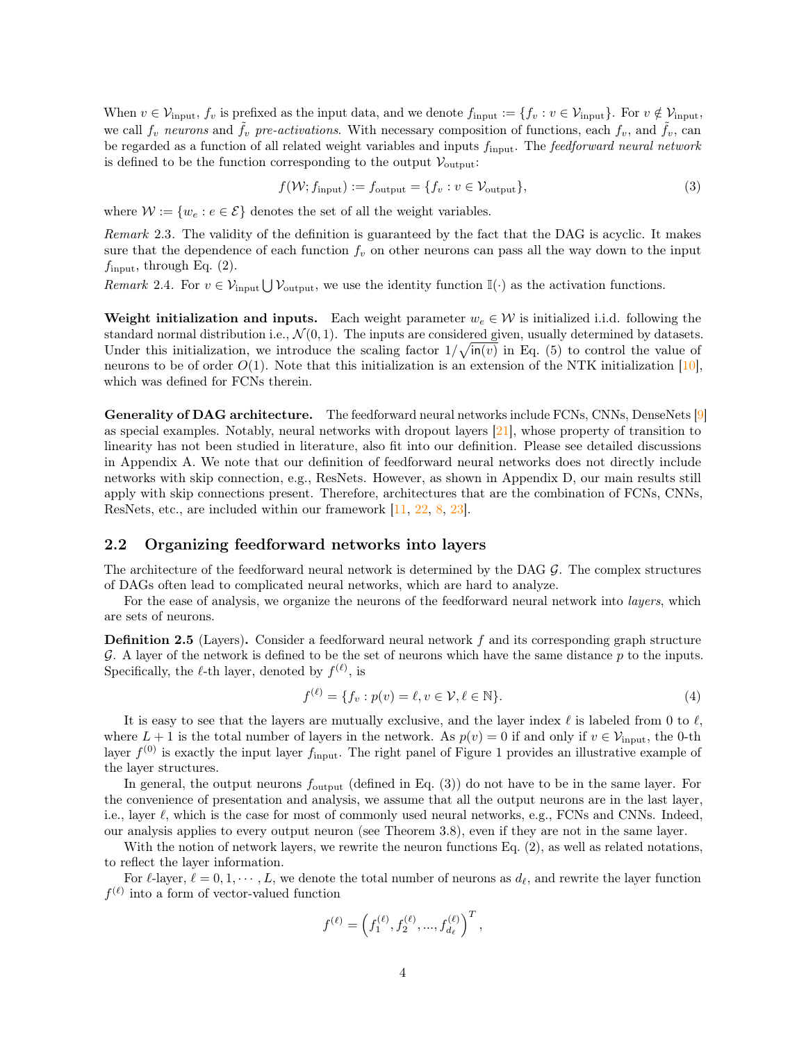When  $v \in \mathcal{V}_{input}$ ,  $f_v$  is prefixed as the input data, and we denote  $f_{input} := \{f_v : v \in \mathcal{V}_{input}\}$ . For  $v \notin \mathcal{V}_{input}$ , we call  $f_v$  neurons and  $\tilde{f}_v$  pre-activations. With necessary composition of functions, each  $f_v$ , and  $\tilde{f}_v$ , can be regarded as a function of all related weight variables and inputs  $f_{\text{input}}$ . The feedforward neural network is defined to be the function corresponding to the output  $V_{\text{output}}$ :

<span id="page-3-0"></span>
$$
f(\mathcal{W}; f_{\text{input}}) := f_{\text{output}} = \{ f_v : v \in \mathcal{V}_{\text{output}} \},
$$
\n(3)

where  $W := \{w_e : e \in \mathcal{E}\}\$  denotes the set of all the weight variables.

Remark 2.3. The validity of the definition is guaranteed by the fact that the DAG is acyclic. It makes sure that the dependence of each function  $f_v$  on other neurons can pass all the way down to the input  $f_{\text{input}}$ , through Eq. [\(2\)](#page-2-1).

Remark 2.4. For  $v \in V_{\text{input}} \cup V_{\text{output}}$ , we use the identity function  $\mathbb{I}(\cdot)$  as the activation functions.

Weight initialization and inputs. Each weight parameter  $w_e \in \mathcal{W}$  is initialized i.i.d. following the standard normal distribution i.e.,  $\mathcal{N}(0, 1)$ . The inputs are considered given, usually determined by datasets. Under this initialization, we introduce the scaling factor  $1/\sqrt{\ln(v)}$  in Eq. [\(5\)](#page-4-0) to control the value of neurons to be of order  $O(1)$ . Note that this initialization is an extension of the NTK initialization [\[10\]](#page-10-0), which was defined for FCNs therein.

Generality of DAG architecture. The feedforward neural networks include FCNs, CNNs, DenseNets [\[9\]](#page-10-7) as special examples. Notably, neural networks with dropout layers [\[21\]](#page-11-2), whose property of transition to linearity has not been studied in literature, also fit into our definition. Please see detailed discussions in Appendix [A.](#page-12-0) We note that our definition of feedforward neural networks does not directly include networks with skip connection, e.g., ResNets. However, as shown in Appendix [D,](#page-16-0) our main results still apply with skip connections present. Therefore, architectures that are the combination of FCNs, CNNs, ResNets, etc., are included within our framework [\[11,](#page-10-13) [22,](#page-11-7) [8,](#page-10-14) [23\]](#page-11-8).

#### 2.2 Organizing feedforward networks into layers

The architecture of the feedforward neural network is determined by the DAG  $\mathcal{G}$ . The complex structures of DAGs often lead to complicated neural networks, which are hard to analyze.

For the ease of analysis, we organize the neurons of the feedforward neural network into *layers*, which are sets of neurons.

**Definition 2.5** (Layers). Consider a feedforward neural network  $f$  and its corresponding graph structure  $\mathcal G$ . A layer of the network is defined to be the set of neurons which have the same distance  $p$  to the inputs. Specifically, the  $\ell$ -th layer, denoted by  $f^{(\ell)}$ , is

<span id="page-3-1"></span>
$$
f^{(\ell)} = \{f_v : p(v) = \ell, v \in \mathcal{V}, \ell \in \mathbb{N}\}.
$$
\n
$$
(4)
$$

It is easy to see that the layers are mutually exclusive, and the layer index  $\ell$  is labeled from 0 to  $\ell$ , where  $L + 1$  is the total number of layers in the network. As  $p(v) = 0$  if and only if  $v \in V_{\text{input}}$ , the 0-th layer  $f^{(0)}$  is exactly the input layer  $f_{\text{input}}$ . The right panel of Figure [1](#page-2-0) provides an illustrative example of the layer structures.

In general, the output neurons  $f_{\text{output}}$  (defined in Eq. [\(3\)](#page-3-0)) do not have to be in the same layer. For the convenience of presentation and analysis, we assume that all the output neurons are in the last layer, i.e., layer  $\ell$ , which is the case for most of commonly used neural networks, e.g., FCNs and CNNs. Indeed, our analysis applies to every output neuron (see Theorem [3.8\)](#page-6-0), even if they are not in the same layer.

With the notion of network layers, we rewrite the neuron functions Eq. [\(2\)](#page-2-1), as well as related notations, to reflect the layer information.

For  $\ell$ -layer,  $\ell = 0, 1, \dots, L$ , we denote the total number of neurons as  $d_{\ell}$ , and rewrite the layer function  $f^{(\ell)}$  into a form of vector-valued function

$$
f^{(\ell)} = \left(f_1^{(\ell)}, f_2^{(\ell)}, ..., f_{d_\ell}^{(\ell)}\right)^T,
$$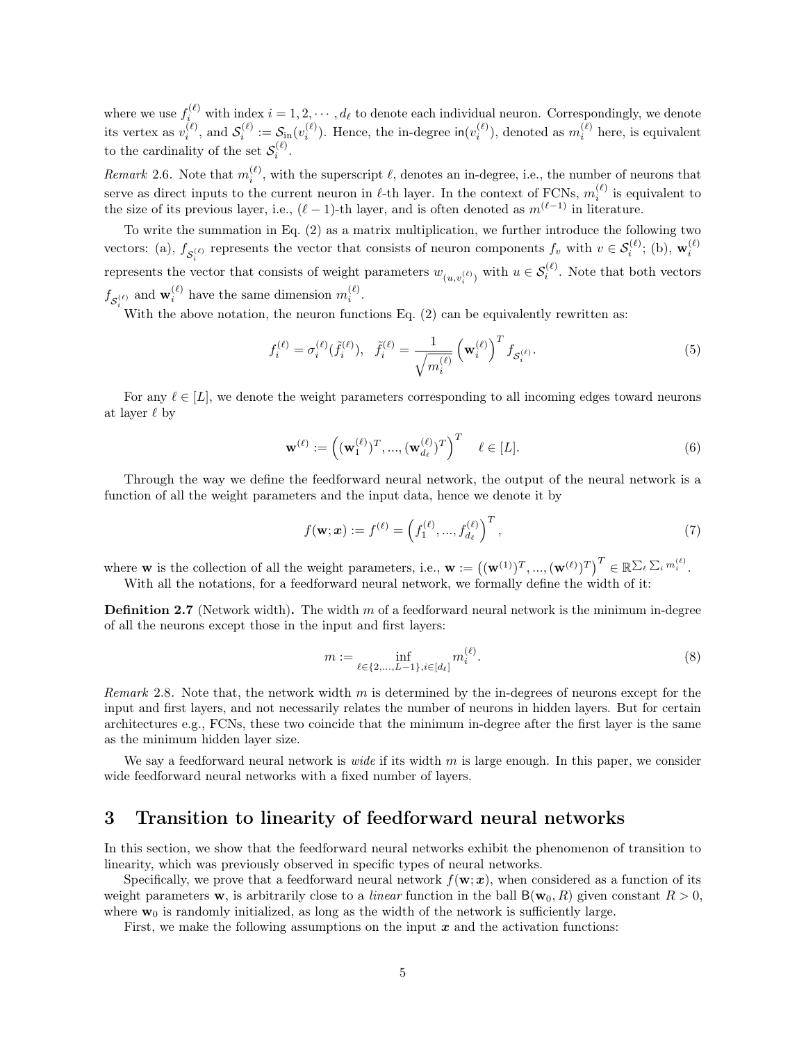where we use  $f_i^{(\ell)}$  with index  $i = 1, 2, \cdots, d_\ell$  to denote each individual neuron. Correspondingly, we denote its vertex as  $v_i^{(\ell)}$ , and  $\mathcal{S}_i^{(\ell)} := \mathcal{S}_{\text{in}}(v_i^{(\ell)})$ . Hence, the in-degree  $\text{in}(v_i^{(\ell)})$ , denoted as  $m_i^{(\ell)}$  here, is equivalent to the cardinality of the set  $\mathcal{S}_i^{(\ell)}$ .

Remark 2.6. Note that  $m_i^{(\ell)}$ , with the superscript  $\ell$ , denotes an in-degree, i.e., the number of neurons that serve as direct inputs to the current neuron in  $\ell$ -th layer. In the context of FCNs,  $m_i^{(\ell)}$  is equivalent to the size of its previous layer, i.e.,  $(\ell - 1)$ -th layer, and is often denoted as  $m^{(\ell-1)}$  in literature.

To write the summation in Eq. [\(2\)](#page-2-1) as a matrix multiplication, we further introduce the following two vectors: (a),  $f_{\mathcal{S}_i^{(\ell)}}$  represents the vector that consists of neuron components  $f_v$  with  $v \in \mathcal{S}_i^{(\ell)}$ ; (b),  $\mathbf{w}_i^{(\ell)}$ represents the vector that consists of weight parameters  $w_{(u,v_i^{(\ell)})}$  with  $u \in \mathcal{S}_i^{(\ell)}$ . Note that both vectors  $f_{\mathcal{S}_i^{(\ell)}}$  and  $\mathbf{w}_i^{(\ell)}$  have the same dimension  $m_i^{(\ell)}$ .

With the above notation, the neuron functions Eq.  $(2)$  can be equivalently rewritten as:

$$
f_i^{(\ell)} = \sigma_i^{(\ell)}(\tilde{f}_i^{(\ell)}), \quad \tilde{f}_i^{(\ell)} = \frac{1}{\sqrt{m_i^{(\ell)}}} \left(\mathbf{w}_i^{(\ell)}\right)^T f_{\mathcal{S}_i^{(\ell)}}.
$$
 (5)

For any  $\ell \in [L]$ , we denote the weight parameters corresponding to all incoming edges toward neurons at layer  $\ell$  by

<span id="page-4-0"></span>
$$
\mathbf{w}^{(\ell)} := \left( (\mathbf{w}_1^{(\ell)})^T, \dots, (\mathbf{w}_{d_\ell}^{(\ell)})^T \right)^T \quad \ell \in [L]. \tag{6}
$$

Through the way we define the feedforward neural network, the output of the neural network is a function of all the weight parameters and the input data, hence we denote it by

<span id="page-4-1"></span>
$$
f(\mathbf{w}; \mathbf{x}) := f^{(\ell)} = \left(f_1^{(\ell)}, ..., f_{d_\ell}^{(\ell)}\right)^T, \tag{7}
$$

where **w** is the collection of all the weight parameters, i.e.,  $\mathbf{w} := ((\mathbf{w}^{(1)})^T, ..., (\mathbf{w}^{(\ell)})^T)^T \in \mathbb{R}^{\sum_{\ell} \sum_i m_i^{(\ell)}}$ . With all the notations, for a feedforward neural network, we formally define the width of it:

<span id="page-4-2"></span>**Definition 2.7** (Network width). The width  $m$  of a feedforward neural network is the minimum in-degree of all the neurons except those in the input and first layers:

$$
m := \inf_{\ell \in \{2, \dots, L-1\}, i \in [d_{\ell}]} m_i^{(\ell)}.
$$
\n(8)

Remark 2.8. Note that, the network width  $m$  is determined by the in-degrees of neurons except for the input and first layers, and not necessarily relates the number of neurons in hidden layers. But for certain architectures e.g., FCNs, these two coincide that the minimum in-degree after the first layer is the same as the minimum hidden layer size.

We say a feedforward neural network is *wide* if its width  $m$  is large enough. In this paper, we consider wide feedforward neural networks with a fixed number of layers.

### 3 Transition to linearity of feedforward neural networks

In this section, we show that the feedforward neural networks exhibit the phenomenon of transition to linearity, which was previously observed in specific types of neural networks.

Specifically, we prove that a feedforward neural network  $f(\mathbf{w}; x)$ , when considered as a function of its weight parameters w, is arbitrarily close to a *linear* function in the ball  $B(w_0, R)$  given constant  $R > 0$ , where  $w_0$  is randomly initialized, as long as the width of the network is sufficiently large.

First, we make the following assumptions on the input  $x$  and the activation functions: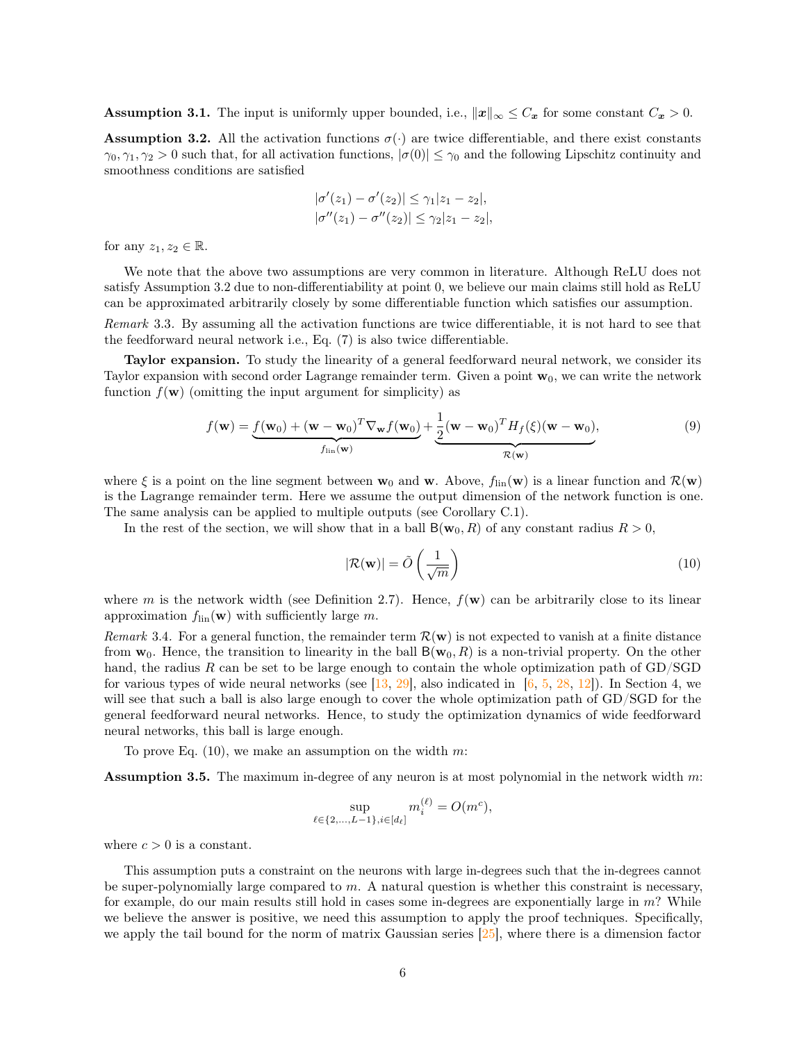<span id="page-5-2"></span>**Assumption 3.1.** The input is uniformly upper bounded, i.e.,  $||x||_{\infty} \leq C_x$  for some constant  $C_x > 0$ .

<span id="page-5-0"></span>**Assumption 3.2.** All the activation functions  $\sigma(\cdot)$  are twice differentiable, and there exist constants  $\gamma_0, \gamma_1, \gamma_2 > 0$  such that, for all activation functions,  $|\sigma(0)| \leq \gamma_0$  and the following Lipschitz continuity and smoothness conditions are satisfied

$$
|\sigma'(z_1) - \sigma'(z_2)| \le \gamma_1 |z_1 - z_2|,
$$
  

$$
|\sigma''(z_1) - \sigma''(z_2)| \le \gamma_2 |z_1 - z_2|,
$$

for any  $z_1, z_2 \in \mathbb{R}$ .

We note that the above two assumptions are very common in literature. Although ReLU does not satisfy Assumption [3.2](#page-5-0) due to non-differentiability at point 0, we believe our main claims still hold as ReLU can be approximated arbitrarily closely by some differentiable function which satisfies our assumption.

Remark 3.3. By assuming all the activation functions are twice differentiable, it is not hard to see that the feedforward neural network i.e., Eq. [\(7\)](#page-4-1) is also twice differentiable.

Taylor expansion. To study the linearity of a general feedforward neural network, we consider its Taylor expansion with second order Lagrange remainder term. Given a point  $w_0$ , we can write the network function  $f(\mathbf{w})$  (omitting the input argument for simplicity) as

$$
f(\mathbf{w}) = \underbrace{f(\mathbf{w}_0) + (\mathbf{w} - \mathbf{w}_0)^T \nabla_{\mathbf{w}} f(\mathbf{w}_0)}_{f_{\text{lin}}(\mathbf{w})} + \underbrace{\frac{1}{2} (\mathbf{w} - \mathbf{w}_0)^T H_f(\xi) (\mathbf{w} - \mathbf{w}_0)}_{\mathcal{R}(\mathbf{w})},
$$
(9)

where  $\xi$  is a point on the line segment between  $\mathbf{w}_0$  and  $\mathbf{w}$ . Above,  $f_{lin}(\mathbf{w})$  is a linear function and  $\mathcal{R}(\mathbf{w})$ is the Lagrange remainder term. Here we assume the output dimension of the network function is one. The same analysis can be applied to multiple outputs (see Corollary [C.1\)](#page-16-1).

In the rest of the section, we will show that in a ball  $B(\mathbf{w}_0, R)$  of any constant radius  $R > 0$ ,

<span id="page-5-4"></span><span id="page-5-1"></span>
$$
|\mathcal{R}(\mathbf{w})| = \tilde{O}\left(\frac{1}{\sqrt{m}}\right)
$$
 (10)

where m is the network width (see Definition [2.7\)](#page-4-2). Hence,  $f(\mathbf{w})$  can be arbitrarily close to its linear approximation  $f_{lin}(\mathbf{w})$  with sufficiently large m.

Remark 3.4. For a general function, the remainder term  $\mathcal{R}(w)$  is not expected to vanish at a finite distance from  $\mathbf{w}_0$ . Hence, the transition to linearity in the ball  $\mathsf{B}(\mathbf{w}_0, R)$  is a non-trivial property. On the other hand, the radius R can be set to be large enough to contain the whole optimization path of GD/SGD for various types of wide neural networks (see [\[13,](#page-10-11) [29\]](#page-11-5), also indicated in  $[6, 5, 28, 12]$  $[6, 5, 28, 12]$  $[6, 5, 28, 12]$  $[6, 5, 28, 12]$  $[6, 5, 28, 12]$  $[6, 5, 28, 12]$  $[6, 5, 28, 12]$ ). In Section [4,](#page-8-0) we will see that such a ball is also large enough to cover the whole optimization path of GD/SGD for the general feedforward neural networks. Hence, to study the optimization dynamics of wide feedforward neural networks, this ball is large enough.

To prove Eq.  $(10)$ , we make an assumption on the width m:

<span id="page-5-3"></span>**Assumption 3.5.** The maximum in-degree of any neuron is at most polynomial in the network width  $m$ :

$$
\sup_{\ell \in \{2,\ldots,L-1\}, i \in [d_{\ell}]} m_i^{(\ell)} = O(m^c),
$$

where  $c > 0$  is a constant.

This assumption puts a constraint on the neurons with large in-degrees such that the in-degrees cannot be super-polynomially large compared to  $m$ . A natural question is whether this constraint is necessary, for example, do our main results still hold in cases some in-degrees are exponentially large in m? While we believe the answer is positive, we need this assumption to apply the proof techniques. Specifically, we apply the tail bound for the norm of matrix Gaussian series  $[25]$ , where there is a dimension factor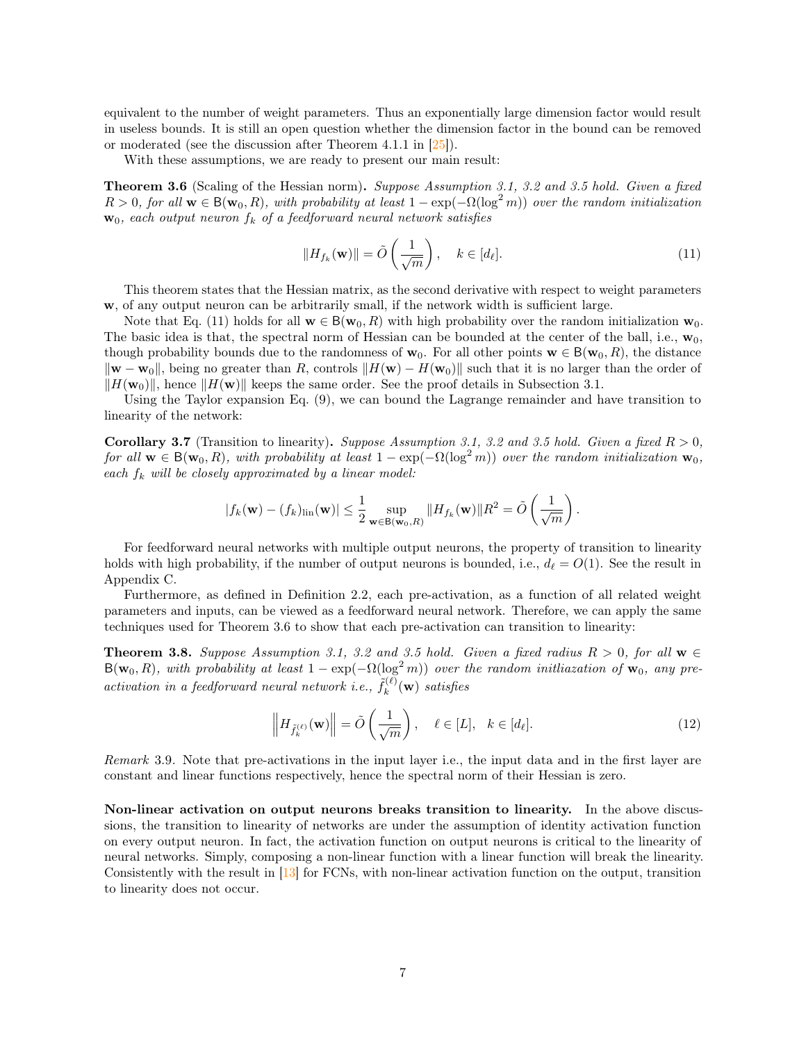equivalent to the number of weight parameters. Thus an exponentially large dimension factor would result in useless bounds. It is still an open question whether the dimension factor in the bound can be removed or moderated (see the discussion after Theorem 4.1.1 in  $[25]$ ).

With these assumptions, we are ready to present our main result:

<span id="page-6-2"></span>Theorem 3.6 (Scaling of the Hessian norm). Suppose Assumption [3.1,](#page-5-2) [3.2](#page-5-0) and [3.5](#page-5-3) hold. Given a fixed  $R > 0$ , for all  $\mathbf{w} \in \mathsf{B}(\mathbf{w}_0, R)$ , with probability at least  $1 - \exp(-\Omega(\log^2 m))$  over the random initialization  $\mathbf{w}_0$ , each output neuron  $f_k$  of a feedforward neural network satisfies

<span id="page-6-1"></span>
$$
||H_{f_k}(\mathbf{w})|| = \tilde{O}\left(\frac{1}{\sqrt{m}}\right), \quad k \in [d_\ell].
$$
\n(11)

This theorem states that the Hessian matrix, as the second derivative with respect to weight parameters w, of any output neuron can be arbitrarily small, if the network width is sufficient large.

Note that Eq. [\(11\)](#page-6-1) holds for all  $\mathbf{w} \in \mathcal{B}(\mathbf{w}_0, R)$  with high probability over the random initialization  $\mathbf{w}_0$ . The basic idea is that, the spectral norm of Hessian can be bounded at the center of the ball, i.e.,  $\mathbf{w}_0$ , though probability bounds due to the randomness of  $\mathbf{w}_0$ . For all other points  $\mathbf{w} \in B(\mathbf{w}_0, R)$ , the distance  $\|\mathbf{w} - \mathbf{w}_0\|$ , being no greater than R, controls  $\|H(\mathbf{w}) - H(\mathbf{w}_0)\|$  such that it is no larger than the order of  $\|H(\mathbf{w}_0)\|$ , hence  $\|H(\mathbf{w})\|$  keeps the same order. See the proof details in Subsection [3.1.](#page-7-0)

Using the Taylor expansion Eq. [\(9\)](#page-5-4), we can bound the Lagrange remainder and have transition to linearity of the network:

**Corollary 3.7** (Transition to linearity). Suppose Assumption [3.1,](#page-5-2) [3.2](#page-5-0) and [3.5](#page-5-3) hold. Given a fixed  $R > 0$ , for all  $\mathbf{w} \in B(\mathbf{w}_0, R)$ , with probability at least  $1 - \exp(-\Omega(\log^2 m))$  over the random initialization  $\mathbf{w}_0$ , each  $f_k$  will be closely approximated by a linear model:

$$
|f_k(\mathbf{w}) - (f_k)_{\text{lin}}(\mathbf{w})| \leq \frac{1}{2} \sup_{\mathbf{w} \in \mathsf{B}(\mathbf{w}_0, R)} \|H_{f_k}(\mathbf{w})\| R^2 = \tilde{O}\left(\frac{1}{\sqrt{m}}\right).
$$

For feedforward neural networks with multiple output neurons, the property of transition to linearity holds with high probability, if the number of output neurons is bounded, i.e.,  $d_{\ell} = O(1)$ . See the result in Appendix [C.](#page-15-0)

Furthermore, as defined in Definition [2.2,](#page-2-2) each pre-activation, as a function of all related weight parameters and inputs, can be viewed as a feedforward neural network. Therefore, we can apply the same techniques used for Theorem [3.6](#page-6-2) to show that each pre-activation can transition to linearity:

<span id="page-6-0"></span>**Theorem 3.8.** Suppose Assumption [3.1,](#page-5-2) [3.2](#page-5-0) and [3.5](#page-5-3) hold. Given a fixed radius  $R > 0$ , for all  $\mathbf{w} \in \mathbb{R}$  $B(\mathbf{w}_0, R)$ , with probability at least  $1 - \exp(-\Omega(\log^2 m))$  over the random initiazation of  $\mathbf{w}_0$ , any preactivation in a feedforward neural network i.e.,  $\tilde{f}_k^{(\ell)}$  $k^{(\ell)}(\mathbf{w})$  satisfies

$$
\left\| H_{\tilde{f}_k^{(\ell)}}(\mathbf{w}) \right\| = \tilde{O}\left(\frac{1}{\sqrt{m}}\right), \quad \ell \in [L], \quad k \in [d_\ell]. \tag{12}
$$

Remark 3.9. Note that pre-activations in the input layer i.e., the input data and in the first layer are constant and linear functions respectively, hence the spectral norm of their Hessian is zero.

Non-linear activation on output neurons breaks transition to linearity. In the above discussions, the transition to linearity of networks are under the assumption of identity activation function on every output neuron. In fact, the activation function on output neurons is critical to the linearity of neural networks. Simply, composing a non-linear function with a linear function will break the linearity. Consistently with the result in [\[13\]](#page-10-11) for FCNs, with non-linear activation function on the output, transition to linearity does not occur.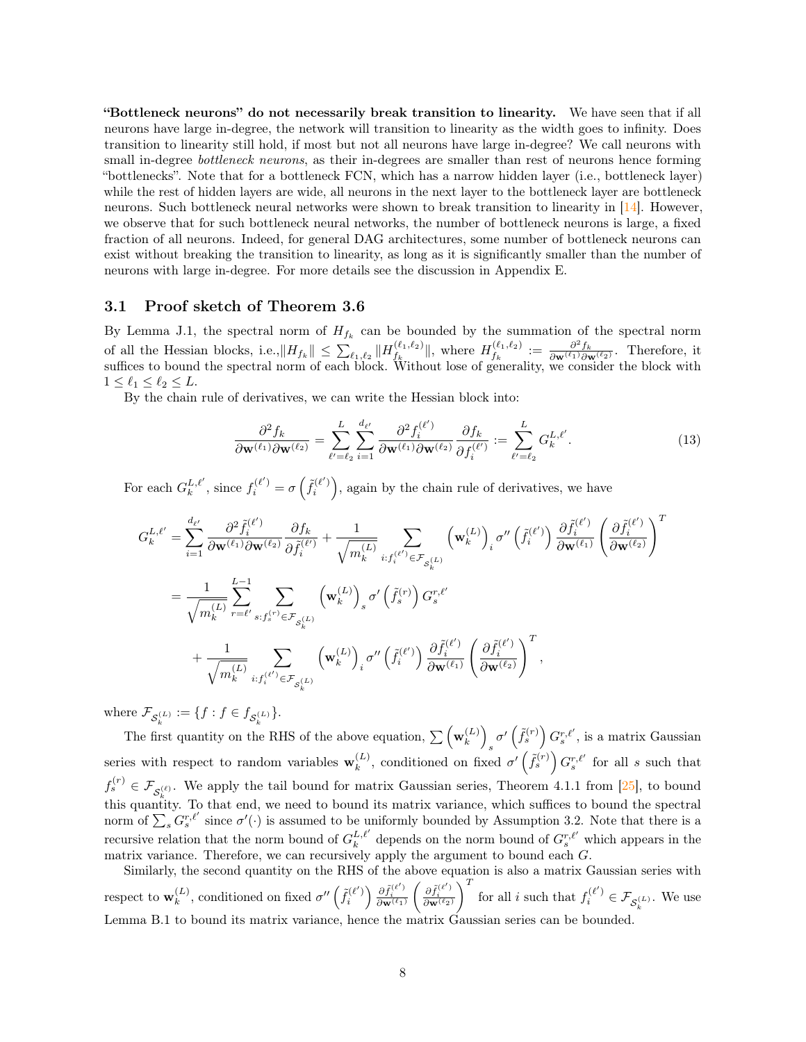"Bottleneck neurons" do not necessarily break transition to linearity. We have seen that if all neurons have large in-degree, the network will transition to linearity as the width goes to infinity. Does transition to linearity still hold, if most but not all neurons have large in-degree? We call neurons with small in-degree *bottleneck neurons*, as their in-degrees are smaller than rest of neurons hence forming "bottlenecks". Note that for a bottleneck FCN, which has a narrow hidden layer (i.e., bottleneck layer) while the rest of hidden layers are wide, all neurons in the next layer to the bottleneck layer are bottleneck neurons. Such bottleneck neural networks were shown to break transition to linearity in [\[14\]](#page-10-1). However, we observe that for such bottleneck neural networks, the number of bottleneck neurons is large, a fixed fraction of all neurons. Indeed, for general DAG architectures, some number of bottleneck neurons can exist without breaking the transition to linearity, as long as it is significantly smaller than the number of neurons with large in-degree. For more details see the discussion in Appendix [E.](#page-17-0)

#### <span id="page-7-0"></span>3.1 Proof sketch of Theorem [3.6](#page-6-2)

By Lemma [J.1,](#page-25-0) the spectral norm of  $H_{f_k}$  can be bounded by the summation of the spectral norm of all the Hessian blocks, i.e.,  $||H_{f_k}|| \leq \sum_{\ell_1,\ell_2} ||H_{f_k}^{(\ell_1,\ell_2)}||$  $\|f_k^{(\ell_1,\ell_2)}\|$ , where  $H_{f_k}^{(\ell_1,\ell_2)}$  $\frac{f(k_1,\ell_2)}{f_k} := \frac{\partial^2 f_k}{\partial \mathbf{w}^{(\ell_1)} \partial \mathbf{w}^{(\ell_2)}}$ . Therefore, it suffices to bound the spectral norm of each block. Without lose of generality, we consider the block with  $1 \leq \ell_1 \leq \ell_2 \leq L.$ 

By the chain rule of derivatives, we can write the Hessian block into:

<span id="page-7-1"></span>
$$
\frac{\partial^2 f_k}{\partial \mathbf{w}^{(\ell_1)} \partial \mathbf{w}^{(\ell_2)}} = \sum_{\ell'= \ell_2}^{L} \sum_{i=1}^{d_{\ell'}} \frac{\partial^2 f_i^{(\ell')}}{\partial \mathbf{w}^{(\ell_1)} \partial \mathbf{w}^{(\ell_2)}} \frac{\partial f_k}{\partial f_i^{(\ell')}} := \sum_{\ell'= \ell_2}^{L} G_k^{L, \ell'}.
$$
(13)

For each  $G_k^{L,\ell'}$ , since  $f_i^{(\ell')} = \sigma\left(\tilde{f}_i^{(\ell')}\right)$ , again by the chain rule of derivatives, we have

$$
G_k^{L,\ell'} = \sum_{i=1}^{d_{\ell'}} \frac{\partial^2 \tilde{f}_i^{(\ell')}}{\partial \mathbf{w}^{(\ell_1)} \partial \mathbf{w}^{(\ell_2)}} \frac{\partial f_k}{\partial \tilde{f}_i^{(\ell')}} + \frac{1}{\sqrt{m_k^{(L)}}} \sum_{i: f_i^{(\ell')} \in \mathcal{F}_{S_k^{(L)}}} \left(\mathbf{w}_k^{(L)}\right)_i \sigma'' \left(\tilde{f}_i^{(\ell')}\right) \frac{\partial \tilde{f}_i^{(\ell')}}{\partial \mathbf{w}^{(\ell_1)}} \left(\frac{\partial \tilde{f}_i^{(\ell')}}{\partial \mathbf{w}^{(\ell_2)}}\right)^T
$$
  

$$
= \frac{1}{\sqrt{m_k^{(L)}}} \sum_{r=\ell'} \sum_{s: f_s^{(r)} \in \mathcal{F}_{S_k^{(L)}}} \left(\mathbf{w}_k^{(L)}\right)_s \sigma' \left(\tilde{f}_s^{(r)}\right) G_s^{r,\ell'}
$$
  

$$
+ \frac{1}{\sqrt{m_k^{(L)}}} \sum_{i: f_i^{(\ell')} \in \mathcal{F}_{S_k^{(L)}}} \left(\mathbf{w}_k^{(L)}\right)_i \sigma'' \left(\tilde{f}_i^{(\ell')}\right) \frac{\partial \tilde{f}_i^{(\ell')}}{\partial \mathbf{w}^{(\ell_1)}} \left(\frac{\partial \tilde{f}_i^{(\ell')}}{\partial \mathbf{w}^{(\ell_2)}}\right)^T,
$$

where  $\mathcal{F}_{\mathcal{S}_k^{(L)}} := \{f : f \in f_{\mathcal{S}_k^{(L)}}\}.$ 

The first quantity on the RHS of the above equation,  $\sum_{k=1}^{\infty} \left( \mathbf{w}_k^{(L)} \right)$  $\binom{(L)}{k}$  $s^{\sigma'}\left(\tilde{f}_s^{(r)}\right)G_s^{r,\ell'},$  is a matrix Gaussian series with respect to random variables  $\mathbf{w}_k^{(L)}$  $\binom{L}{k}$ , conditioned on fixed  $\sigma'(\tilde{f}_s^{(r)}) G_s^{r,\ell'}$  for all s such that  $f_s^{(r)} \in \mathcal{F}_{\mathcal{S}_k^{(\ell)}}$ . We apply the tail bound for matrix Gaussian series, Theorem 4.1.1 from [\[25\]](#page-11-4), to bound this quantity. To that end, we need to bound its matrix variance, which suffices to bound the spectral norm of  $\sum_s G_s^{r,\ell'}$  since  $\sigma'(\cdot)$  is assumed to be uniformly bounded by Assumption [3.2.](#page-5-0) Note that there is a recursive relation that the norm bound of  $G_k^{L,\ell'}$  depends on the norm bound of  $G_s^{r,\ell'}$  which appears in the matrix variance. Therefore, we can recursively apply the argument to bound each G.

Similarly, the second quantity on the RHS of the above equation is also a matrix Gaussian series with respect to  $\mathbf{w}_k^{(L)}$  $\binom{L}{k}$ , conditioned on fixed  $\sigma''\left(\tilde{f}_i^{(\ell')}\right) \frac{\partial \tilde{f}_i^{(\ell')}}{\partial \mathbf{w}^{(\ell_1)}}$  $\Bigg( \frac{\partial \tilde{f}^{(\ell')}_i}{\partial \mathbf{w}^{(\ell_2)}}$  $\Big)^T$  for all  $i$  such that  $f_i^{(\ell')} \in \mathcal{F}_{\mathcal{S}_k^{(L)}}.$  We use Lemma [B.1](#page-15-1) to bound its matrix variance, hence the matrix Gaussian series can be bounded.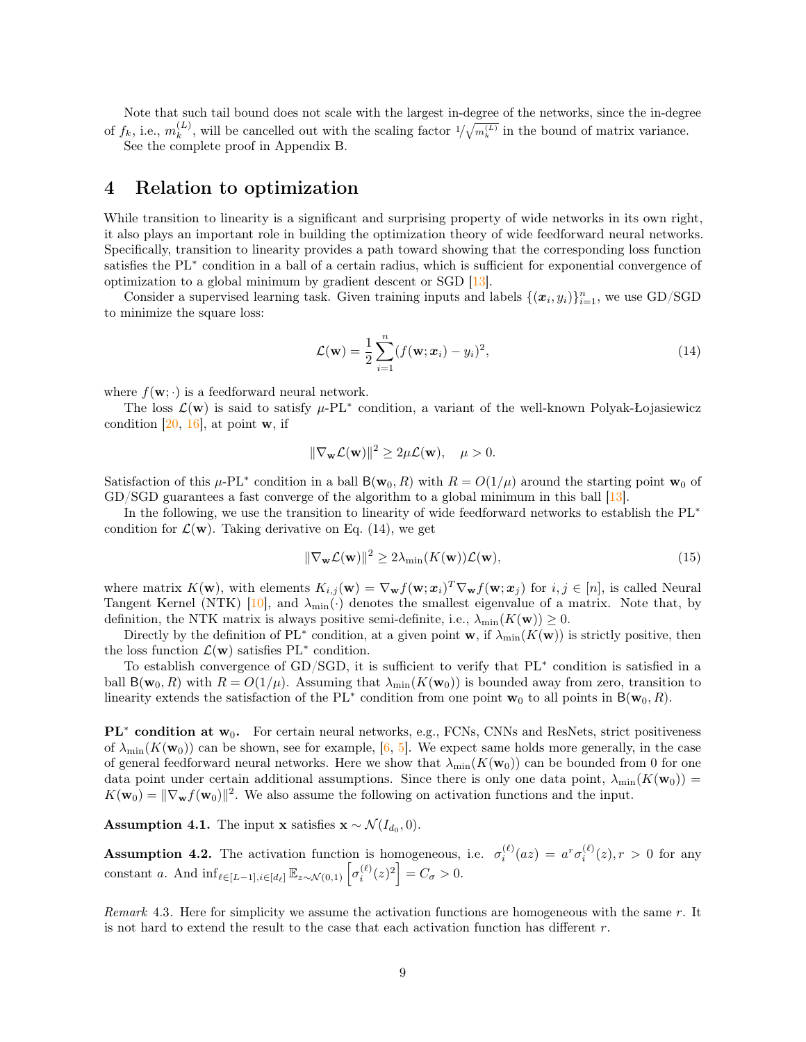Note that such tail bound does not scale with the largest in-degree of the networks, since the in-degree of  $f_k$ , i.e.,  $m_k^{(L)}$  $\binom{L}{k}$ , will be cancelled out with the scaling factor  $1/\sqrt{m_k^{(L)}}$  in the bound of matrix variance.

See the complete proof in Appendix [B.](#page-14-0)

#### <span id="page-8-0"></span>4 Relation to optimization

While transition to linearity is a significant and surprising property of wide networks in its own right, it also plays an important role in building the optimization theory of wide feedforward neural networks. Specifically, transition to linearity provides a path toward showing that the corresponding loss function satisfies the PL<sup>∗</sup> condition in a ball of a certain radius, which is sufficient for exponential convergence of optimization to a global minimum by gradient descent or SGD [\[13\]](#page-10-11).

Consider a supervised learning task. Given training inputs and labels  $\{(\mathbf{x}_i, y_i)\}_{i=1}^n$ , we use GD/SGD to minimize the square loss:

<span id="page-8-1"></span>
$$
\mathcal{L}(\mathbf{w}) = \frac{1}{2} \sum_{i=1}^{n} (f(\mathbf{w}; \mathbf{x}_i) - y_i)^2,
$$
\n(14)

where  $f(\mathbf{w}; \cdot)$  is a feedforward neural network.

The loss  $\mathcal{L}(\mathbf{w})$  is said to satisfy  $\mu$ -PL<sup>\*</sup> condition, a variant of the well-known Polyak-Łojasiewicz condition  $[20, 16]$  $[20, 16]$  $[20, 16]$ , at point **w**, if

$$
\|\nabla_{\mathbf{w}}\mathcal{L}(\mathbf{w})\|^2 \ge 2\mu\mathcal{L}(\mathbf{w}), \quad \mu > 0.
$$

Satisfaction of this  $\mu$ -PL<sup>\*</sup> condition in a ball  $B(\mathbf{w}_0, R)$  with  $R = O(1/\mu)$  around the starting point  $\mathbf{w}_0$  of GD/SGD guarantees a fast converge of the algorithm to a global minimum in this ball [\[13\]](#page-10-11).

In the following, we use the transition to linearity of wide feedforward networks to establish the PL<sup>∗</sup> condition for  $\mathcal{L}(\mathbf{w})$ . Taking derivative on Eq. [\(14\)](#page-8-1), we get

<span id="page-8-4"></span>
$$
\|\nabla_{\mathbf{w}}\mathcal{L}(\mathbf{w})\|^2 \ge 2\lambda_{\min}(K(\mathbf{w}))\mathcal{L}(\mathbf{w}),\tag{15}
$$

where matrix  $K(\mathbf{w})$ , with elements  $K_{i,j}(\mathbf{w}) = \nabla_{\mathbf{w}} f(\mathbf{w}; \mathbf{x}_i)^T \nabla_{\mathbf{w}} f(\mathbf{w}; \mathbf{x}_j)$  for  $i, j \in [n]$ , is called Neural Tangent Kernel (NTK) [\[10\]](#page-10-0), and  $\lambda_{\min}(\cdot)$  denotes the smallest eigenvalue of a matrix. Note that, by definition, the NTK matrix is always positive semi-definite, i.e.,  $\lambda_{\min}(K(\mathbf{w})) \geq 0$ .

Directly by the definition of PL<sup>∗</sup> condition, at a given point w, if  $\lambda_{\min}(K(\mathbf{w}))$  is strictly positive, then the loss function  $\mathcal{L}(\mathbf{w})$  satisfies PL<sup>\*</sup> condition.

To establish convergence of GD/SGD, it is sufficient to verify that PL<sup>∗</sup> condition is satisfied in a ball  $B(\mathbf{w}_0, R)$  with  $R = O(1/\mu)$ . Assuming that  $\lambda_{\min}(K(\mathbf{w}_0))$  is bounded away from zero, transition to linearity extends the satisfaction of the PL<sup>∗</sup> condition from one point  $\mathbf{w}_0$  to all points in B( $\mathbf{w}_0, R$ ).

 $PL<sup>*</sup>$  condition at  $w_0$ . For certain neural networks, e.g., FCNs, CNNs and ResNets, strict positiveness of  $\lambda_{\min}(K(\mathbf{w}_0))$  can be shown, see for example, [\[6,](#page-10-10) [5\]](#page-10-8). We expect same holds more generally, in the case of general feedforward neural networks. Here we show that  $\lambda_{\min}(K(\mathbf{w}_0))$  can be bounded from 0 for one data point under certain additional assumptions. Since there is only one data point,  $\lambda_{\min}(K(\mathbf{w}_0))$  $K(\mathbf{w}_0) = \|\nabla_{\mathbf{w}} f(\mathbf{w}_0)\|^2$ . We also assume the following on activation functions and the input.

<span id="page-8-2"></span>**Assumption 4.1.** The input **x** satisfies  $\mathbf{x} \sim \mathcal{N}(I_{d_0}, 0)$ .

<span id="page-8-3"></span>**Assumption 4.2.** The activation function is homogeneous, i.e.  $\sigma_i^{(\ell)}(az) = a^r \sigma_i^{(\ell)}(z), r > 0$  for any constant a. And  $\inf_{\ell \in [L-1], i \in [d_{\ell}]} \mathbb{E}_{z \sim \mathcal{N}(0,1)} \left[ \sigma_i^{(\ell)}(z)^2 \right] = C_{\sigma} > 0.$ 

Remark 4.3. Here for simplicity we assume the activation functions are homogeneous with the same  $r$ . It is not hard to extend the result to the case that each activation function has different  $r$ .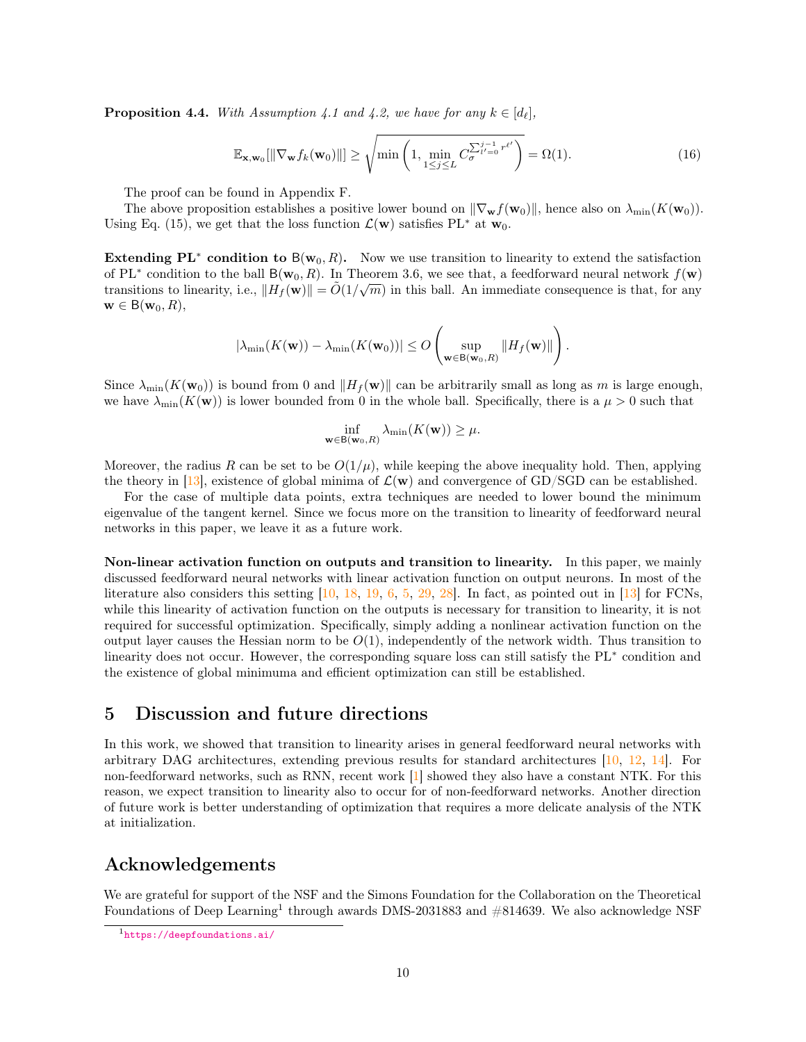<span id="page-9-1"></span>**Proposition 4.4.** With Assumption [4.1](#page-8-2) and [4.2,](#page-8-3) we have for any  $k \in [d_{\ell}],$ 

$$
\mathbb{E}_{\mathbf{x},\mathbf{w}_0}[\|\nabla_{\mathbf{w}}f_k(\mathbf{w}_0)\|] \ge \sqrt{\min\left(1,\min_{1\le j\le L} C^{\sum_{l'=0}^{j-1}r^{\ell'}}_{\sigma}\right)} = \Omega(1). \tag{16}
$$

The proof can be found in Appendix [F.](#page-18-0)

The above proposition establishes a positive lower bound on  $\|\nabla_{\mathbf{w}} f(\mathbf{w}_0)\|$ , hence also on  $\lambda_{\min}(K(\mathbf{w}_0)).$ Using Eq. [\(15\)](#page-8-4), we get that the loss function  $\mathcal{L}(\mathbf{w})$  satisfies PL<sup>∗</sup> at  $\mathbf{w}_0$ .

Extending PL<sup>∗</sup> condition to B( $w_0, R$ ). Now we use transition to linearity to extend the satisfaction of PL<sup>∗</sup> condition to the ball B( $\mathbf{w}_0$ , R). In Theorem [3.6,](#page-6-2) we see that, a feedforward neural network  $f(\mathbf{w})$ transitions to linearity, i.e.,  $||H_f(\mathbf{w})|| = \tilde{O}(1/\sqrt{m})$  in this ball. An immediate consequence is that, for any  $\mathbf{w} \in B(\mathbf{w}_0, R),$ 

$$
\left|\lambda_{\min}(K(\mathbf{w})) - \lambda_{\min}(K(\mathbf{w}_0))\right| \leq O\left(\sup_{\mathbf{w}\in\mathsf{B}(\mathbf{w}_0,R)}\|H_f(\mathbf{w})\|\right).
$$

Since  $\lambda_{\min}(K(\mathbf{w}_0))$  is bound from 0 and  $\|H_f(\mathbf{w})\|$  can be arbitrarily small as long as m is large enough, we have  $\lambda_{\min}(K(\mathbf{w}))$  is lower bounded from 0 in the whole ball. Specifically, there is a  $\mu > 0$  such that

$$
\inf_{\mathbf{w}\in \mathsf{B}(\mathbf{w}_0,R)} \lambda_{\min}(K(\mathbf{w})) \geq \mu.
$$

Moreover, the radius R can be set to be  $O(1/\mu)$ , while keeping the above inequality hold. Then, applying the theory in [\[13\]](#page-10-11), existence of global minima of  $\mathcal{L}(\mathbf{w})$  and convergence of GD/SGD can be established.

For the case of multiple data points, extra techniques are needed to lower bound the minimum eigenvalue of the tangent kernel. Since we focus more on the transition to linearity of feedforward neural networks in this paper, we leave it as a future work.

Non-linear activation function on outputs and transition to linearity. In this paper, we mainly discussed feedforward neural networks with linear activation function on output neurons. In most of the literature also considers this setting [\[10,](#page-10-0) [18,](#page-11-9) [19,](#page-11-10) [6,](#page-10-10) [5,](#page-10-8) [29,](#page-11-5) [28\]](#page-11-3). In fact, as pointed out in [\[13\]](#page-10-11) for FCNs, while this linearity of activation function on the outputs is necessary for transition to linearity, it is not required for successful optimization. Specifically, simply adding a nonlinear activation function on the output layer causes the Hessian norm to be  $O(1)$ , independently of the network width. Thus transition to linearity does not occur. However, the corresponding square loss can still satisfy the PL<sup>∗</sup> condition and the existence of global minimuma and efficient optimization can still be established.

### 5 Discussion and future directions

In this work, we showed that transition to linearity arises in general feedforward neural networks with arbitrary DAG architectures, extending previous results for standard architectures [\[10,](#page-10-0) [12,](#page-10-2) [14\]](#page-10-1). For non-feedforward networks, such as RNN, recent work [\[1\]](#page-10-15) showed they also have a constant NTK. For this reason, we expect transition to linearity also to occur for of non-feedforward networks. Another direction of future work is better understanding of optimization that requires a more delicate analysis of the NTK at initialization.

### Acknowledgements

We are grateful for support of the NSF and the Simons Foundation for the Collaboration on the Theoretical Foundations of Deep Learning<sup>[1](#page-9-0)</sup> through awards DMS-2031883 and  $\#814639$ . We also acknowledge NSF

<span id="page-9-0"></span><sup>1</sup><https://deepfoundations.ai/>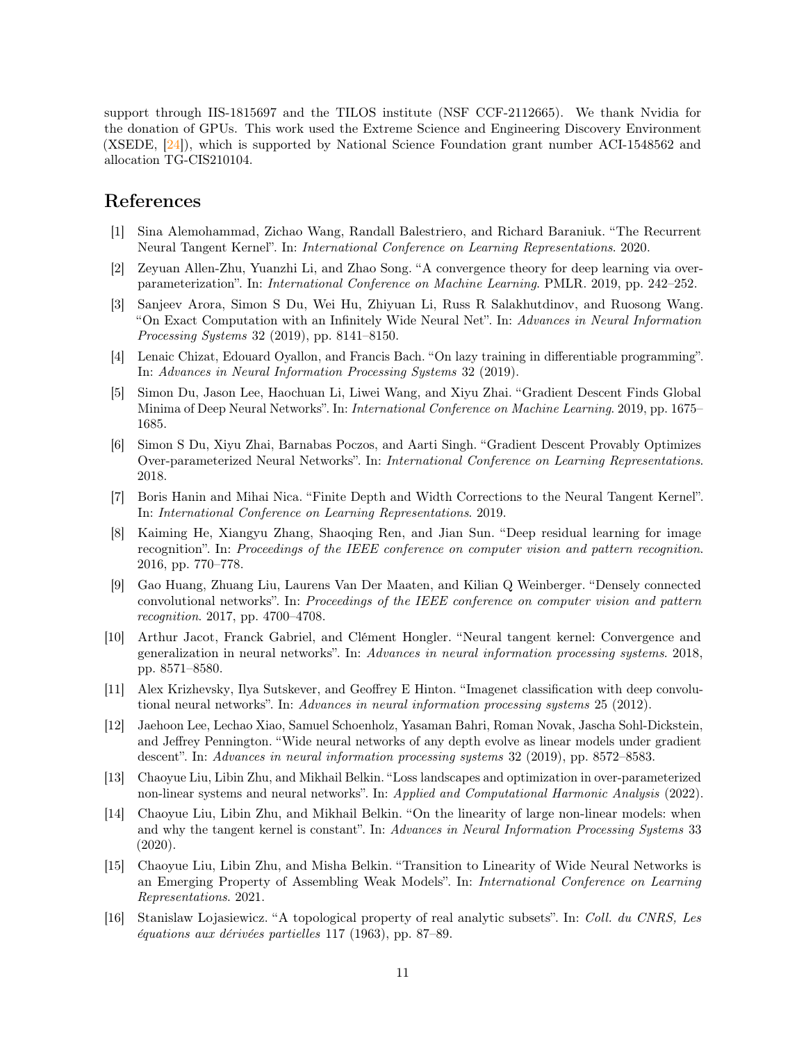support through IIS-1815697 and the TILOS institute (NSF CCF-2112665). We thank Nvidia for the donation of GPUs. This work used the Extreme Science and Engineering Discovery Environment (XSEDE, [\[24\]](#page-11-11)), which is supported by National Science Foundation grant number ACI-1548562 and allocation TG-CIS210104.

### References

- <span id="page-10-15"></span>[1] Sina Alemohammad, Zichao Wang, Randall Balestriero, and Richard Baraniuk. "The Recurrent Neural Tangent Kernel". In: International Conference on Learning Representations. 2020.
- <span id="page-10-9"></span>[2] Zeyuan Allen-Zhu, Yuanzhi Li, and Zhao Song. "A convergence theory for deep learning via overparameterization". In: International Conference on Machine Learning. PMLR. 2019, pp. 242–252.
- <span id="page-10-4"></span>[3] Sanjeev Arora, Simon S Du, Wei Hu, Zhiyuan Li, Russ R Salakhutdinov, and Ruosong Wang. "On Exact Computation with an Infinitely Wide Neural Net". In: Advances in Neural Information Processing Systems 32 (2019), pp. 8141–8150.
- <span id="page-10-3"></span>[4] Lenaic Chizat, Edouard Oyallon, and Francis Bach. "On lazy training in differentiable programming". In: Advances in Neural Information Processing Systems 32 (2019).
- <span id="page-10-8"></span>[5] Simon Du, Jason Lee, Haochuan Li, Liwei Wang, and Xiyu Zhai. "Gradient Descent Finds Global Minima of Deep Neural Networks". In: International Conference on Machine Learning. 2019, pp. 1675– 1685.
- <span id="page-10-10"></span>[6] Simon S Du, Xiyu Zhai, Barnabas Poczos, and Aarti Singh. "Gradient Descent Provably Optimizes Over-parameterized Neural Networks". In: International Conference on Learning Representations. 2018.
- <span id="page-10-5"></span>[7] Boris Hanin and Mihai Nica. "Finite Depth and Width Corrections to the Neural Tangent Kernel". In: International Conference on Learning Representations. 2019.
- <span id="page-10-14"></span>[8] Kaiming He, Xiangyu Zhang, Shaoqing Ren, and Jian Sun. "Deep residual learning for image recognition". In: Proceedings of the IEEE conference on computer vision and pattern recognition. 2016, pp. 770–778.
- <span id="page-10-7"></span>[9] Gao Huang, Zhuang Liu, Laurens Van Der Maaten, and Kilian Q Weinberger. "Densely connected convolutional networks". In: Proceedings of the IEEE conference on computer vision and pattern recognition. 2017, pp. 4700–4708.
- <span id="page-10-0"></span>[10] Arthur Jacot, Franck Gabriel, and Clément Hongler. "Neural tangent kernel: Convergence and generalization in neural networks". In: Advances in neural information processing systems. 2018, pp. 8571–8580.
- <span id="page-10-13"></span>[11] Alex Krizhevsky, Ilya Sutskever, and Geoffrey E Hinton. "Imagenet classification with deep convolutional neural networks". In: Advances in neural information processing systems 25 (2012).
- <span id="page-10-2"></span>[12] Jaehoon Lee, Lechao Xiao, Samuel Schoenholz, Yasaman Bahri, Roman Novak, Jascha Sohl-Dickstein, and Jeffrey Pennington. "Wide neural networks of any depth evolve as linear models under gradient descent". In: Advances in neural information processing systems 32 (2019), pp. 8572–8583.
- <span id="page-10-11"></span>[13] Chaoyue Liu, Libin Zhu, and Mikhail Belkin. "Loss landscapes and optimization in over-parameterized non-linear systems and neural networks". In: Applied and Computational Harmonic Analysis (2022).
- <span id="page-10-1"></span>[14] Chaoyue Liu, Libin Zhu, and Mikhail Belkin. "On the linearity of large non-linear models: when and why the tangent kernel is constant". In: Advances in Neural Information Processing Systems 33 (2020).
- <span id="page-10-6"></span>[15] Chaoyue Liu, Libin Zhu, and Misha Belkin. "Transition to Linearity of Wide Neural Networks is an Emerging Property of Assembling Weak Models". In: International Conference on Learning Representations. 2021.
- <span id="page-10-12"></span>[16] Stanislaw Lojasiewicz. "A topological property of real analytic subsets". In: Coll. du CNRS, Les équations aux dérivées partielles 117 (1963), pp. 87–89.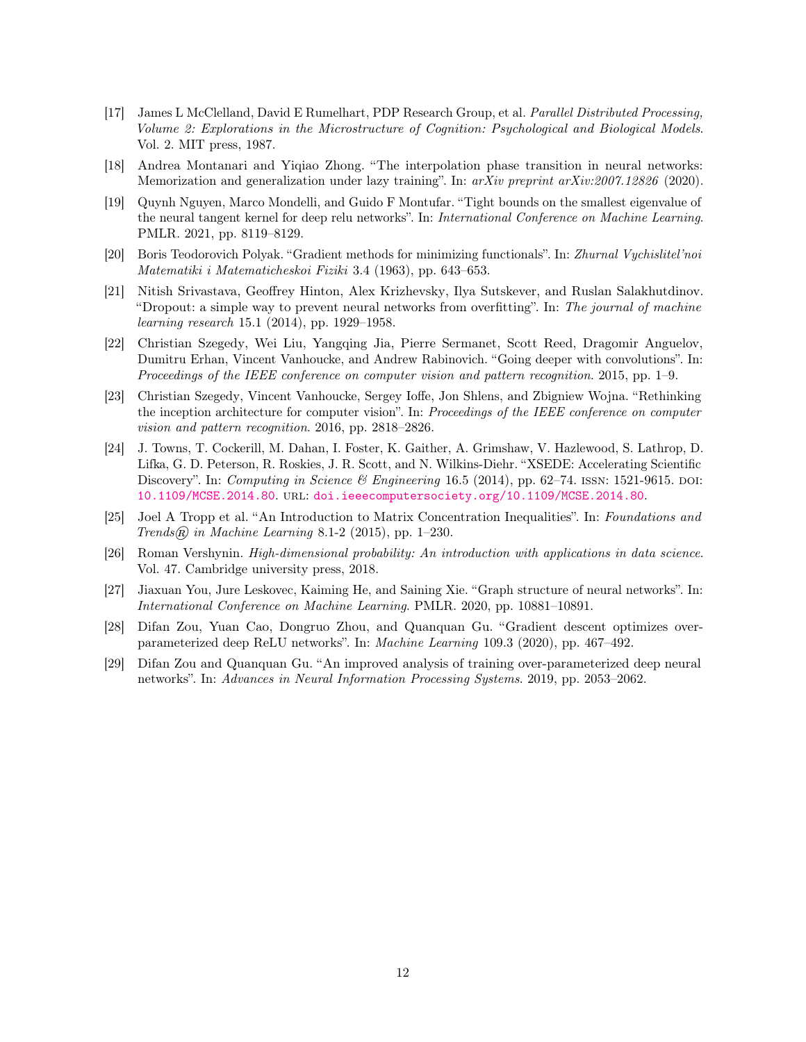- <span id="page-11-1"></span>[17] James L McClelland, David E Rumelhart, PDP Research Group, et al. Parallel Distributed Processing, Volume 2: Explorations in the Microstructure of Cognition: Psychological and Biological Models. Vol. 2. MIT press, 1987.
- <span id="page-11-9"></span>[18] Andrea Montanari and Yiqiao Zhong. "The interpolation phase transition in neural networks: Memorization and generalization under lazy training". In: arXiv preprint arXiv:2007.12826 (2020).
- <span id="page-11-10"></span>[19] Quynh Nguyen, Marco Mondelli, and Guido F Montufar. "Tight bounds on the smallest eigenvalue of the neural tangent kernel for deep relu networks". In: International Conference on Machine Learning. PMLR. 2021, pp. 8119–8129.
- <span id="page-11-6"></span>[20] Boris Teodorovich Polyak. "Gradient methods for minimizing functionals". In: Zhurnal Vychislitel'noi Matematiki i Matematicheskoi Fiziki 3.4 (1963), pp. 643–653.
- <span id="page-11-2"></span>[21] Nitish Srivastava, Geoffrey Hinton, Alex Krizhevsky, Ilya Sutskever, and Ruslan Salakhutdinov. "Dropout: a simple way to prevent neural networks from overfitting". In: The journal of machine learning research 15.1 (2014), pp. 1929–1958.
- <span id="page-11-7"></span>[22] Christian Szegedy, Wei Liu, Yangqing Jia, Pierre Sermanet, Scott Reed, Dragomir Anguelov, Dumitru Erhan, Vincent Vanhoucke, and Andrew Rabinovich. "Going deeper with convolutions". In: Proceedings of the IEEE conference on computer vision and pattern recognition. 2015, pp. 1–9.
- <span id="page-11-8"></span>[23] Christian Szegedy, Vincent Vanhoucke, Sergey Ioffe, Jon Shlens, and Zbigniew Wojna. "Rethinking the inception architecture for computer vision". In: Proceedings of the IEEE conference on computer vision and pattern recognition. 2016, pp. 2818–2826.
- <span id="page-11-11"></span>[24] J. Towns, T. Cockerill, M. Dahan, I. Foster, K. Gaither, A. Grimshaw, V. Hazlewood, S. Lathrop, D. Lifka, G. D. Peterson, R. Roskies, J. R. Scott, and N. Wilkins-Diehr. "XSEDE: Accelerating Scientific Discovery". In: Computing in Science & Engineering 16.5 (2014), pp. 62–74. ISSN: 1521-9615. DOI: [10.1109/MCSE.2014.80](https://doi.org/10.1109/MCSE.2014.80). url: <doi.ieeecomputersociety.org/10.1109/MCSE.2014.80>.
- <span id="page-11-4"></span>[25] Joel A Tropp et al. "An Introduction to Matrix Concentration Inequalities". In: Foundations and Trends $\mathcal{R}$  in Machine Learning 8.1-2 (2015), pp. 1–230.
- <span id="page-11-12"></span>[26] Roman Vershynin. High-dimensional probability: An introduction with applications in data science. Vol. 47. Cambridge university press, 2018.
- <span id="page-11-0"></span>[27] Jiaxuan You, Jure Leskovec, Kaiming He, and Saining Xie. "Graph structure of neural networks". In: International Conference on Machine Learning. PMLR. 2020, pp. 10881–10891.
- <span id="page-11-3"></span>[28] Difan Zou, Yuan Cao, Dongruo Zhou, and Quanquan Gu. "Gradient descent optimizes overparameterized deep ReLU networks". In: Machine Learning 109.3 (2020), pp. 467–492.
- <span id="page-11-5"></span>[29] Difan Zou and Quanquan Gu. "An improved analysis of training over-parameterized deep neural networks". In: Advances in Neural Information Processing Systems. 2019, pp. 2053–2062.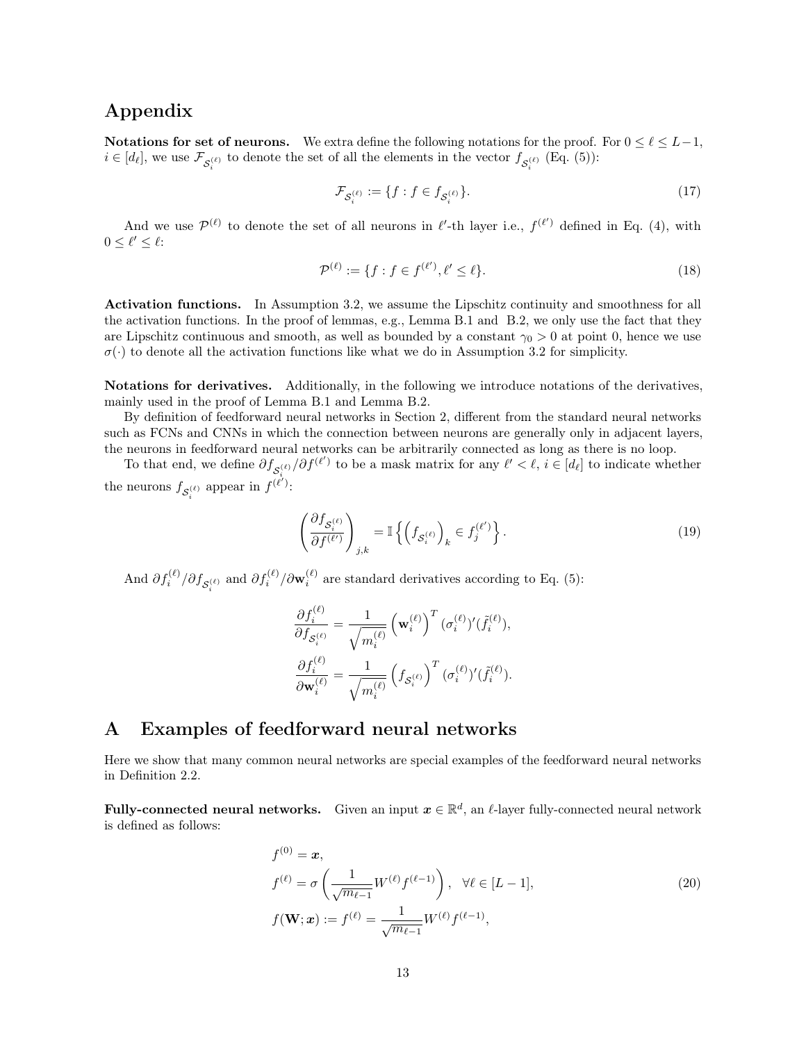### Appendix

Notations for set of neurons. We extra define the following notations for the proof. For  $0 \leq \ell \leq L-1$ ,  $i \in [d_\ell],$  we use  $\mathcal{F}_{\mathcal{S}_i^{(\ell)}}$  to denote the set of all the elements in the vector  $f_{\mathcal{S}_i^{(\ell)}}$  (Eq. [\(5\)](#page-4-0)):

<span id="page-12-2"></span>
$$
\mathcal{F}_{\mathcal{S}_i^{(\ell)}} := \{ f : f \in f_{\mathcal{S}_i^{(\ell)}} \}. \tag{17}
$$

And we use  $\mathcal{P}^{(\ell)}$  to denote the set of all neurons in  $\ell'$ -th layer i.e.,  $f^{(\ell')}$  defined in Eq. [\(4\)](#page-3-1), with  $0 \leq \ell' \leq \ell$ :

$$
\mathcal{P}^{(\ell)} := \{ f : f \in f^{(\ell')}, \ell' \le \ell \}. \tag{18}
$$

Activation functions. In Assumption [3.2,](#page-5-0) we assume the Lipschitz continuity and smoothness for all the activation functions. In the proof of lemmas, e.g., Lemma [B.1](#page-15-1) and [B.2,](#page-15-2) we only use the fact that they are Lipschitz continuous and smooth, as well as bounded by a constant  $\gamma_0 > 0$  at point 0, hence we use  $\sigma(\cdot)$  to denote all the activation functions like what we do in Assumption [3.2](#page-5-0) for simplicity.

Notations for derivatives. Additionally, in the following we introduce notations of the derivatives, mainly used in the proof of Lemma [B.1](#page-15-1) and Lemma [B.2.](#page-15-2)

By definition of feedforward neural networks in Section [2,](#page-1-0) different from the standard neural networks such as FCNs and CNNs in which the connection between neurons are generally only in adjacent layers, the neurons in feedforward neural networks can be arbitrarily connected as long as there is no loop.

To that end, we define  $\partial f_{\mathcal{S}_{i}^{(\ell)}}/\partial f^{(\ell')}$  to be a mask matrix for any  $\ell' < \ell, i \in [d_{\ell}]$  to indicate whether the neurons  $f_{\mathcal{S}_i^{(\ell)}}$  appear in  $f^{(\ell')}:$ 

<span id="page-12-3"></span>
$$
\left(\frac{\partial f_{\mathcal{S}_i^{(\ell)}}}{\partial f^{(\ell')}}\right)_{j,k} = \mathbb{I}\left\{\left(f_{\mathcal{S}_i^{(\ell)}}\right)_k \in f_j^{(\ell')}\right\}.
$$
\n(19)

And  $\partial f_i^{(\ell)}/\partial f_{S_i^{(\ell)}}$  and  $\partial f_i^{(\ell)}/\partial \mathbf{w}_i^{(\ell)}$  are standard derivatives according to Eq. [\(5\)](#page-4-0):

$$
\frac{\partial f_i^{(\ell)}}{\partial f_{\mathcal{S}_i^{(\ell)}}} = \frac{1}{\sqrt{m_i^{(\ell)}}} \left(\mathbf{w}_i^{(\ell)}\right)^T (\sigma_i^{(\ell)})'(\tilde{f}_i^{(\ell)}),
$$

$$
\frac{\partial f_i^{(\ell)}}{\partial \mathbf{w}_i^{(\ell)}} = \frac{1}{\sqrt{m_i^{(\ell)}}} \left(f_{\mathcal{S}_i^{(\ell)}}\right)^T (\sigma_i^{(\ell)})'(\tilde{f}_i^{(\ell)}).
$$

# <span id="page-12-0"></span>A Examples of feedforward neural networks

Here we show that many common neural networks are special examples of the feedforward neural networks in Definition [2.2.](#page-2-2)

Fully-connected neural networks. Given an input  $\bm{x} \in \mathbb{R}^d$ , an  $\ell$ -layer fully-connected neural network is defined as follows:

<span id="page-12-1"></span>
$$
f^{(0)} = \mathbf{x},
$$
  
\n
$$
f^{(\ell)} = \sigma \left( \frac{1}{\sqrt{m_{\ell-1}}} W^{(\ell)} f^{(\ell-1)} \right), \quad \forall \ell \in [L-1],
$$
  
\n
$$
f(\mathbf{W}; \mathbf{x}) := f^{(\ell)} = \frac{1}{\sqrt{m_{\ell-1}}} W^{(\ell)} f^{(\ell-1)},
$$
\n(20)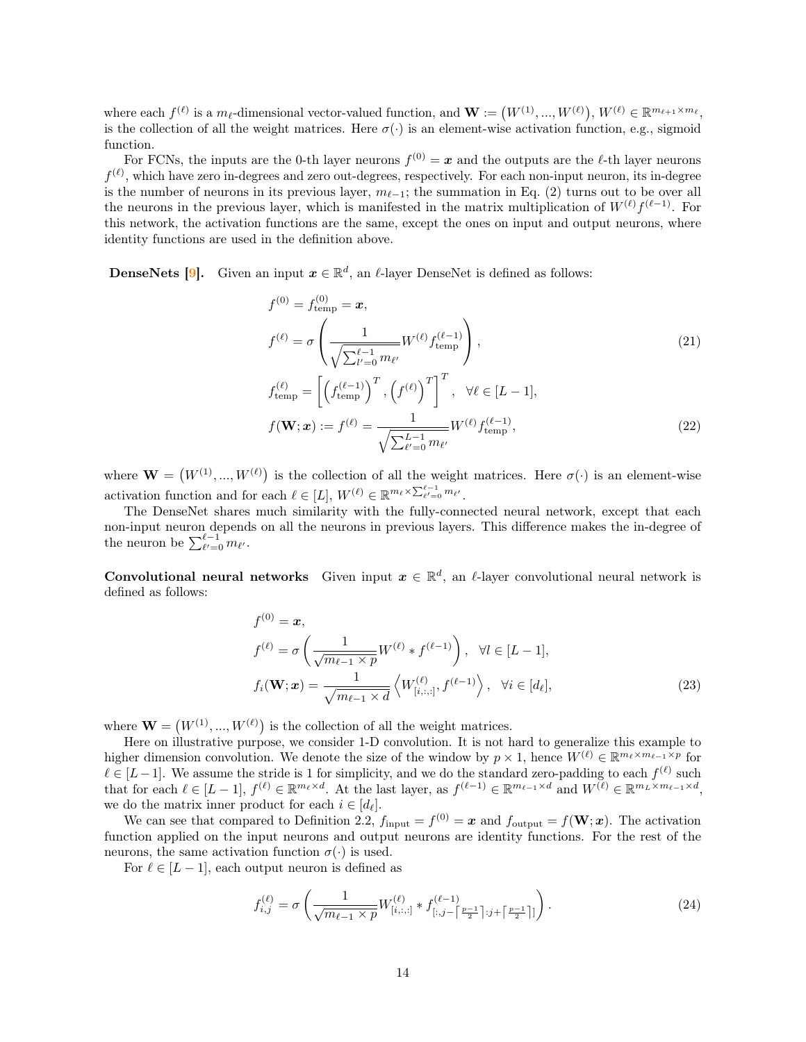where each  $f^{(\ell)}$  is a  $m_{\ell}$ -dimensional vector-valued function, and  $\mathbf{W} := (W^{(1)}, ..., W^{(\ell)}), W^{(\ell)} \in \mathbb{R}^{m_{\ell+1} \times m_{\ell}}$ , is the collection of all the weight matrices. Here  $\sigma(\cdot)$  is an element-wise activation function, e.g., sigmoid function.

For FCNs, the inputs are the 0-th layer neurons  $f^{(0)} = x$  and the outputs are the  $\ell$ -th layer neurons  $f^{(\ell)}$ , which have zero in-degrees and zero out-degrees, respectively. For each non-input neuron, its in-degree is the number of neurons in its previous layer,  $m_{\ell-1}$ ; the summation in Eq. [\(2\)](#page-2-1) turns out to be over all the neurons in the previous layer, which is manifested in the matrix multiplication of  $W^{(\ell)}f^{(\ell-1)}$ . For this network, the activation functions are the same, except the ones on input and output neurons, where identity functions are used in the definition above.

**DenseNets** [\[9\]](#page-10-7). Given an input  $x \in \mathbb{R}^d$ , an  $\ell$ -layer DenseNet is defined as follows:

$$
f^{(0)} = f_{\text{temp}}^{(0)} = \mathbf{x},
$$
  
\n
$$
f^{(\ell)} = \sigma \left( \frac{1}{\sqrt{\sum_{l'=0}^{\ell-1} m_{\ell'}}} W^{(\ell)} f_{\text{temp}}^{(\ell-1)} \right),
$$
  
\n
$$
f_{\text{temp}}^{(\ell)} = \left[ \left( f_{\text{temp}}^{(\ell-1)} \right)^T, \left( f^{(\ell)} \right)^T \right]^T, \quad \forall \ell \in [L-1],
$$
  
\n
$$
f(\mathbf{W}; \mathbf{x}) := f^{(\ell)} = \frac{1}{\sqrt{\sum_{\ell'=0}^{L-1} m_{\ell'}}} W^{(\ell)} f_{\text{temp}}^{(\ell-1)},
$$
\n(22)

where  $\mathbf{W} = (W^{(1)}, ..., W^{(\ell)})$  is the collection of all the weight matrices. Here  $\sigma(\cdot)$  is an element-wise activation function and for each  $\ell \in [L], W^{(\ell)} \in \mathbb{R}^{m_{\ell} \times \sum_{\ell'=0}^{\ell-1} m_{\ell'}}$ .

The DenseNet shares much similarity with the fully-connected neural network, except that each non-input neuron depends on all the neurons in previous layers. This difference makes the in-degree of the neuron be  $\sum_{\ell'=0}^{\ell-1} m_{\ell'}$ .

Convolutional neural networks Given input  $x \in \mathbb{R}^d$ , an  $\ell$ -layer convolutional neural network is defined as follows:

$$
f^{(0)} = \boldsymbol{x},
$$
  
\n
$$
f^{(\ell)} = \sigma \left( \frac{1}{\sqrt{m_{\ell-1} \times p}} W^{(\ell)} * f^{(\ell-1)} \right), \quad \forall l \in [L-1],
$$
  
\n
$$
f_i(\mathbf{W}; \boldsymbol{x}) = \frac{1}{\sqrt{m_{\ell-1} \times d}} \left\langle W^{(\ell)}_{[i, :, :]}, f^{(\ell-1)} \right\rangle, \quad \forall i \in [d_{\ell}],
$$
\n(23)

where  $\mathbf{W} = (W^{(1)}, ..., W^{(\ell)})$  is the collection of all the weight matrices.

Here on illustrative purpose, we consider 1-D convolution. It is not hard to generalize this example to higher dimension convolution. We denote the size of the window by  $p \times 1$ , hence  $W^{(\ell)} \in \mathbb{R}^{m_{\ell} \times m_{\ell-1} \times p}$  for  $\ell \in [L-1]$ . We assume the stride is 1 for simplicity, and we do the standard zero-padding to each  $f^{(\ell)}$  such that for each  $\ell \in [L-1]$ ,  $f^{(\ell)} \in \mathbb{R}^{m_{\ell} \times d}$ . At the last layer, as  $f^{(\ell-1)} \in \mathbb{R}^{m_{\ell-1} \times d}$  and  $W^{(\ell)} \in \mathbb{R}^{m_L \times m_{\ell-1} \times d}$ , we do the matrix inner product for each  $i \in [d_{\ell}]$ .

We can see that compared to Definition [2.2,](#page-2-2)  $f_{\text{input}} = f^{(0)} = \boldsymbol{x}$  and  $f_{\text{output}} = f(\boldsymbol{W}; \boldsymbol{x})$ . The activation function applied on the input neurons and output neurons are identity functions. For the rest of the neurons, the same activation function  $\sigma(\cdot)$  is used.

For  $\ell \in [L - 1]$ , each output neuron is defined as

<span id="page-13-0"></span>
$$
f_{i,j}^{(\ell)} = \sigma \left( \frac{1}{\sqrt{m_{\ell-1} \times p}} W_{[i,:,:]}^{(\ell)} * f_{[:,j-1]}^{(\ell-1)} \right). \tag{24}
$$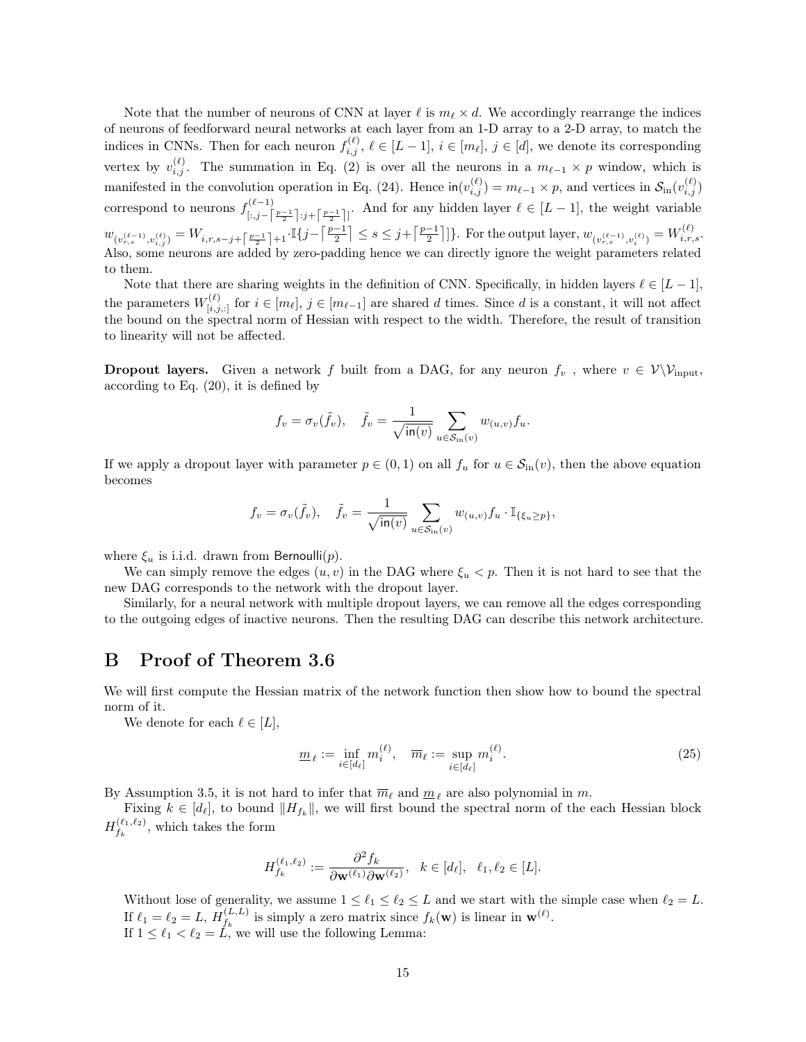Note that the number of neurons of CNN at layer  $\ell$  is  $m_{\ell} \times d$ . We accordingly rearrange the indices of neurons of feedforward neural networks at each layer from an 1-D array to a 2-D array, to match the indices in CNNs. Then for each neuron  $f_{i,j}^{(\ell)}$ ,  $\ell \in [L-1]$ ,  $i \in [m_{\ell}], j \in [d]$ , we denote its corresponding vertex by  $v_{i,j}^{(\ell)}$ . The summation in Eq. [\(2\)](#page-2-1) is over all the neurons in a  $m_{\ell-1} \times p$  window, which is manifested in the convolution operation in Eq. [\(24\)](#page-13-0). Hence  $\text{in}(v_{i,j}^{(\ell)}) = m_{\ell-1} \times p$ , and vertices in  $\mathcal{S}_{\text{in}}(v_{i,j}^{(\ell)})$ correspond to neurons  $f_{i}^{(\ell-1)}$  $[::(l-1)]$ <br>  $[:,j-[<sup>p-1</sup>]<sub>2</sub>]$ ;  $j+[<sup>p-1</sup>]<sub>2</sub>]$ . And for any hidden layer  $l \in [L-1]$ , the weight variable  $w_{(v_{r,s}^{(\ell-1)},v_{i,j}^{(\ell)})} = W_{i,r,s-j+\left\lceil\frac{p-1}{2}\right\rceil+1} \cdot \mathbb{I}\{j-\left\lceil\frac{p-1}{2}\right\rceil \leq s \leq j+\left\lceil\frac{p-1}{2}\right\rceil\}$ . For the output layer,  $w_{(v_{r,s}^{(\ell-1)},v_{i}^{(\ell)})} = W_{i,r,s}^{(\ell)}$ . Also, some neurons are added by zero-padding hence we can directly ignore the weight parameters related to them.

Note that there are sharing weights in the definition of CNN. Specifically, in hidden layers  $\ell \in [L-1]$ , the parameters  $W_{[i,j,:]}^{(\ell)}$  for  $i \in [m_{\ell}], j \in [m_{\ell-1}]$  are shared d times. Since d is a constant, it will not affect the bound on the spectral norm of Hessian with respect to the width. Therefore, the result of transition to linearity will not be affected.

**Dropout layers.** Given a network f built from a DAG, for any neuron  $f_v$ , where  $v \in V\backslash \mathcal{V}_{input}$ , according to Eq. [\(20\)](#page-12-1), it is defined by

$$
f_v = \sigma_v(\tilde{f}_v), \quad \tilde{f}_v = \frac{1}{\sqrt{\text{in}(v)}} \sum_{u \in \mathcal{S}_{\text{in}}(v)} w_{(u,v)} f_u.
$$

If we apply a dropout layer with parameter  $p \in (0,1)$  on all  $f_u$  for  $u \in \mathcal{S}_{\text{in}}(v)$ , then the above equation becomes

$$
f_v = \sigma_v(\tilde{f}_v), \quad \tilde{f}_v = \frac{1}{\sqrt{\text{in}(v)}} \sum_{u \in S_{\text{in}}(v)} w_{(u,v)} f_u \cdot \mathbb{I}_{\{\xi_u \ge p\}},
$$

where  $\xi_u$  is i.i.d. drawn from Bernoulli(p).

We can simply remove the edges  $(u, v)$  in the DAG where  $\xi_u < p$ . Then it is not hard to see that the new DAG corresponds to the network with the dropout layer.

Similarly, for a neural network with multiple dropout layers, we can remove all the edges corresponding to the outgoing edges of inactive neurons. Then the resulting DAG can describe this network architecture.

#### <span id="page-14-0"></span>B Proof of Theorem [3.6](#page-6-2)

We will first compute the Hessian matrix of the network function then show how to bound the spectral norm of it.

We denote for each  $\ell \in [L],$ 

<span id="page-14-1"></span>
$$
\underline{m}_{\ell} := \inf_{i \in [d_{\ell}]} m_i^{(\ell)}, \quad \overline{m}_{\ell} := \sup_{i \in [d_{\ell}]} m_i^{(\ell)}.
$$
\n(25)

By Assumption [3.5,](#page-5-3) it is not hard to infer that  $\overline{m}_{\ell}$  and  $\underline{m}_{\ell}$  are also polynomial in  $m$ .

Fixing  $k \in [d_\ell]$ , to bound  $||H_{f_k}||$ , we will first bound the spectral norm of the each Hessian block  $H_{f_n}^{(\ell_1,\ell_2)}$  $f_k^{(\ell_1,\ell_2)}$ , which takes the form

$$
H_{f_k}^{(\ell_1,\ell_2)} := \frac{\partial^2 f_k}{\partial \mathbf{w}^{(\ell_1)} \partial \mathbf{w}^{(\ell_2)}}, \quad k \in [d_\ell], \quad \ell_1, \ell_2 \in [L].
$$

Without lose of generality, we assume  $1 \leq \ell_1 \leq \ell_2 \leq L$  and we start with the simple case when  $\ell_2 = L$ . If  $\ell_1 = \ell_2 = L, H_{f_k}^{(L,L)}$  $f_k^{(L,L)}$  is simply a zero matrix since  $f_k(\mathbf{w})$  is linear in  $\mathbf{w}^{(\ell)}$ . If  $1 \leq \ell_1 < \ell_2 = L$ , we will use the following Lemma: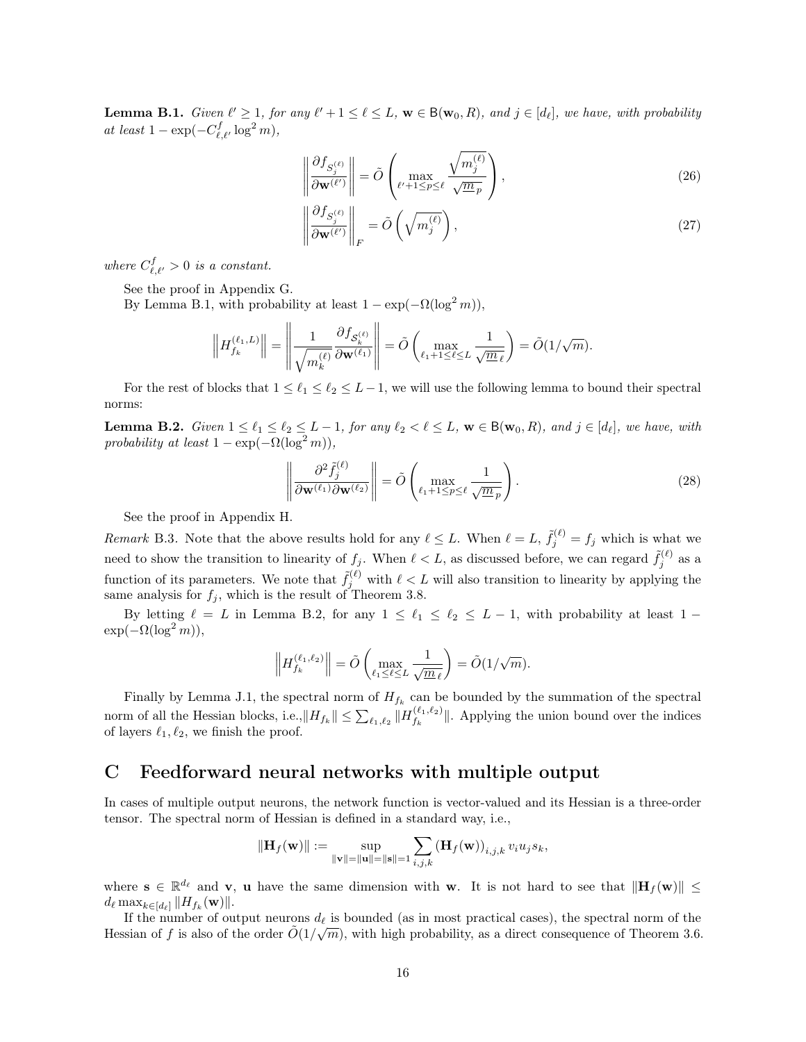<span id="page-15-1"></span>**Lemma B.1.** Given  $\ell' \geq 1$ , for any  $\ell' + 1 \leq \ell \leq L$ ,  $\mathbf{w} \in B(\mathbf{w}_0, R)$ , and  $j \in [d_\ell]$ , we have, with probability at least  $1 - \exp(-C_{\ell,\ell'}^f \log^2 m),$ 

<span id="page-15-3"></span>
$$
\left\| \frac{\partial f_{S_j^{(\ell)}}}{\partial \mathbf{w}^{(\ell')}} \right\| = \tilde{O} \left( \max_{\ell' + 1 \le p \le \ell} \frac{\sqrt{m_j^{(\ell)}}}{\sqrt{m_p}} \right),\tag{26}
$$

<span id="page-15-4"></span>
$$
\left\| \frac{\partial f_{S_j^{(\ell)}}}{\partial \mathbf{w}^{(\ell')}} \right\|_F = \tilde{O}\left(\sqrt{m_j^{(\ell)}}\right),\tag{27}
$$

where  $C_{\ell,\ell'}^f > 0$  is a constant.

See the proof in Appendix [G.](#page-19-0)

By Lemma [B.1,](#page-15-1) with probability at least  $1 - \exp(-\Omega(\log^2 m))$ ,

$$
\left\| H_{f_k}^{(\ell_1,L)} \right\| = \left\| \frac{1}{\sqrt{m_k^{(\ell)}}} \frac{\partial f_{\mathcal{S}_k^{(\ell)}}}{\partial \mathbf{w}^{(\ell_1)}} \right\| = \tilde{O}\left( \max_{\ell_1+1 \leq \ell \leq L} \frac{1}{\sqrt{\underline{m}_\ell}} \right) = \tilde{O}(1/\sqrt{m}).
$$

For the rest of blocks that  $1 \leq \ell_1 \leq \ell_2 \leq L-1$ , we will use the following lemma to bound their spectral norms:

<span id="page-15-2"></span>**Lemma B.2.** Given  $1 \leq \ell_1 \leq \ell_2 \leq L-1$ , for any  $\ell_2 < \ell \leq L$ ,  $\mathbf{w} \in B(\mathbf{w}_0, R)$ , and  $j \in [d_\ell]$ , we have, with probability at least  $1 - \exp(-\Omega(\log^2 m))$ ,

<span id="page-15-5"></span>
$$
\left\| \frac{\partial^2 \tilde{f}_j^{(\ell)}}{\partial \mathbf{w}^{(\ell_1)} \partial \mathbf{w}^{(\ell_2)}} \right\| = \tilde{O} \left( \max_{\ell_1 + 1 \le p \le \ell} \frac{1}{\sqrt{m_p}} \right).
$$
\n(28)

See the proof in Appendix [H.](#page-22-0)

Remark B.3. Note that the above results hold for any  $\ell \leq L$ . When  $\ell = L$ ,  $\tilde{f}_j^{(\ell)} = f_j$  which is what we need to show the transition to linearity of  $f_j$ . When  $\ell < L$ , as discussed before, we can regard  $\tilde{f}_j^{(\ell)}$  as a function of its parameters. We note that  $\tilde{f}_j^{(\ell)}$  with  $\ell < L$  will also transition to linearity by applying the same analysis for  $f_i$ , which is the result of Theorem [3.8.](#page-6-0)

By letting  $\ell = L$  in Lemma [B.2,](#page-15-2) for any  $1 \leq \ell_1 \leq \ell_2 \leq L - 1$ , with probability at least 1 −  $\exp(-\Omega(\log^2 m)),$ 

$$
\left\|H_{f_k}^{(\ell_1,\ell_2)}\right\| = \tilde{O}\left(\max_{\ell_1\leq \ell\leq L}\frac{1}{\sqrt{\underline{m}_\ell}}\right) = \tilde{O}(1/\sqrt{m}).
$$

Finally by Lemma [J.1,](#page-25-0) the spectral norm of  $H_{f_k}$  can be bounded by the summation of the spectral norm of all the Hessian blocks, i.e.,  $\|H_{f_k}\| \leq \sum_{\ell_1,\ell_2} \|H_{f_k}^{(\ell_1,\ell_2)}\|$  $\|f_k^{(k_1,k_2)}\|$ . Applying the union bound over the indices of layers  $\ell_1, \ell_2$ , we finish the proof.

# <span id="page-15-0"></span>C Feedforward neural networks with multiple output

In cases of multiple output neurons, the network function is vector-valued and its Hessian is a three-order tensor. The spectral norm of Hessian is defined in a standard way, i.e.,

$$
\|\mathbf{H}_f(\mathbf{w})\| := \sup_{\|\mathbf{v}\|=\|\mathbf{u}\|=\|\mathbf{s}\|=1} \sum_{i,j,k} \left(\mathbf{H}_f(\mathbf{w})\right)_{i,j,k} v_i u_j s_k,
$$

where  $\mathbf{s} \in \mathbb{R}^{d_{\ell}}$  and **v**, **u** have the same dimension with **w**. It is not hard to see that  $\|\mathbf{H}_f(\mathbf{w})\| \leq$  $d_\ell \max_{k \in [d_\ell]} \| H_{f_k}(\mathbf{w}) \|.$ 

If the number of output neurons  $d_\ell$  is bounded (as in most practical cases), the spectral norm of the Hessian of f is also of the order  $\tilde{O}(1/\sqrt{m})$ , with high probability, as a direct consequence of Theorem [3.6.](#page-6-2)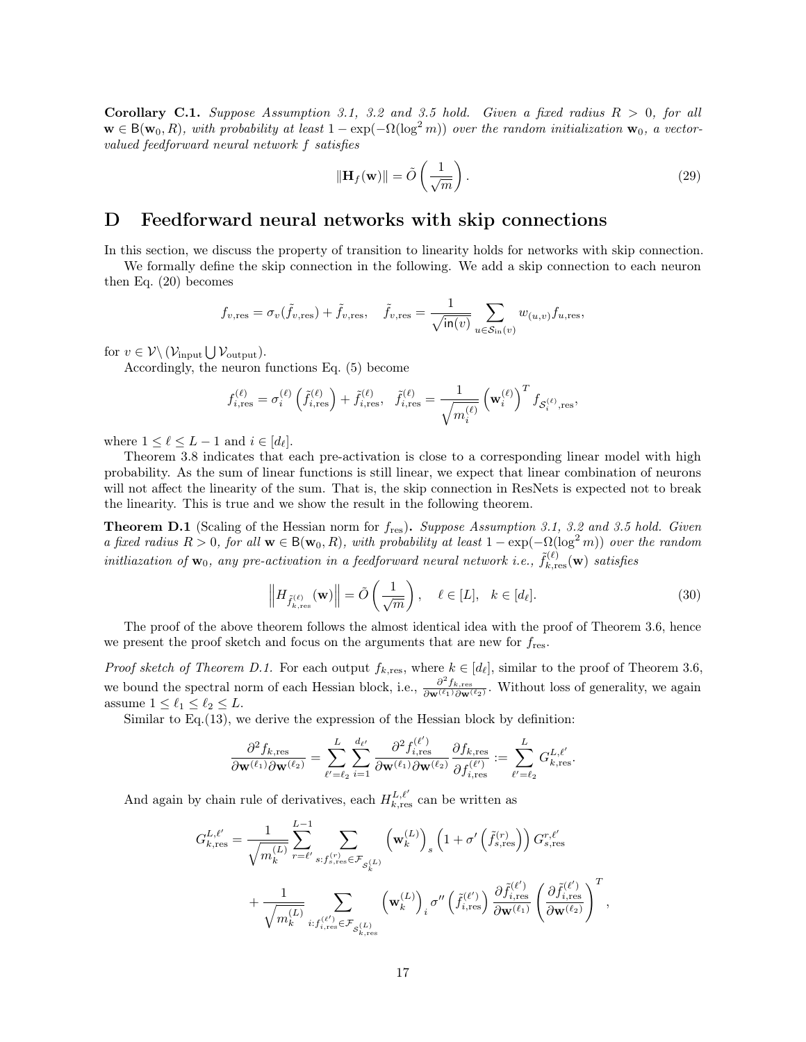<span id="page-16-1"></span>Corollary C.1. Suppose Assumption [3.1,](#page-5-2) [3.2](#page-5-0) and [3.5](#page-5-3) hold. Given a fixed radius  $R > 0$ , for all  $\mathbf{w} \in \mathsf{B}(\mathbf{w}_0, R)$ , with probability at least  $1 - \exp(-\Omega(\log^2 m))$  over the random initialization  $\mathbf{w}_0$ , a vectorvalued feedforward neural network f satisfies

$$
\|\mathbf{H}_f(\mathbf{w})\| = \tilde{O}\left(\frac{1}{\sqrt{m}}\right). \tag{29}
$$

#### <span id="page-16-0"></span>D Feedforward neural networks with skip connections

In this section, we discuss the property of transition to linearity holds for networks with skip connection.

We formally define the skip connection in the following. We add a skip connection to each neuron then Eq. [\(20\)](#page-12-1) becomes

$$
f_{v,\text{res}} = \sigma_v(\tilde{f}_{v,\text{res}}) + \tilde{f}_{v,\text{res}}, \quad \tilde{f}_{v,\text{res}} = \frac{1}{\sqrt{\text{in}(v)}} \sum_{u \in S_{\text{in}}(v)} w_{(u,v)} f_{u,\text{res}},
$$

for  $v \in \mathcal{V} \backslash (\mathcal{V}_{\text{input}} \bigcup \mathcal{V}_{\text{output}}).$ 

Accordingly, the neuron functions Eq. [\(5\)](#page-4-0) become

$$
f_{i, \text{res}}^{(\ell)} = \sigma_i^{(\ell)} \left( \tilde{f}_{i, \text{res}}^{(\ell)} \right) + \tilde{f}_{i, \text{res}}^{(\ell)}, \ \ \tilde{f}_{i, \text{res}}^{(\ell)} = \frac{1}{\sqrt{m_i^{(\ell)}}} \left( \mathbf{w}_i^{(\ell)} \right)^T f_{\mathcal{S}_i^{(\ell)}, \text{res}},
$$

where  $1 \leq \ell \leq L - 1$  and  $i \in [d_{\ell}].$ 

Theorem [3.8](#page-6-0) indicates that each pre-activation is close to a corresponding linear model with high probability. As the sum of linear functions is still linear, we expect that linear combination of neurons will not affect the linearity of the sum. That is, the skip connection in ResNets is expected not to break the linearity. This is true and we show the result in the following theorem.

<span id="page-16-2"></span>**Theorem D.1** (Scaling of the Hessian norm for  $f_{res}$ ). Suppose Assumption [3.1,](#page-5-2) [3.2](#page-5-0) and [3.5](#page-5-3) hold. Given a fixed radius  $R > 0$ , for all  $\mathbf{w} \in B(\mathbf{w}_0, R)$ , with probability at least  $1 - \exp(-\Omega(\log^2 m))$  over the random initliazation of  $\mathbf{w}_0$ , any pre-activation in a feedforward neural network i.e.,  $\tilde{f}_{k,\rm{res}}^{(\ell)}(\mathbf{w})$  satisfies

$$
\left\| H_{\tilde{f}_{k,\text{res}}^{(\ell)}}(\mathbf{w}) \right\| = \tilde{O}\left(\frac{1}{\sqrt{m}}\right), \quad \ell \in [L], \quad k \in [d_{\ell}].
$$
\n(30)

The proof of the above theorem follows the almost identical idea with the proof of Theorem [3.6,](#page-6-2) hence we present the proof sketch and focus on the arguments that are new for  $f_{res}$ .

*Proof sketch of Theorem [D.1.](#page-16-2)* For each output  $f_{k,\text{res}}$ , where  $k \in [d_\ell]$ , similar to the proof of Theorem [3.6,](#page-6-2) we bound the spectral norm of each Hessian block, i.e.,  $\frac{\partial^2 f_{k,res}}{\partial \mathbf{w}(\ell_1) \partial \mathbf{w}(\ell_2)}$  $\frac{\partial J_{k,\text{res}}}{\partial \mathbf{w}^{(\ell_1)}\partial \mathbf{w}^{(\ell_2)}}$ . Without loss of generality, we again assume  $1 \leq \ell_1 \leq \ell_2 \leq L$ .

Similar to Eq.[\(13\)](#page-7-1), we derive the expression of the Hessian block by definition:

$$
\frac{\partial^2 f_{k,\text{res}}}{\partial \mathbf{w}^{(\ell_1)} \partial \mathbf{w}^{(\ell_2)}} = \sum_{\ell'= \ell_2}^{L} \sum_{i=1}^{d_{\ell'}} \frac{\partial^2 f_{i,\text{res}}^{(\ell')}}{\partial \mathbf{w}^{(\ell_1)} \partial \mathbf{w}^{(\ell_2)}} \frac{\partial f_{k,\text{res}}}{\partial f_{i,\text{res}}^{(\ell')}} := \sum_{\ell'= \ell_2}^{L} G_{k,\text{res}}^{L,\ell'}.
$$

And again by chain rule of derivatives, each  $H_{k,\text{res}}^{L,\ell'}$  can be written as

$$
G_{k,\mathrm{res}}^{L,\ell'} = \frac{1}{\sqrt{m_k^{(L)}}} \sum_{r=\ell'}^{L-1} \sum_{s: f_{s,\mathrm{res}}^{(r)} \in \mathcal{F}_{\mathcal{S}_k^{(L)}}} \left(\mathbf{w}_k^{(L)}\right)_s \left(1 + \sigma'\left(\tilde{f}_{s,\mathrm{res}}^{(r)}\right)\right) G_{s,\mathrm{res}}^{r,\ell'} + \frac{1}{\sqrt{m_k^{(L)}}} \sum_{i: f_{i,\mathrm{res}}^{(\ell')} \in \mathcal{F}_{\mathcal{S}_{k,\mathrm{res}}}^{(L)}} \left(\mathbf{w}_k^{(L)}\right)_i \sigma''\left(\tilde{f}_{i,\mathrm{res}}^{(\ell')}\right) \frac{\partial \tilde{f}_{i,\mathrm{res}}^{(\ell')}}{\partial \mathbf{w}^{(\ell_1)}} \left(\frac{\partial \tilde{f}_{i,\mathrm{res}}^{(\ell')}}{\partial \mathbf{w}^{(\ell_2)}}\right)^T,
$$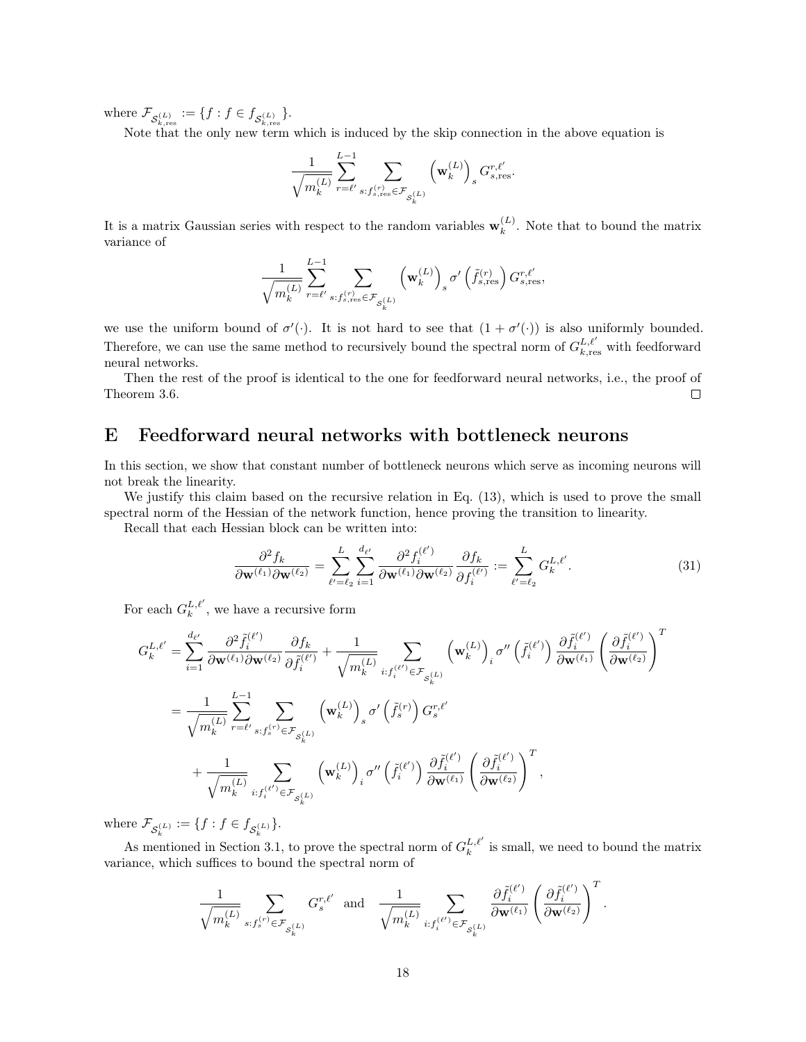where  $\mathcal{F}_{\mathcal{S}_{k,\mathrm{res}}^{(L)}} := \{f : f \in f_{\mathcal{S}_{k,\mathrm{res}}^{(L)}}\}.$ 

Note that the only new term which is induced by the skip connection in the above equation is

$$
\frac{1}{\sqrt{m_k^{(L)}}}\sum_{r=\ell'}^{L-1}\sum_{s: f_{s,{\rm res}}^{(r)}\in\mathcal{F}_{\mathcal{S}_k^{(L)}}}\left(\mathbf{w}_k^{(L)}\right)_sG_{s,{\rm res}}^{r,\ell'}.
$$

It is a matrix Gaussian series with respect to the random variables  $\mathbf{w}_k^{(L)}$  $k^{(L)}$ . Note that to bound the matrix variance of

$$
\frac{1}{\sqrt{m_{k}^{\left(L\right)}}}\sum_{r=\ell^{\prime}}^{L-1}\sum_{s:\boldsymbol{f}_{s,\text{res}}^{\left(r\right)}\in\mathcal{F}_{\mathcal{S}_{k}^{\left(L\right)}}}\left(\mathbf{w}_{k}^{\left(L\right)}\right)_{s}\sigma^{\prime}\left(\widetilde{f}_{s,\text{res}}^{\left(r\right)}\right)G_{s,\text{res}}^{r,\ell^{\prime}},
$$

we use the uniform bound of  $\sigma'(\cdot)$ . It is not hard to see that  $(1 + \sigma'(\cdot))$  is also uniformly bounded. Therefore, we can use the same method to recursively bound the spectral norm of  $G_{k,res}^{L,\ell'}$  with feedforward neural networks.

Then the rest of the proof is identical to the one for feedforward neural networks, i.e., the proof of Theorem [3.6.](#page-6-2)  $\Box$ 

#### <span id="page-17-0"></span>E Feedforward neural networks with bottleneck neurons

L

In this section, we show that constant number of bottleneck neurons which serve as incoming neurons will not break the linearity.

We justify this claim based on the recursive relation in Eq.  $(13)$ , which is used to prove the small spectral norm of the Hessian of the network function, hence proving the transition to linearity.

Recall that each Hessian block can be written into:

$$
\frac{\partial^2 f_k}{\partial \mathbf{w}^{(\ell_1)} \partial \mathbf{w}^{(\ell_2)}} = \sum_{\ell'= \ell_2}^{L} \sum_{i=1}^{d_{\ell'}} \frac{\partial^2 f_i^{(\ell')}}{\partial \mathbf{w}^{(\ell_1)} \partial \mathbf{w}^{(\ell_2)}} \frac{\partial f_k}{\partial f_i^{(\ell')}} := \sum_{\ell'= \ell_2}^{L} G_k^{L, \ell'}.
$$
(31)

For each  $G_k^{L,\ell'}$ , we have a recursive form

$$
\begin{split} G_k^{L,\ell'}&=\sum_{i=1}^{d_{\ell'}}\frac{\partial^2 \tilde{f}_i^{(\ell')}}{\partial \mathbf{w}^{(\ell_1)}\partial \mathbf{w}^{(\ell_2)}}\frac{\partial f_k}{\partial \tilde{f}_i^{(\ell')}}+\frac{1}{\sqrt{m_k^{(L)}}}\sum_{i:f_i^{(\ell')} \in \mathcal{F}_{\mathcal{S}_k^{(L)}}}\left(\mathbf{w}_k^{(L)}\right)_{i}\sigma''\left(\tilde{f}_i^{(\ell')}\right)\frac{\partial \tilde{f}_i^{(\ell')}}{\partial \mathbf{w}^{(\ell_1)}}\left(\frac{\partial \tilde{f}_i^{(\ell')}}{\partial \mathbf{w}^{(\ell_2)}}\right)^T\\ &=\frac{1}{\sqrt{m_k^{(L)}}}\sum_{r=\ell'}\sum_{s:f_s^{(r)} \in \mathcal{F}_{\mathcal{S}_k^{(L)}}}\left(\mathbf{w}_k^{(L)}\right)_{s}\sigma'\left(\tilde{f}_s^{(r)}\right)G_s^{r,\ell'}\\ &+\frac{1}{\sqrt{m_k^{(L)}}}\sum_{i:f_i^{(\ell')} \in \mathcal{F}_{\mathcal{S}_k^{(L)}}}\left(\mathbf{w}_k^{(L)}\right)_{i}\sigma''\left(\tilde{f}_i^{(\ell')}\right)\frac{\partial \tilde{f}_i^{(\ell')}}{\partial \mathbf{w}^{(\ell_1)}}\left(\frac{\partial \tilde{f}_i^{(\ell')}}{\partial \mathbf{w}^{(\ell_2)}}\right)^T, \end{split}
$$

where  $\mathcal{F}_{S_k^{(L)}} := \{f : f \in f_{S_k^{(L)}}\}.$ 

As mentioned in Section [3.1,](#page-7-0) to prove the spectral norm of  $G_k^{L,\ell'}$  is small, we need to bound the matrix variance, which suffices to bound the spectral norm of

$$
\frac{1}{\sqrt{m_k^{(L)}}}\sum_{s: f_s^{(r)} \in \mathcal{F}_{\mathcal{S}_k^{(L)}}}G_s^{r,\ell'} \ \ \text{and} \quad \frac{1}{\sqrt{m_k^{(L)}}}\sum_{i: f_i^{(\ell')} \in \mathcal{F}_{\mathcal{S}_k^{(L)}}} \frac{\partial \tilde{f}_i^{(\ell')}}{\partial \mathbf{w}^{(\ell_1)}}\left(\frac{\partial \tilde{f}_i^{(\ell')}}{\partial \mathbf{w}^{(\ell_2)}}\right)^T.
$$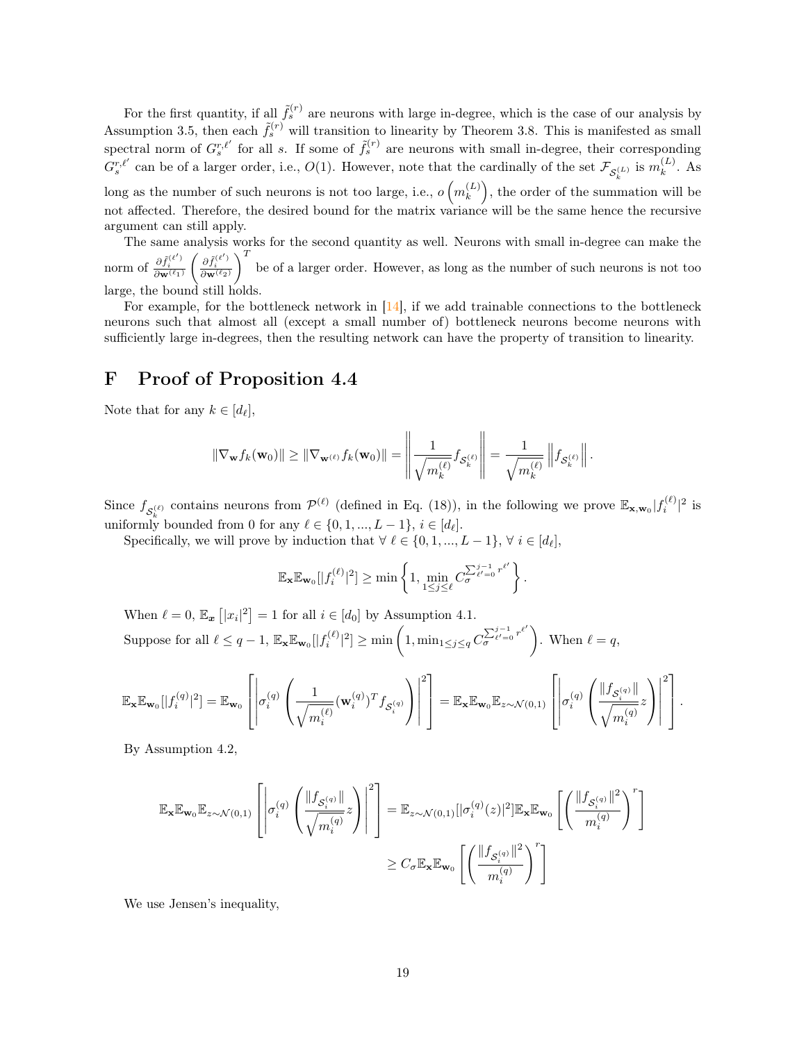For the first quantity, if all  $\tilde{f}_s^{(r)}$  are neurons with large in-degree, which is the case of our analysis by Assumption [3.5,](#page-5-3) then each  $\tilde{f}_s^{(r)}$  will transition to linearity by Theorem [3.8.](#page-6-0) This is manifested as small spectral norm of  $G_s^{r,\ell'}$  for all s. If some of  $\tilde{f}_s^{(r)}$  are neurons with small in-degree, their corresponding  $G_s^{r,\ell'}$  can be of a larger order, i.e.,  $O(1)$ . However, note that the cardinally of the set  $\mathcal{F}_{\mathcal{S}_k^{(L)}}$  is  $m_k^{(L)}$ k  $k^{(L)}$ . As long as the number of such neurons is not too large, i.e.,  $o(m_k^{(L)})$  $\binom{L}{k}$ , the order of the summation will be not affected. Therefore, the desired bound for the matrix variance will be the same hence the recursive argument can still apply.

The same analysis works for the second quantity as well. Neurons with small in-degree can make the norm of  $\frac{\partial \tilde{f}_i^{(\ell')}}{\partial {\mathbf{w}}^{(\ell_1)}}$  $\Bigg( \frac{\partial \tilde f_i^{(\ell')}}{\partial {\mathbf w}^{(\ell_2)}}$  $\int_{0}^{T}$  be of a larger order. However, as long as the number of such neurons is not too large, the bound still holds.

For example, for the bottleneck network in [\[14\]](#page-10-1), if we add trainable connections to the bottleneck neurons such that almost all (except a small number of) bottleneck neurons become neurons with sufficiently large in-degrees, then the resulting network can have the property of transition to linearity.

#### <span id="page-18-0"></span>F Proof of Proposition [4.4](#page-9-1)

Note that for any  $k \in [d_\ell],$ 

$$
\|\nabla_{\mathbf{w}} f_k(\mathbf{w}_0)\| \geq \|\nabla_{\mathbf{w}^{(\ell)}} f_k(\mathbf{w}_0)\| = \left\|\frac{1}{\sqrt{m_k^{(\ell)}}} f_{\mathcal{S}_k^{(\ell)}}\right\| = \frac{1}{\sqrt{m_k^{(\ell)}}} \left\|f_{\mathcal{S}_k^{(\ell)}}\right\|.
$$

 $\mathbf{u}$ 

 $\mathbf{u}$ 

Since  $f_{\mathcal{S}_k^{(\ell)}}$  contains neurons from  $\mathcal{P}^{(\ell)}$  (defined in Eq. [\(18\)](#page-12-2)), in the following we prove  $\mathbb{E}_{\mathbf{x},\mathbf{w}_0}|f_i^{(\ell)}|^2$  is uniformly bounded from 0 for any  $\ell \in \{0, 1, ..., L-1\}, i \in [d_{\ell}].$ 

Specifically, we will prove by induction that  $\forall \ell \in \{0, 1, ..., L - 1\}, \forall i \in [d_{\ell}],$ 

$$
\mathbb{E}_{\mathbf{x}} \mathbb{E}_{\mathbf{w}_0}[|f_i^{(\ell)}|^2] \ge \min\left\{1, \min_{1 \le j \le \ell} C_{\sigma}^{\sum_{\ell'=0}^{j-1} r^{\ell'}}\right\}.
$$

When  $\ell = 0$ ,  $\mathbb{E}_{x} [x_i|^2] = 1$  for all  $i \in [d_0]$  by Assumption [4.1.](#page-8-2) Suppose for all  $\ell \leq q-1$ ,  $\mathbb{E}_{\mathbf{x}} \mathbb{E}_{\mathbf{w}_0}[|f_i^{(\ell)}|^2] \geq \min\left(1, \min_{1 \leq j \leq q} C_{\sigma}^{\sum_{\ell'=0}^{j-1} r^{\ell'}}\right)$  $\left( \sum_{\ell'=0}^{j-1} r^{\ell'} \right)$ . When  $\ell = q$ ,

$$
\mathbb{E}_{\mathbf{x}} \mathbb{E}_{\mathbf{w}_0}[|f_i^{(q)}|^2] = \mathbb{E}_{\mathbf{w}_0}\left[\left|\sigma_i^{(q)}\left(\frac{1}{\sqrt{m_i^{(\ell)}}}(\mathbf{w}_i^{(q)})^T f_{\mathcal{S}_i^{(q)}}\right)\right|^2\right] = \mathbb{E}_{\mathbf{x}} \mathbb{E}_{\mathbf{w}_0} \mathbb{E}_{z \sim \mathcal{N}(0,1)}\left[\left|\sigma_i^{(q)}\left(\frac{\|f_{\mathcal{S}_i^{(q)}}\|}{\sqrt{m_i^{(q)}}}z\right)\right|^2\right].
$$

By Assumption [4.2,](#page-8-3)

$$
\begin{aligned} \mathbb{E}_{\mathbf{x}}\mathbb{E}_{\mathbf{w}_0}\mathbb{E}_{z\sim\mathcal{N}(0,1)}\left[\left|\sigma_i^{(q)}\left(\frac{\|f_{\mathcal{S}_i^{(q)}}\|}{\sqrt{m_i^{(q)}}}z\right)\right|^2\right] &= \mathbb{E}_{z\sim\mathcal{N}(0,1)}[|\sigma_i^{(q)}(z)|^2]\mathbb{E}_{\mathbf{x}}\mathbb{E}_{\mathbf{w}_0}\left[\left(\frac{\|f_{\mathcal{S}_i^{(q)}}\|^2}{m_i^{(q)}}\right)^r\right] \\ &\geq C_{\sigma}\mathbb{E}_{\mathbf{x}}\mathbb{E}_{\mathbf{w}_0}\left[\left(\frac{\|f_{\mathcal{S}_i^{(q)}}\|^2}{m_i^{(q)}}\right)^r\right] \end{aligned}
$$

We use Jensen's inequality,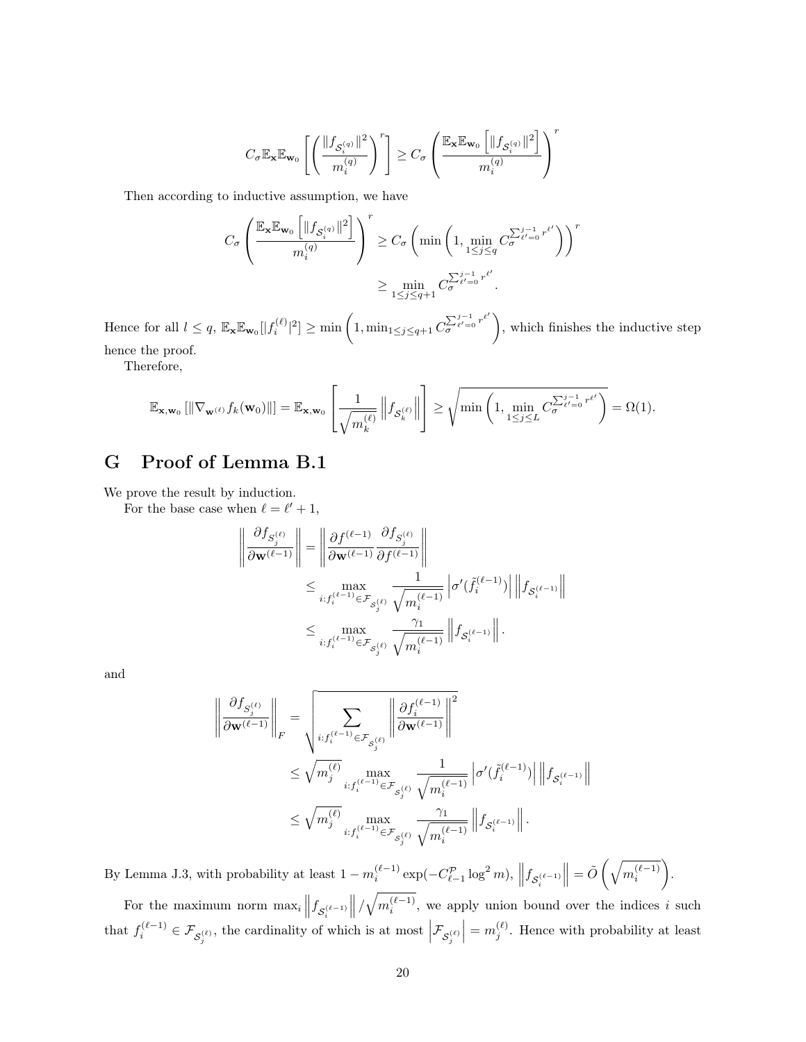$$
C_{\sigma} \mathbb{E}_{\mathbf{x}} \mathbb{E}_{\mathbf{w}_0} \left[ \left( \frac{\|f_{\mathcal{S}_i^{(q)}}\|^2}{m_i^{(q)}} \right)^r \right] \ge C_{\sigma} \left( \frac{\mathbb{E}_{\mathbf{x}} \mathbb{E}_{\mathbf{w}_0} \left[ \|f_{\mathcal{S}_i^{(q)}}\|^2 \right]}{m_i^{(q)}} \right)^r
$$

Then according to inductive assumption, we have

$$
C_{\sigma} \left( \frac{\mathbb{E}_{\mathbf{x}} \mathbb{E}_{\mathbf{w}_0} \left[ \lVert f_{\mathcal{S}_i^{(q)}} \rVert^2 \right]}{m_i^{(q)}} \right)^r \ge C_{\sigma} \left( \min \left( 1, \min_{1 \le j \le q} C_{\sigma}^{\sum_{\ell'=0}^{j-1} r^{\ell'}} \right) \right)^r
$$

$$
\ge \min_{1 \le j \le q+1} C_{\sigma}^{\sum_{\ell'=0}^{j-1} r^{\ell'}}.
$$

Hence for all  $l \leq q$ ,  $\mathbb{E}_{\mathbf{x}} \mathbb{E}_{\mathbf{w}_0}[|f_i^{(\ell)}|^2] \geq \min\left(1, \min_{1 \leq j \leq q+1} C_{\sigma}^{\sum_{\ell'=0}^{j-1} r^{\ell'}}\right)$  $\sum_{\sigma}^{j-1} e^{i\sigma} \choose \sigma}$ , which finishes the inductive step hence the proof.

Therefore,

$$
\mathbb{E}_{\mathbf{x},\mathbf{w}_0}\left[\left\|\nabla_{\mathbf{w}^{(\ell)}}f_k(\mathbf{w}_0)\right\|\right] = \mathbb{E}_{\mathbf{x},\mathbf{w}_0}\left[\frac{1}{\sqrt{m_k^{(\ell)}}}\left\|f_{\mathcal{S}_k^{(\ell)}}\right\|\right] \ge \sqrt{\min\left(1,\min_{1\le j\le L} C_{\sigma}^{\sum_{\ell'=0}^{j-1}r^{\ell'}}\right)} = \Omega(1).
$$

# <span id="page-19-0"></span>G Proof of Lemma [B.1](#page-15-1)

We prove the result by induction.

For the base case when  $\ell = \ell' + 1$ ,

$$
\begin{aligned}\n\left\|\frac{\partial f_{S_j^{(\ell)}}}{\partial \mathbf{w}^{(\ell-1)}}\right\| &= \left\|\frac{\partial f^{(\ell-1)}}{\partial \mathbf{w}^{(\ell-1)}} \frac{\partial f_{S_j^{(\ell)}}}{\partial f^{(\ell-1)}}\right\| \\
&\leq \max_{i: f_i^{(\ell-1)} \in \mathcal{F}_{S_j^{(\ell)}}} \frac{1}{\sqrt{m_i^{(\ell-1)}}} \left|\sigma'(f_i^{(\ell-1)})\right| \left\|f_{S_i^{(\ell-1)}}\right\| \\
&\leq \max_{i: f_i^{(\ell-1)} \in \mathcal{F}_{S_j^{(\ell)}}} \frac{\gamma_1}{\sqrt{m_i^{(\ell-1)}}} \left\|f_{S_i^{(\ell-1)}}\right\|.\n\end{aligned}
$$

and

$$
\begin{aligned} \left\| \frac{\partial f_{S^{(\ell)}_j}}{\partial \mathbf{w}^{(\ell-1)}} \right\|_F &= \sqrt{\sum_{i: f^{(\ell-1)}_i \in \mathcal{F}_{S^{(\ell)}_j}} \left\| \frac{\partial f^{(\ell-1)}_i}{\partial \mathbf{w}^{(\ell-1)}} \right\|^2}\\ &\leq \sqrt{m^{(\ell)}_j} \max_{i: f^{(\ell-1)}_i \in \mathcal{F}_{S^{(\ell)}_j}} \frac{1}{\sqrt{m^{(\ell-1)}_i}} \left| \sigma'(f^{(\ell-1)}_i) \right| \left\| f_{S^{(\ell-1)}_i} \right\| \\ &\leq \sqrt{m^{(\ell)}_j} \max_{i: f^{(\ell-1)}_i \in \mathcal{F}_{S^{(\ell)}_j}} \frac{\gamma_1}{\sqrt{m^{(\ell-1)}_i}} \left\| f_{S^{(\ell-1)}_i} \right\| . \end{aligned}
$$

By Lemma [J.3,](#page-26-0) with probability at least  $1 - m_i^{(\ell-1)} \exp(-C_{\ell-1}^p \log^2 m)$ ,  $||f_{\mathcal{S}_i^{(\ell-1)}}$  $\Big\| = \tilde{O}\left(\sqrt{m_i^{(\ell-1)}} \right.$  . For the maximum norm  $\max_i ||f_{\mathcal{S}_i^{(\ell-1)}}$  $\left\| \sqrt{m_i^{(\ell-1)}} \right\|$ , we apply union bound over the indices i such that  $f_i^{(\ell-1)} \in \mathcal{F}_{\mathcal{S}_j^{(\ell)}}$ , the cardinality of which is at most  $\Big| \mathcal{F}_{\mathcal{S}_j^{(\ell)}}$  $= m_j^{(\ell)}$ . Hence with probability at least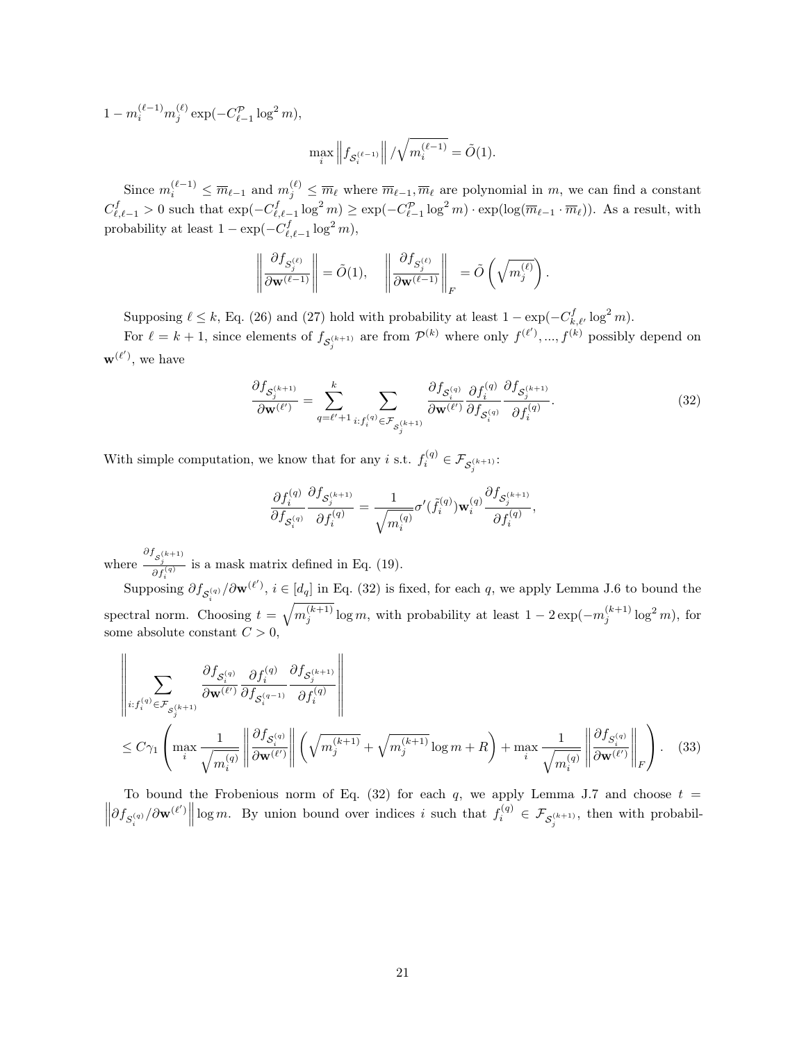$1 - m_i^{(\ell-1)} m_j^{(\ell)} \exp(-C_{\ell-1}^{\mathcal{P}} \log^2 m),$ 

$$
\max_i \left\| f_{\mathcal{S}_i^{(\ell-1)}} \right\| / \sqrt{m_i^{(\ell-1)}} = \tilde{O}(1).
$$

Since  $m_i^{(\ell-1)} \leq \overline{m}_{\ell-1}$  and  $m_j^{(\ell)} \leq \overline{m}_{\ell}$  where  $\overline{m}_{\ell-1}, \overline{m}_{\ell}$  are polynomial in m, we can find a constant  $C_{\ell,\ell-1}^f > 0$  such that  $\exp(-C_{\ell,\ell-1}^f \log^2 m) \ge \exp(-C_{\ell-1}^{\mathcal{P}} \log^2 m) \cdot \exp(\log(\overline{m}_{\ell-1} \cdot \overline{m}_{\ell}))$ . As a result, with probability at least  $1 - \exp(-C_{\ell,\ell-1}^f \log^2 m)$ ,

$$
\left\|\frac{\partial f_{S_j^{(\ell)}}}{\partial \mathbf{w}^{(\ell-1)}}\right\| = \tilde{O}(1), \quad \left\|\frac{\partial f_{S_j^{(\ell)}}}{\partial \mathbf{w}^{(\ell-1)}}\right\|_F = \tilde{O}\left(\sqrt{m_j^{(\ell)}}\right).
$$

Supposing  $\ell \leq k$ , Eq. [\(26\)](#page-15-3) and [\(27\)](#page-15-4) hold with probability at least  $1 - \exp(-C_{k,\ell'}^f \log^2 m)$ .

For  $\ell = k + 1$ , since elements of  $f_{\mathcal{S}_{j}^{(k+1)}}$  are from  $\mathcal{P}^{(k)}$  where only  $f^{(\ell')},...,f^{(k)}$  possibly depend on  $\mathbf{w}^{(\ell')}$ , we have

$$
\frac{\partial f_{S_j^{(k+1)}}}{\partial \mathbf{w}^{(\ell')}} = \sum_{q=\ell'+1}^k \sum_{i: f_i^{(q)} \in \mathcal{F}_{S_j^{(k+1)}}} \frac{\partial f_{S_i^{(q)}}}{\partial \mathbf{w}^{(\ell')}} \frac{\partial f_i^{(q)}}{\partial f_{S_i^{(q)}}} \frac{\partial f_{S_j^{(k+1)}}}{\partial f_i^{(q)}}.
$$
(32)

With simple computation, we know that for any *i* s.t.  $f_i^{(q)} \in \mathcal{F}_{\mathcal{S}_j^{(k+1)}}$ :

<span id="page-20-1"></span><span id="page-20-0"></span>
$$
\frac{\partial f_i^{(q)}}{\partial f_{\mathcal{S}_i^{(q)}}}\frac{\partial f_{\mathcal{S}_j^{(k+1)}}}{\partial f_i^{(q)}}=\frac{1}{\sqrt{m_i^{(q)}}}\sigma'(\tilde{f}_i^{(q)})\mathbf{w}_i^{(q)}\frac{\partial f_{\mathcal{S}_j^{(k+1)}}}{\partial f_i^{(q)}},
$$

where  $\frac{\partial f_{\mathcal{S}_{j}^{(k+1)}}}{\partial f_{i}^{(q)}}$  is a mask matrix defined in Eq. [\(19\)](#page-12-3).

Supposing  $\partial f_{\mathcal{S}_{s}^{(q)}}/\partial \mathbf{w}^{(\ell')}$ ,  $i \in [d_q]$  in Eq. [\(32\)](#page-20-0) is fixed, for each q, we apply Lemma [J.6](#page-28-0) to bound the i spectral norm. Choosing  $t = \sqrt{m_j^{(k+1)}} \log m$ , with probability at least  $1 - 2 \exp(-m_j^{(k+1)} \log^2 m)$ , for some absolute constant  $C > 0$ ,

$$
\left\| \sum_{i:f_i^{(q)} \in \mathcal{F}_{S_j^{(k+1)}}} \frac{\partial f_{S_i^{(q)}}}{\partial w^{(\ell')}} \frac{\partial f_i^{(q)}}{\partial f_{S_i^{(q-1)}}} \frac{\partial f_{S_j^{(k+1)}}}{\partial f_i^{(q)}} \right\|
$$
  
 
$$
\leq C\gamma_1 \left( \max_i \frac{1}{\sqrt{m_i^{(q)}}} \left\| \frac{\partial f_{S_i^{(q)}}}{\partial w^{(\ell')}} \right\| \left( \sqrt{m_j^{(k+1)}} + \sqrt{m_j^{(k+1)}} \log m + R \right) + \max_i \frac{1}{\sqrt{m_i^{(q)}}} \left\| \frac{\partial f_{S_i^{(q)}}}{\partial w^{(\ell')}} \right\|_F \right). \tag{33}
$$

 $\left\|\partial f_{S_i^{(q)}}/\partial {\bf w}^{(\ell')} \right\|$  log m. By union bound over indices i such that  $f_i^{(q)} \in \mathcal{F}_{S_j^{(k+1)}},$  then with probabil-To bound the Frobenious norm of Eq.  $(32)$  for each q, we apply Lemma [J.7](#page-28-1) and choose  $t =$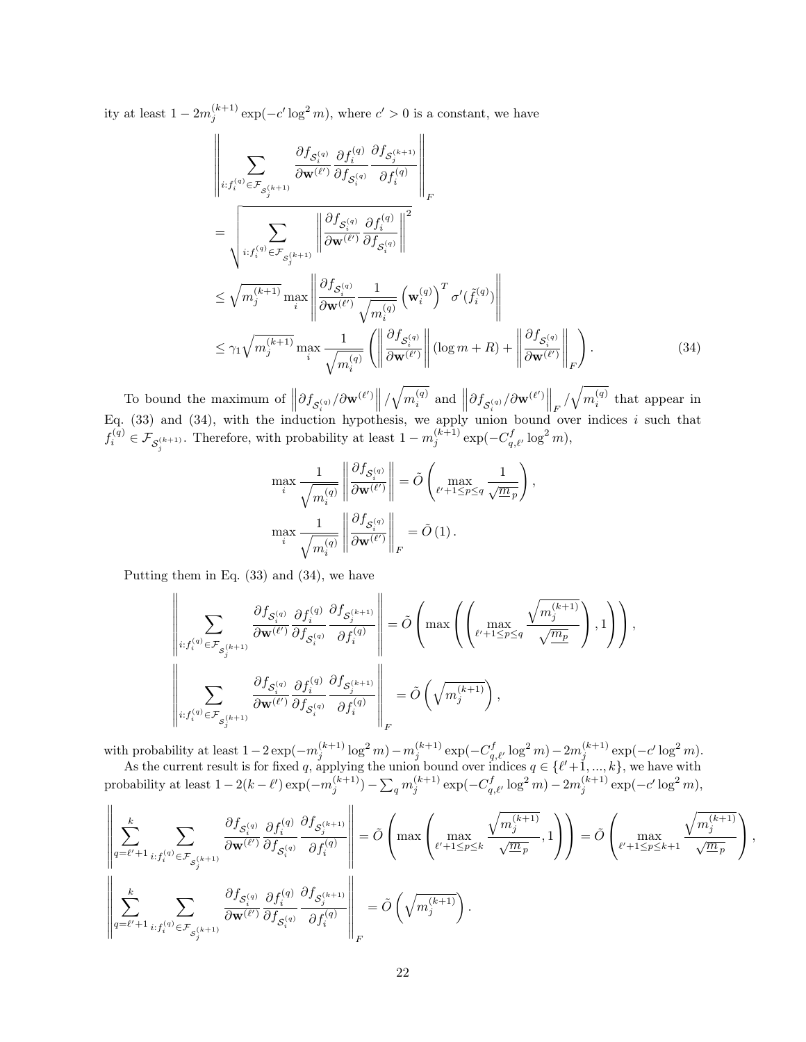ity at least  $1 - 2m_j^{(k+1)} \exp(-c' \log^2 m)$ , where  $c' > 0$  is a constant, we have

$$
\left\| \sum_{i:f_i^{(q)} \in \mathcal{F}_{S_i^{(k+1)}}} \frac{\partial f_{S_i^{(q)}}}{\partial \mathbf{w}^{(\ell')}} \frac{\partial f_{S_i^{(q)}}}{\partial f_{S_i^{(q)}}} \frac{\partial f_{S_i^{(k+1)}}}{\partial f_i^{(q)}} \right\|_F
$$
\n
$$
= \left\| \sum_{i:f_i^{(q)} \in \mathcal{F}_{S_i^{(k+1)}}} \left\| \frac{\partial f_{S_i^{(q)}}}{\partial \mathbf{w}^{(\ell')}} \frac{\partial f_i^{(q)}}{\partial f_{S_i^{(q)}}} \right\|_F^2
$$
\n
$$
\leq \sqrt{m_j^{(k+1)}} \max_i \left\| \frac{\partial f_{S_i^{(q)}}}{\partial \mathbf{w}^{(\ell')}} \frac{1}{\sqrt{m_i^{(q)}}} \left(\mathbf{w}_i^{(q)}\right)^T \sigma'(\tilde{f}_i^{(q)}) \right\|
$$
\n
$$
\leq \gamma_1 \sqrt{m_j^{(k+1)}} \max_i \frac{1}{\sqrt{m_i^{(q)}}} \left( \left\| \frac{\partial f_{S_i^{(q)}}}{\partial \mathbf{w}^{(\ell')}} \right\| (\log m + R) + \left\| \frac{\partial f_{S_i^{(q)}}}{\partial \mathbf{w}^{(\ell')}} \right\|_F \right). \tag{34}
$$

To bound the maximum of  $\left\|\partial f_{\mathcal{S}_{i}^{(q)}}/\partial \mathbf{w}^{(\ell')}\right\|/\sqrt{m_i^{(q)}}$  and  $\left\|\partial f_{\mathcal{S}_{i}^{(q)}}/\partial \mathbf{w}^{(\ell')}\right\|_F/\sqrt{m_i^{(q)}}$  that appear in Eq.  $(33)$  and  $(34)$ , with the induction hypothesis, we apply union bound over indices i such that  $f_i^{(q)} \in \mathcal{F}_{\mathcal{S}_j^{(k+1)}}$ . Therefore, with probability at least  $1 - m_j^{(k+1)} \exp(-C_{q,\ell'}^f \log^2 m)$ ,

<span id="page-21-0"></span>
$$
\max_{i} \frac{1}{\sqrt{m_i^{(q)}}} \left\| \frac{\partial f_{\mathcal{S}_i^{(q)}}}{\partial \mathbf{w}^{(\ell')}} \right\| = \tilde{O} \left( \max_{\ell' + 1 \le p \le q} \frac{1}{\sqrt{m_p}} \right),
$$

$$
\max_{i} \frac{1}{\sqrt{m_i^{(q)}}} \left\| \frac{\partial f_{\mathcal{S}_i^{(q)}}}{\partial \mathbf{w}^{(\ell')}} \right\|_F = \tilde{O} \left( 1 \right).
$$

Putting them in Eq. [\(33\)](#page-20-1) and [\(34\)](#page-21-0), we have

$$
\left\|\sum_{i: f_i^{(q)} \in \mathcal{F}_{\mathcal{S}_j^{(k+1)}}} \frac{\partial f_{\mathcal{S}_i^{(q)}}}{\partial \mathbf{w}^{(\ell')}} \frac{\partial f_i^{(q)}}{\partial f_{\mathcal{S}_i^{(q)}}} \frac{\partial f_{\mathcal{S}_j^{(k+1)}}}{\partial f_i^{(q)}}\right\| = \tilde{O}\left(\max\left(\left(\max_{\ell'+1\leq p\leq q}\frac{\sqrt{m_j^{(k+1)}}}{\sqrt{m_p}}\right),1\right)\right),
$$
  

$$
\left\|\sum_{i: f_i^{(q)} \in \mathcal{F}_{\mathcal{S}_j^{(k+1)}}} \frac{\partial f_{\mathcal{S}_i^{(q)}}}{\partial \mathbf{w}^{(\ell')}} \frac{\partial f_i^{(q)}}{\partial f_{\mathcal{S}_i^{(q)}}} \frac{\partial f_{\mathcal{S}_j^{(k+1)}}}{\partial f_i^{(q)}}\right\|_F = \tilde{O}\left(\sqrt{m_j^{(k+1)}}\right),
$$

with probability at least  $1-2\exp(-m_j^{(k+1)}\log^2 m) - m_j^{(k+1)}\exp(-C_{q,\ell'}^f\log^2 m) - 2m_j^{(k+1)}\exp(-c'\log^2 m).$ 

As the current result is for fixed q, applying the union bound over indices  $q \in \{\ell'+1, ..., k\}$ , we have with  $\text{probability at least } 1 - 2(k - \ell') \exp(-m_j^{(k+1)}) - \sum_q m_j^{(k+1)} \exp(-C_{q,\ell'}^f \log^2 m) - 2m_j^{(k+1)} \exp(-c' \log^2 m),$ 

$$
\left\|\sum_{q=\ell'+1}^k\sum_{i:f_i^{(q)}\in\mathcal{F}_{\mathcal{S}_j^{(k+1)}}}\frac{\partial f_{\mathcal{S}_i^{(q)}}}{\partial \mathbf{w}^{(\ell')}}\frac{\partial f_i^{(q)}}{\partial f_{\mathcal{S}_i^{(q)}}}\frac{\partial f_{\mathcal{S}_j^{(k+1)}}}{\partial f_i^{(q)}}\right\|=\tilde{O}\left(\max\left(\max_{\ell'+1\leq p\leq k}\frac{\sqrt{m_j^{(k+1)}}}{\sqrt{m_p}},1\right)\right)=\tilde{O}\left(\max_{\ell'+1\leq p\leq k+1}\frac{\sqrt{m_j^{(k+1)}}}{\sqrt{m_p}}\right),
$$

$$
\left\|\sum_{q=\ell'+1}^k\sum_{i:f_i^{(q)}\in\mathcal{F}_{\mathcal{S}_j^{(k+1)}}}\frac{\partial f_{\mathcal{S}_i^{(q)}}}{\partial \mathbf{w}^{(\ell')}}\frac{\partial f_i^{(q)}}{\partial f_{\mathcal{S}_i^{(q)}}}\frac{\partial f_{\mathcal{S}_j^{(k+1)}}}{\partial f_i^{(q)}}\right\|_F=\tilde{O}\left(\sqrt{m_j^{(k+1)}}\right).
$$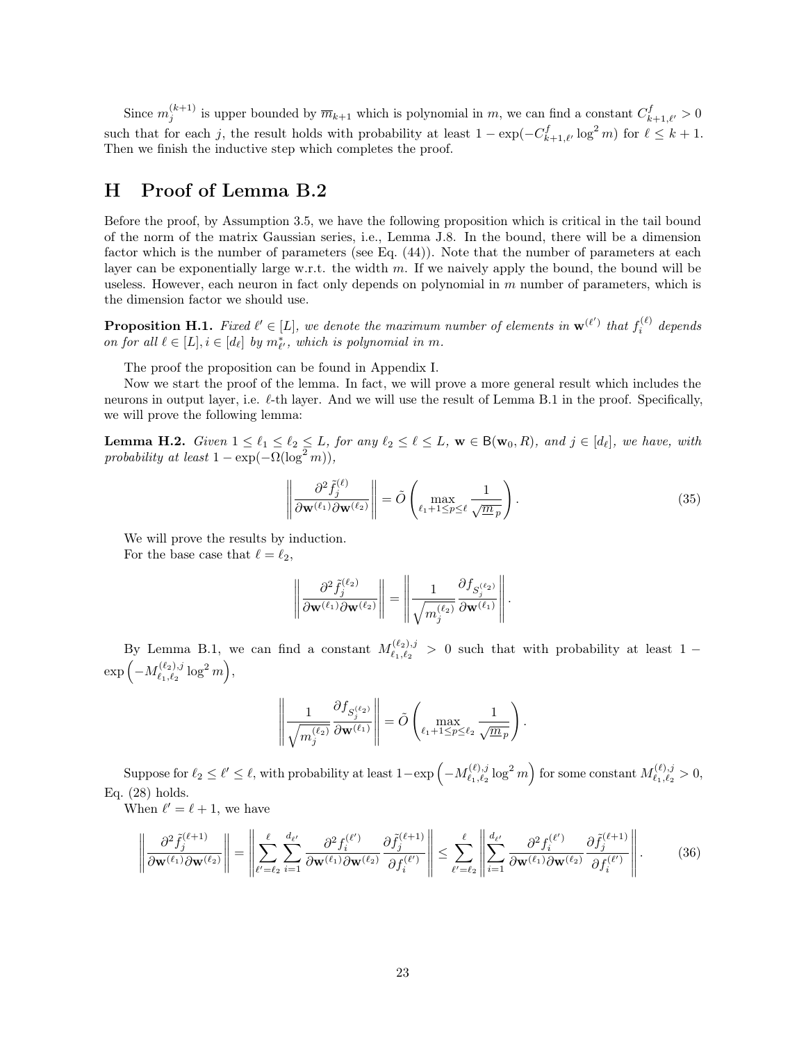Since  $m_j^{(k+1)}$  is upper bounded by  $\overline{m}_{k+1}$  which is polynomial in m, we can find a constant  $C_{k+1,\ell'}^f > 0$ such that for each j, the result holds with probability at least  $1 - \exp(-C_{k+1,\ell'}^f \log^2 m)$  for  $\ell \leq k+1$ . Then we finish the inductive step which completes the proof.

## <span id="page-22-0"></span>H Proof of Lemma [B.2](#page-15-2)

Before the proof, by Assumption [3.5,](#page-5-3) we have the following proposition which is critical in the tail bound of the norm of the matrix Gaussian series, i.e., Lemma [J.8.](#page-28-2) In the bound, there will be a dimension factor which is the number of parameters (see Eq. [\(44\)](#page-29-0)). Note that the number of parameters at each layer can be exponentially large w.r.t. the width  $m$ . If we naively apply the bound, the bound will be useless. However, each neuron in fact only depends on polynomial in  $m$  number of parameters, which is the dimension factor we should use.

<span id="page-22-1"></span>**Proposition H.1.** Fixed  $\ell' \in [L]$ , we denote the maximum number of elements in  $\mathbf{w}^{(\ell')}$  that  $f_i^{(\ell)}$  depends on for all  $\ell \in [L], i \in [d_{\ell}]$  by  $m_{\ell'}^*$ , which is polynomial in m.

The proof the proposition can be found in Appendix [I.](#page-25-1)

Now we start the proof of the lemma. In fact, we will prove a more general result which includes the neurons in output layer, i.e.  $\ell$ -th layer. And we will use the result of Lemma [B.1](#page-15-1) in the proof. Specifically, we will prove the following lemma:

**Lemma H.2.** Given  $1 \leq \ell_1 \leq \ell_2 \leq L$ , for any  $\ell_2 \leq \ell \leq L$ ,  $\mathbf{w} \in \mathsf{B}(\mathbf{w}_0, R)$ , and  $j \in [d_{\ell}]$ , we have, with probability at least  $1 - \exp(-\Omega(\log^2 m))$ ,

$$
\left\| \frac{\partial^2 \tilde{f}_j^{(\ell)}}{\partial \mathbf{w}^{(\ell_1)} \partial \mathbf{w}^{(\ell_2)}} \right\| = \tilde{O} \left( \max_{\ell_1 + 1 \le p \le \ell} \frac{1}{\sqrt{m_p}} \right).
$$
\n(35)

We will prove the results by induction. For the base case that  $\ell = \ell_2$ ,

$$
\left\|\frac{\partial^2 \tilde{f}_j^{(\ell_2)}}{\partial \mathbf{w}^{(\ell_1)} \partial \mathbf{w}^{(\ell_2)}}\right\| = \left\|\frac{1}{\sqrt{m_j^{(\ell_2)}}}\frac{\partial f_{S_j^{(\ell_2)}}}{\partial \mathbf{w}^{(\ell_1)}}\right\|.
$$

By Lemma [B.1,](#page-15-1) we can find a constant  $M^{(\ell_2),j}_{\ell_1,\ell_2}$  $\binom{1}{\ell_1,\ell_2} > 0$  such that with probability at least 1 –  $\exp\left(-M_{\ell_1,\ell_2}^{(\ell_2),j}\right)$  $\left(\begin{smallmatrix}\ell_2),j \ \ell_1,\ell_2\end{smallmatrix}\right. \log^2 m\Big),$ 

<span id="page-22-2"></span>
$$
\left\|\frac{1}{\sqrt{m_j^{(\ell_2)}}}\frac{\partial f_{S_j^{(\ell_2)}}}{\partial \mathbf{w}^{(\ell_1)}}\right\| = \tilde{O}\left(\max_{\ell_1+1\leq p\leq \ell_2}\frac{1}{\sqrt{\underline{m}_p}}\right).
$$

Suppose for  $\ell_2 \leq \ell' \leq \ell$ , with probability at least  $1-\exp \left(-M_{\ell_1,\ell_2}^{(\ell),j}\right)$  $\binom{\ell}{\ell_1,\ell_2}\log^2 m$  for some constant  $M_{\ell_1,\ell_2}^{(\ell),j}$  $\ell_{1}^{(\ell),j} > 0,$ Eq. [\(28\)](#page-15-5) holds.

When  $\ell' = \ell + 1$ , we have

$$
\left\|\frac{\partial^2 \tilde{f}_j^{(\ell+1)}}{\partial \mathbf{w}^{(\ell_1)} \partial \mathbf{w}^{(\ell_2)}}\right\| = \left\|\sum_{\ell'= \ell_2}^{\ell} \sum_{i=1}^{d_{\ell'}} \frac{\partial^2 f_i^{(\ell')}}{\partial \mathbf{w}^{(\ell_1)} \partial \mathbf{w}^{(\ell_2)}} \frac{\partial \tilde{f}_j^{(\ell+1)}}{\partial f_i^{(\ell')}}\right\| \leq \sum_{\ell'= \ell_2}^{\ell} \left\|\sum_{i=1}^{d_{\ell'}} \frac{\partial^2 f_i^{(\ell')}}{\partial \mathbf{w}^{(\ell_1)} \partial \mathbf{w}^{(\ell_2)}} \frac{\partial \tilde{f}_j^{(\ell+1)}}{\partial f_i^{(\ell')}}\right\|.
$$
(36)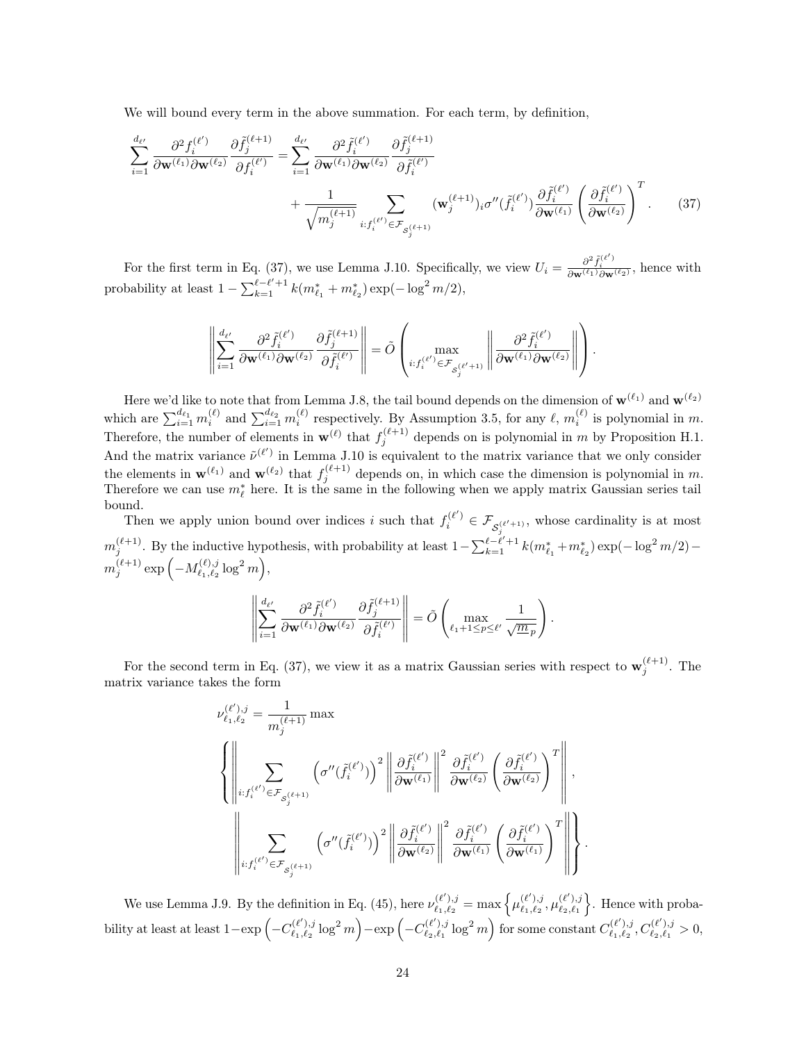We will bound every term in the above summation. For each term, by definition,

$$
\sum_{i=1}^{d_{\ell'}} \frac{\partial^2 f_i^{(\ell')}}{\partial \mathbf{w}^{(\ell_1)} \partial \mathbf{w}^{(\ell_2)}} \frac{\partial \tilde{f}_j^{(\ell+1)}}{\partial f_i^{(\ell')}} = \sum_{i=1}^{d_{\ell'}} \frac{\partial^2 \tilde{f}_i^{(\ell')}}{\partial \mathbf{w}^{(\ell_1)} \partial \mathbf{w}^{(\ell_2)}} \frac{\partial \tilde{f}_j^{(\ell+1)}}{\partial \tilde{f}_i^{(\ell')}} + \frac{1}{\sqrt{m_j^{(\ell+1)}}} \sum_{i: f_i^{(\ell')} \in \mathcal{F}_{\mathcal{S}_j^{(\ell+1)}}} (\mathbf{w}_j^{(\ell+1)})_i \sigma''(\tilde{f}_i^{(\ell')}) \frac{\partial \tilde{f}_i^{(\ell')}}{\partial \mathbf{w}^{(\ell_1)}} \left(\frac{\partial \tilde{f}_i^{(\ell')}}{\partial \mathbf{w}^{(\ell_2)}}\right)^T. \tag{37}
$$

For the first term in Eq. [\(37\)](#page-23-0), we use Lemma [J.10.](#page-31-0) Specifically, we view  $U_i = \frac{\partial^2 \tilde{f}_i^{(\ell')}}{\partial \mathbf{w}^{(\ell_1)} \partial \mathbf{w}^{(\ell_2)}}$ , hence with probability at least  $1 - \sum_{k=1}^{\ell-\ell'+1} k(m_{\ell_1}^* + m_{\ell_2}^*) \exp(-\log^2 m/2),$ 

$$
\left\|\sum_{i=1}^{d_{\ell'}}\frac{\partial^2 \tilde{f}_i^{(\ell')}}{\partial \mathbf{w}^{(\ell_1)}\partial \mathbf{w}^{(\ell_2)}}\frac{\partial \tilde{f}_j^{(\ell+1)}}{\partial \tilde{f}_i^{(\ell')}}\right\| = \tilde{O}\left(\max_{i: f_i^{(\ell')} \in \mathcal{F}_{S_j^{(\ell'+1)}}}\left\|\frac{\partial^2 \tilde{f}_i^{(\ell')}}{\partial \mathbf{w}^{(\ell_1)}\partial \mathbf{w}^{(\ell_2)}}\right\|\right).
$$

Here we'd like to note that from Lemma [J.8,](#page-28-2) the tail bound depends on the dimension of  $\mathbf{w}^{(\ell_1)}$  and  $\mathbf{w}^{(\ell_2)}$ which are  $\sum_{i=1}^{d_{\ell_1}} m_i^{(\ell)}$  and  $\sum_{i=1}^{d_{\ell_2}} m_i^{(\ell)}$  respectively. By Assumption [3.5,](#page-5-3) for any  $\ell, m_i^{(\ell)}$  is polynomial in m. Therefore, the number of elements in  $\mathbf{w}^{(\ell)}$  that  $f_j^{(\ell+1)}$  depends on is polynomial in m by Proposition [H.1.](#page-22-1) And the matrix variance  $\tilde{\nu}^{(\ell')}$  in Lemma [J.10](#page-31-0) is equivalent to the matrix variance that we only consider the elements in  $\mathbf{w}^{(\ell_1)}$  and  $\mathbf{w}^{(\ell_2)}$  that  $f_j^{(\ell+1)}$  depends on, in which case the dimension is polynomial in m. Therefore we can use  $m_{\ell}^{*}$  here. It is the same in the following when we apply matrix Gaussian series tail bound.

Then we apply union bound over indices i such that  $f_i^{(\ell')} \in \mathcal{F}_{\mathcal{S}_j^{(\ell'+1)}}$ , whose cardinality is at most  $m_j^{(\ell+1)}$ . By the inductive hypothesis, with probability at least  $1-\sum_{k=1}^{\ell-\ell'+1} k(m_{\ell_1}^*+m_{\ell_2}^*) \exp(-\log^2 m/2)$  $m_j^{(\ell+1)}\exp\left(-M_{\ell_1,\ell_2}^{(\ell),j}\right)$  $\genfrac{}{}{0pt}{}{(\ell),j}{\ell_1,\ell_2}\log^2m},$ 

$$
\left\| \sum_{i=1}^{d_{\ell'}} \frac{\partial^2 \tilde{f}_i^{(\ell')}}{\partial \mathbf{w}^{(\ell_1)} \partial \mathbf{w}^{(\ell_2)}} \frac{\partial \tilde{f}_j^{(\ell+1)}}{\partial \tilde{f}_i^{(\ell')}} \right\| = \tilde{O} \left( \max_{\ell_1 + 1 \le p \le \ell'} \frac{1}{\sqrt{m_p}} \right)
$$

<span id="page-23-0"></span>.

.

For the second term in Eq. [\(37\)](#page-23-0), we view it as a matrix Gaussian series with respect to  $\mathbf{w}_j^{(\ell+1)}$ . The matrix variance takes the form

$$
\begin{split} &\nu_{\ell_1,\ell_2}^{(\ell'),j}=\frac{1}{m_j^{(\ell+1)}}\max\\ &\left\{\left\|\sum_{i:f_i^{(\ell')} \in \mathcal{F}_{\mathcal{S}_j^{(\ell+1)}}}\left(\sigma^{\prime\prime}(\widetilde{f}_i^{(\ell')})\right)^2\left\|\frac{\partial \widetilde{f}_i^{(\ell')}}{\partial \mathbf{w}^{(\ell_1)}}\right\|^2\frac{\partial \widetilde{f}_i^{(\ell')}}{\partial \mathbf{w}^{(\ell_2)}}\left(\frac{\partial \widetilde{f}_i^{(\ell')}}{\partial \mathbf{w}^{(\ell_2)}}\right)^T\right\|,\\ &\left\|\sum_{i:f_i^{(\ell')} \in \mathcal{F}_{\mathcal{S}_j^{(\ell+1)}}}\left(\sigma^{\prime\prime}(\widetilde{f}_i^{(\ell')})\right)^2\left\|\frac{\partial \widetilde{f}_i^{(\ell')}}{\partial \mathbf{w}^{(\ell_2)}}\right\|^2\frac{\partial \widetilde{f}_i^{(\ell')}}{\partial \mathbf{w}^{(\ell_1)}}\left(\frac{\partial \widetilde{f}_i^{(\ell')}}{\partial \mathbf{w}^{(\ell_1)}}\right)^T\right\|\right\} \end{split}
$$

We use Lemma [J.9.](#page-29-1) By the definition in Eq. [\(45\)](#page-29-2), here  $\nu_{\ell_1,\ell_2}^{(\ell'),j}$  $\ell_{1}^{(\ell'),j}_{\ell_{1},\ell_{2}} = \max\left\{\mu_{\ell_{1},\ell_{2}}^{(\ell'),j}\right\}$  $\frac{(\ell'),j}{\ell_1,\ell_2}, \mu^{(\ell'),j}_{\ell_2,\ell_1}$  $\begin{bmatrix} (\ell'),j \\ \ell_2,\ell_1 \end{bmatrix}$ . Hence with probability at least at least  $1 - \exp \left(-C_{\ell_1,\ell_2}^{(\ell') ,j} \right)$  $\left(\begin{smallmatrix}(\ell'),j \ \ell_1,\ell_2 \end{smallmatrix}\right. \log^2 m \biggr) - \exp\left(-C^{(\ell'),j}_{\ell_2,\ell_1}\right)$  $\binom{\ell'),j}{\ell_2,\ell_1} \log^2 m\Big)$  for some constant  $C_{\ell_1,\ell_2}^{(\ell'),j}$  $\ell_{1}^{(\ell'),j}_{\ell_{1},\ell_{2}}, C_{\ell_{2},\ell_{1}}^{(\ell'),j}$  $\frac{\ell^{(\ell)},j}{\ell_2,\ell_1} > 0,$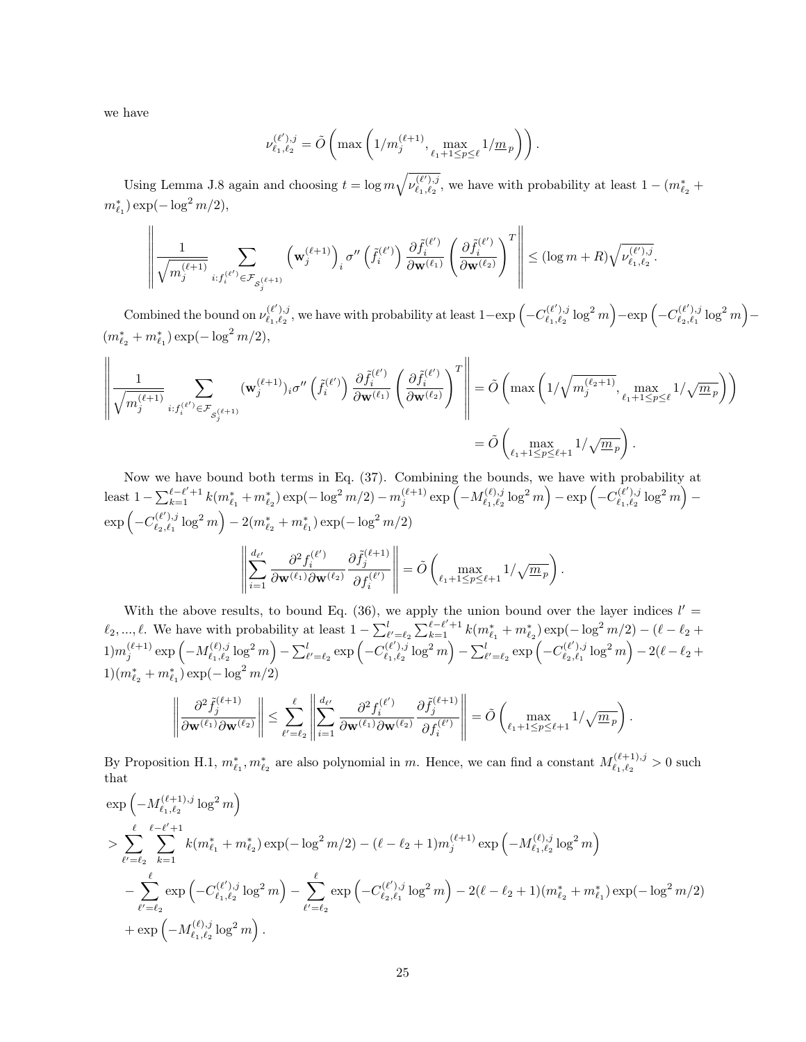we have

$$
\nu_{\ell_1,\ell_2}^{(\ell'),j} = \tilde{O}\left(\max\left(1/m_j^{(\ell+1)}, \max_{\ell_1+1 \le p \le \ell} 1/\underline{m}_p\right)\right).
$$

Using Lemma [J.8](#page-28-2) again and choosing  $t = \log m \sqrt{\nu_{\ell_1,\ell_2}^{(\ell_1),j_2}}$  $\binom{l^{(\ell')},j}{\ell_1,\ell_2}$ , we have with probability at least  $1 - (m^*_{\ell_2} +$  $m_{\ell_1}^*$ ) exp( $-\log^2 m/2$ ),

$$
\left\|\frac{1}{\sqrt{m_j^{(\ell+1)}}}\sum_{i: f_i^{(\ell')}\in\mathcal{F}_{\mathcal{S}_j^{(\ell+1)}}}\left(\mathbf{w}_j^{(\ell+1)}\right)_i\sigma''\left(\tilde{f}_i^{(\ell')}\right)\frac{\partial \tilde{f}_i^{(\ell')}}{\partial \mathbf{w}^{(\ell_1)}}\left(\frac{\partial \tilde{f}_i^{(\ell')}}{\partial \mathbf{w}^{(\ell_2)}}\right)^T\right\| \le (\log m+R)\sqrt{\nu_{\ell_1,\ell_2}^{(\ell'),j}}
$$

Combined the bound on  $\nu_{\ell_1,\ell_2}^{(\ell'),j}$  $\sum_{\ell_1,\ell_2}^{(\ell'),j}$ , we have with probability at least 1−exp  $\left(-C_{\ell_1,\ell_2}^{(\ell'),j}\right)$  $\left(\begin{smallmatrix}(\ell'),j \ \ell_1,\ell_2 \end{smallmatrix}\right. \log^2 m \biggr) - \exp\left(-C^{(\ell'),j}_{\ell_2,\ell_1}\right)$  $\binom{\ell'),j}{\ell_2,\ell_1} \log^2 m \Big) (m^*_{\ell_2} + m^*_{\ell_1}) \exp(-\log^2 m/2),$ 

.

.

$$
\left\|\frac{1}{\sqrt{m_j^{(\ell+1)}}}\sum_{i: f_i^{(\ell')} \in \mathcal{F}_{\mathcal{S}_j^{(\ell+1)}}} (\mathbf{w}_j^{(\ell+1)})_i \sigma''\left(\tilde{f}_i^{(\ell')}\right) \frac{\partial \tilde{f}_i^{(\ell')}}{\partial \mathbf{w}^{(\ell_1)}} \left(\frac{\partial \tilde{f}_i^{(\ell')}}{\partial \mathbf{w}^{(\ell_2)}}\right)^T\right\| = \tilde{O}\left(\max\left(1/\sqrt{m_j^{(\ell_2+1)}}, \max_{\ell_1+1 \leq p \leq \ell} 1/\sqrt{\underline{m}_p}\right)\right) \\\hspace{1cm} = \tilde{O}\left(\max_{\ell_1+1 \leq p \leq \ell+1} 1/\sqrt{\underline{m}_p}\right).
$$

Now we have bound both terms in Eq. [\(37\)](#page-23-0). Combining the bounds, we have with probability at least  $1 - \sum_{k=1}^{\ell-\ell'+1} k(m^*_{\ell_1} + m^*_{\ell_2}) \exp(-\log^2 m/2) - m_j^{(\ell+1)} \exp(-M^{(\ell),j}_{\ell_1,\ell_2})$  $\left( \begin{matrix} \ell),j_{\ell_1,\ell_2} \ \ell_1,\ell_2 \end{matrix} \right) - \exp \left( - C^{(\ell'),j}_{\ell_1,\ell_2} \right)$  $\frac{\ell(\ell'),j}{\ell_1,\ell_2} \log^2 m\Big) \exp\left(-C^{(\ell'),j}_{\ell_2,\ell_1}\right)$  $\sum_{\ell_2,\ell_1}^{(\ell'),j} \log^2 m \Big) - 2(m^*_{\ell_2} + m^*_{\ell_1}) \exp(-\log^2 m/2)$  $\parallel$ 

$$
\left\| \sum_{i=1}^{d_{\ell'}} \frac{\partial^2 f_i^{(\ell')}}{\partial \mathbf{w}^{(\ell_1)} \partial \mathbf{w}^{(\ell_2)}} \frac{\partial \tilde{f}_j^{(\ell+1)}}{\partial f_i^{(\ell')}} \right\| = \tilde{O}\left( \max_{\ell_1+1 \le p \le \ell+1} 1/\sqrt{m_p} \right)
$$

With the above results, to bound Eq. [\(36\)](#page-22-2), we apply the union bound over the layer indices  $l' =$  $\ell_2, ..., \ell$ . We have with probability at least  $1 - \sum_{\ell'=\ell_2}^{l} \sum_{k=1}^{\ell-\ell'+1} k(m_{\ell_1}^* + m_{\ell_2}^*) \exp(-\log^2 m/2) - (\ell - \ell_2 + \ell_1)$  $(1) m_j^{(\ell+1)} \exp \left(-M_{\ell_1,\ell_2}^{(\ell),j}\right)$  $\sum_{\ell_1,\ell_2}^{(\ell),j} \log^2 m - \sum_{\ell'=\ell_2}^l \exp \left(-C_{\ell_1,\ell_2}^{(\ell'),j}\right)$  $\sum_{\ell_1,\ell_2}^{(\ell'),j} \log^2 m \Big) - \sum_{\ell'=\ell_2}^{l} \exp \Big(-C_{\ell_2,\ell_1}^{(\ell'),j} \Big)$  $\genfrac {}{}{0pt}{}{(\ell'),j}{\ell_2,\ell_1} \log^2 m\Big) - 2(\ell-\ell_2 +1)$  $1)(m_{\ell_2}^* + m_{\ell_1}^*) \exp(-\log^2 m/2)$ 

$$
\left\|\frac{\partial^2 \tilde{f}_j^{(\ell+1)}}{\partial \mathbf{w}^{(\ell_1)} \partial \mathbf{w}^{(\ell_2)}}\right\| \leq \sum_{\ell'= \ell_2}^\ell \left\|\sum_{i=1}^{d_{\ell'}} \frac{\partial^2 f_i^{(\ell')}}{\partial \mathbf{w}^{(\ell_1)} \partial \mathbf{w}^{(\ell_2)}} \frac{\partial \tilde{f}_j^{(\ell+1)}}{\partial f_i^{(\ell')}}\right\| = \tilde{O}\left(\max_{\ell_1+1\leq p\leq \ell+1} 1/\sqrt{m_p}\right).
$$

By Proposition [H.1,](#page-22-1)  $m^*_{\ell_1}, m^*_{\ell_2}$  are also polynomial in m. Hence, we can find a constant  $M^{(\ell+1),j}_{\ell_1,\ell_2}$  $\ell_{1},\ell_{2}^{(\ell+1),j} > 0$  such that

$$
\exp\left(-M_{\ell_1,\ell_2}^{(\ell+1),j}\log^2 m\right) \n> \sum_{\ell'=\ell_2}^{\ell} \sum_{k=1}^{\ell-\ell'+1} k(m_{\ell_1}^* + m_{\ell_2}^*) \exp(-\log^2 m/2) - (\ell-\ell_2+1)m_j^{(\ell+1)} \exp\left(-M_{\ell_1,\ell_2}^{(\ell),j}\log^2 m\right) \n- \sum_{\ell'=\ell_2}^{\ell} \exp\left(-C_{\ell_1,\ell_2}^{(\ell'),j}\log^2 m\right) - \sum_{\ell'=\ell_2}^{\ell} \exp\left(-C_{\ell_2,\ell_1}^{(\ell'),j}\log^2 m\right) - 2(\ell-\ell_2+1)(m_{\ell_2}^* + m_{\ell_1}^*) \exp(-\log^2 m/2) \n+ \exp\left(-M_{\ell_1,\ell_2}^{(\ell),j}\log^2 m\right).
$$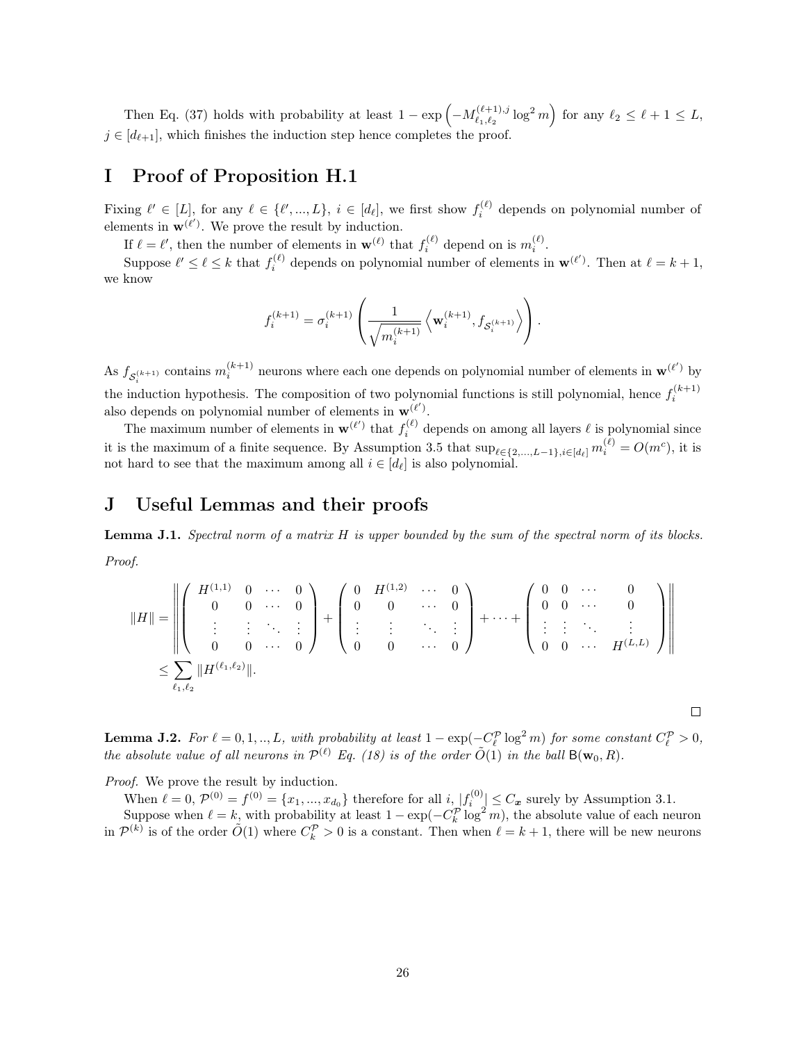Then Eq. [\(37\)](#page-23-0) holds with probability at least  $1 - \exp \left(-M_{\ell, \ell_0}^{(\ell+1), j} \right)$  $\binom{\ell+1}{\ell_1,\ell_2} \log^2 m$  for any  $\ell_2 \leq \ell + 1 \leq L$ ,  $j \in [d_{\ell+1}]$ , which finishes the induction step hence completes the proof.

### <span id="page-25-1"></span>I Proof of Proposition [H.1](#page-22-1)

Fixing  $\ell' \in [L]$ , for any  $\ell \in {\ell', ..., L}$ ,  $i \in [d_{\ell}]$ , we first show  $f_i^{(\ell)}$  depends on polynomial number of elements in  $\mathbf{w}^{(\ell')}$ . We prove the result by induction.

If  $\ell = \ell'$ , then the number of elements in  $\mathbf{w}^{(\ell)}$  that  $f_i^{(\ell)}$  depend on is  $m_i^{(\ell)}$ .

Suppose  $\ell' \leq \ell \leq k$  that  $f_i^{(\ell)}$  depends on polynomial number of elements in  $\mathbf{w}^{(\ell')}$ . Then at  $\ell = k + 1$ , we know

$$
f_i^{(k+1)} = \sigma_i^{(k+1)} \left( \frac{1}{\sqrt{m_i^{(k+1)}}} \left\langle \mathbf{w}_i^{(k+1)}, f_{\mathcal{S}_i^{(k+1)}} \right\rangle \right).
$$

As  $f_{\mathcal{S}_{i}^{(k+1)}}$  contains  $m_i^{(k+1)}$  neurons where each one depends on polynomial number of elements in  $\mathbf{w}^{(\ell')}$  by the induction hypothesis. The composition of two polynomial functions is still polynomial, hence  $f_i^{(k+1)}$ also depends on polynomial number of elements in  $\mathbf{w}^{(\ell')}$ .

The maximum number of elements in  $\mathbf{w}^{(\ell')}$  that  $f_i^{(\ell)}$  depends on among all layers  $\ell$  is polynomial since it is the maximum of a finite sequence. By Assumption [3.5](#page-5-3) that  $\sup_{\ell \in \{2,\ldots,L-1\}, i \in [d_\ell]} m_i^{(\ell)} = O(m^c)$ , it is not hard to see that the maximum among all  $i \in [d_\ell]$  is also polynomial.

### J Useful Lemmas and their proofs

<span id="page-25-0"></span>**Lemma J.1.** Spectral norm of a matrix  $H$  is upper bounded by the sum of the spectral norm of its blocks. Proof.

$$
||H|| = \left\| \begin{pmatrix} H^{(1,1)} & 0 & \cdots & 0 \\ 0 & 0 & \cdots & 0 \\ \vdots & \vdots & \ddots & \vdots \\ 0 & 0 & \cdots & 0 \end{pmatrix} + \begin{pmatrix} 0 & H^{(1,2)} & \cdots & 0 \\ 0 & 0 & \cdots & 0 \\ \vdots & \vdots & \ddots & \vdots \\ 0 & 0 & \cdots & 0 \end{pmatrix} + \cdots + \begin{pmatrix} 0 & 0 & \cdots & 0 \\ 0 & 0 & \cdots & 0 \\ \vdots & \vdots & \ddots & \vdots \\ 0 & 0 & \cdots & H^{(L,L)} \end{pmatrix} \right\|
$$
  

$$
\leq \sum_{\ell_1, \ell_2} ||H^{(\ell_1, \ell_2)}||.
$$

<span id="page-25-2"></span>**Lemma J.2.** For  $\ell = 0, 1, ..., L$ , with probability at least  $1 - \exp(-C_{\ell}^{\mathcal{P}} \log^2 m)$  for some constant  $C_{\ell}^{\mathcal{P}} > 0$ , the absolute value of all neurons in  $\mathcal{P}^{(\ell)}$  Eq. [\(18\)](#page-12-2) is of the order  $\tilde{O}(1)$  in the ball  $B(\mathbf{w}_0, R)$ .

 $\Box$ 

Proof. We prove the result by induction.

When  $\ell = 0$ ,  $\mathcal{P}^{(0)} = f^{(0)} = \{x_1, ..., x_{d_0}\}\$  therefore for all  $i, \lfloor f_i^{(0)} \rfloor \leq C_x$  surely by Assumption [3.1.](#page-5-2) Suppose when  $\ell = k$ , with probability at least  $1 - \exp(-C_k^p \log^2 m)$ , the absolute value of each neuron in  $\mathcal{P}^{(k)}$  is of the order  $\tilde{O}(1)$  where  $C_k^{\mathcal{P}} > 0$  is a constant. Then when  $\ell = k + 1$ , there will be new neurons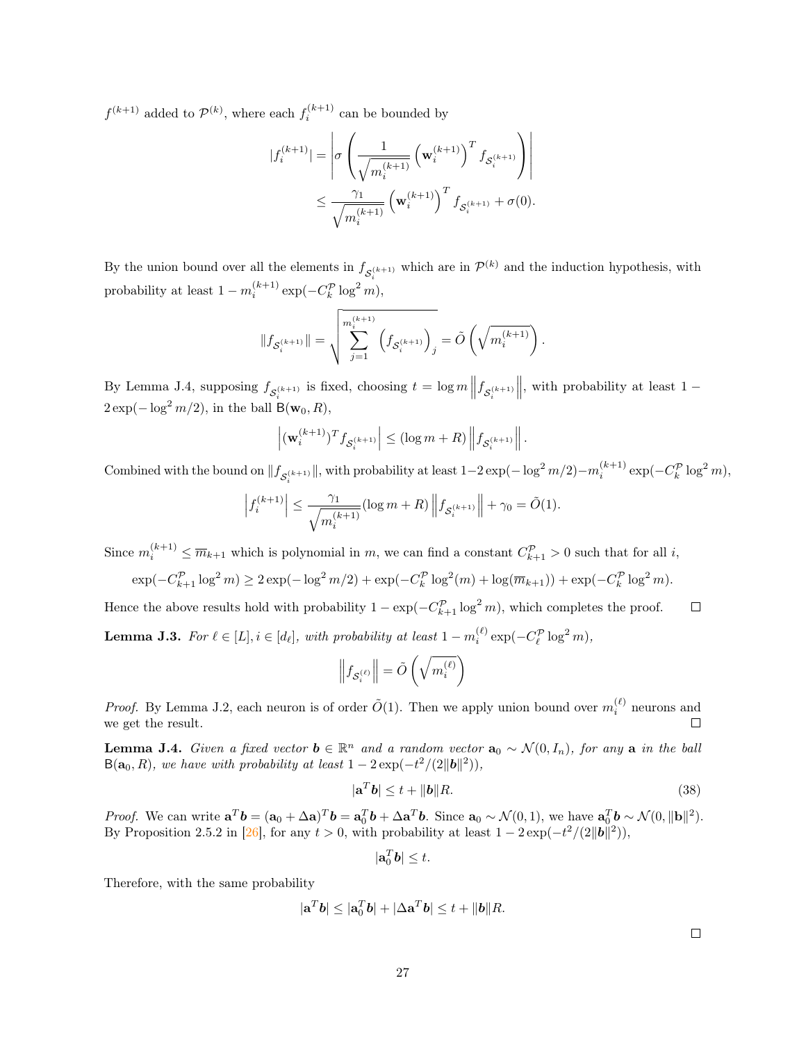$f^{(k+1)}$  added to  $\mathcal{P}^{(k)}$ , where each  $f_i^{(k+1)}$  can be bounded by

$$
|f_i^{(k+1)}| = \left| \sigma \left( \frac{1}{\sqrt{m_i^{(k+1)}}} \left( \mathbf{w}_i^{(k+1)} \right)^T f_{\mathcal{S}_i^{(k+1)}} \right) \right|
$$
  

$$
\leq \frac{\gamma_1}{\sqrt{m_i^{(k+1)}}} \left( \mathbf{w}_i^{(k+1)} \right)^T f_{\mathcal{S}_i^{(k+1)}} + \sigma(0).
$$

By the union bound over all the elements in  $f_{\mathcal{S}_i^{(k+1)}}$  which are in  $\mathcal{P}^{(k)}$  and the induction hypothesis, with probability at least  $1 - m_i^{(k+1)} \exp(-C_k^{\mathcal{P}} \log^2 m)$ ,

$$
\|f_{\mathcal{S}_i^{(k+1)}}\| = \sqrt{\sum_{j=1}^{m_i^{(k+1)}} \left(f_{\mathcal{S}_i^{(k+1)}}\right)_j} = \tilde{O}\left(\sqrt{m_i^{(k+1)}}\right).
$$

By Lemma [J.4,](#page-26-1) supposing  $f_{\mathcal{S}_i^{(k+1)}}$  is fixed, choosing  $t = \log m \left\| f_{\mathcal{S}_i^{(k+1)}} \right\|$  $\parallel$ , with probability at least 1 –  $2 \exp(-\log^2 m/2)$ , in the ball B( $\mathbf{w}_0, R$ ),

$$
\left|(\mathbf{w}_i^{(k+1)})^T f_{\mathcal{S}_i^{(k+1)}}\right| \leq \left(\log m + R\right) \left\|f_{\mathcal{S}_i^{(k+1)}}\right\|.
$$

Combined with the bound on  $||f_{\mathcal{S}_i^{(k+1)}}||$ , with probability at least  $1-2\exp(-\log^2 m/2)-m_i^{(k+1)}\exp(-C_k^{\mathcal{P}}\log^2 m)$ ,

$$
\left|f_i^{(k+1)}\right| \leq \frac{\gamma_1}{\sqrt{m_i^{(k+1)}}} (\log m + R) \left\|f_{\mathcal{S}_i^{(k+1)}}\right\| + \gamma_0 = \tilde{O}(1).
$$

Since  $m_i^{(k+1)} \leq \overline{m}_{k+1}$  which is polynomial in m, we can find a constant  $C_{k+1}^{\mathcal{P}} > 0$  such that for all i,

$$
\exp(-C_{k+1}^{\mathcal{P}} \log^2 m) \ge 2\exp(-\log^2 m/2) + \exp(-C_k^{\mathcal{P}} \log^2(m) + \log(\overline{m}_{k+1})) + \exp(-C_k^{\mathcal{P}} \log^2 m).
$$

Hence the above results hold with probability  $1 - \exp(-C_{k+1}^{\mathcal{P}} \log^2 m)$ , which completes the proof.  $\Box$ 

<span id="page-26-0"></span>**Lemma J.3.** For  $\ell \in [L], i \in [d_{\ell}],$  with probability at least  $1 - m_i^{(\ell)} \exp(-C_{\ell}^{\mathcal{P}} \log^2 m)$ ,

$$
\left\|f_{\mathcal{S}_i^{(\ell)}}\right\| = \tilde{O}\left(\sqrt{m_i^{(\ell)}}\right)
$$

*Proof.* By Lemma [J.2,](#page-25-2) each neuron is of order  $\tilde{O}(1)$ . Then we apply union bound over  $m_i^{(\ell)}$  neurons and we get the result.  $\Box$ 

<span id="page-26-1"></span>**Lemma J.4.** Given a fixed vector  $b \in \mathbb{R}^n$  and a random vector  $a_0 \sim \mathcal{N}(0, I_n)$ , for any a in the ball  $B(\mathbf{a}_0, R)$ , we have with probability at least  $1 - 2 \exp(-t^2/(2||\mathbf{b}||^2))$ ,

$$
|\mathbf{a}^T \mathbf{b}| \le t + \|\mathbf{b}\| R. \tag{38}
$$

*Proof.* We can write  $\mathbf{a}^T \mathbf{b} = (\mathbf{a}_0 + \Delta \mathbf{a})^T \mathbf{b} = \mathbf{a}_0^T \mathbf{b} + \Delta \mathbf{a}^T \mathbf{b}$ . Since  $\mathbf{a}_0 \sim \mathcal{N}(0, 1)$ , we have  $\mathbf{a}_0^T \mathbf{b} \sim \mathcal{N}(0, \|\mathbf{b}\|^2)$ . By Proposition 2.5.2 in [\[26\]](#page-11-12), for any  $t > 0$ , with probability at least  $1 - 2 \exp(-t^2/(2||\boldsymbol{b}||^2))$ ,

$$
|\mathbf{a}_0^T\mathbf{b}|\leq t.
$$

Therefore, with the same probability

$$
|\mathbf{a}^T\boldsymbol{b}| \leq |\mathbf{a}_0^T\boldsymbol{b}| + |\Delta \mathbf{a}^T\boldsymbol{b}| \leq t + \|\boldsymbol{b}\|R.
$$

 $\Box$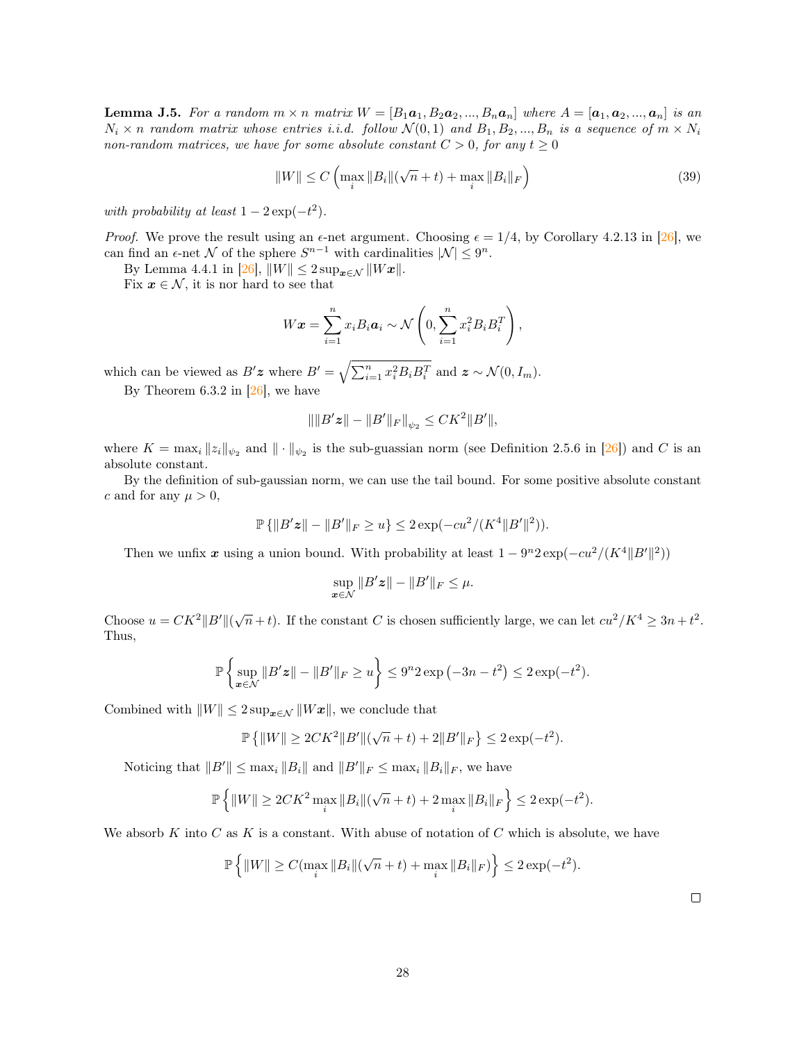<span id="page-27-0"></span>**Lemma J.5.** For a random  $m \times n$  matrix  $W = [B_1a_1, B_2a_2, ..., B_na_n]$  where  $A = [a_1, a_2, ..., a_n]$  is an  $N_i \times n$  random matrix whose entries i.i.d. follow  $\mathcal{N}(0,1)$  and  $B_1, B_2, ..., B_n$  is a sequence of  $m \times N_i$ non-random matrices, we have for some absolute constant  $C > 0$ , for any  $t \geq 0$ 

$$
||W|| \le C \left( \max_{i} ||B_{i}||(\sqrt{n} + t) + \max_{i} ||B_{i}||_{F} \right)
$$
 (39)

with probability at least  $1 - 2 \exp(-t^2)$ .

*Proof.* We prove the result using an  $\epsilon$ -net argument. Choosing  $\epsilon = 1/4$ , by Corollary 4.2.13 in [\[26\]](#page-11-12), we can find an  $\epsilon$ -net N of the sphere  $S^{n-1}$  with cardinalities  $|\mathcal{N}| \leq 9^n$ .

By Lemma 4.4.1 in  $[26]$ ,  $||W|| \leq 2 \sup_{\boldsymbol{x} \in \mathcal{N}} ||W\boldsymbol{x}||$ .

Fix  $x \in \mathcal{N}$ , it is nor hard to see that

$$
W\boldsymbol{x} = \sum_{i=1}^n x_i B_i \boldsymbol{a}_i \sim \mathcal{N}\left(0, \sum_{i=1}^n x_i^2 B_i B_i^T\right),
$$

which can be viewed as  $B'z$  where  $B' = \sqrt{\sum_{i=1}^{n} x_i^2 B_i B_i^T}$  and  $z \sim \mathcal{N}(0, I_m)$ .

By Theorem 6.3.2 in  $[26]$ , we have

$$
\|\|B'\boldsymbol{z}\| - \|B'\|_F\|_{\psi_2} \leq C K^2 \|B'\|,
$$

where  $K = \max_i \|z_i\|_{\psi_2}$  and  $\|\cdot\|_{\psi_2}$  is the sub-guassian norm (see Definition 2.5.6 in [\[26\]](#page-11-12)) and C is an absolute constant.

By the definition of sub-gaussian norm, we can use the tail bound. For some positive absolute constant c and for any  $\mu > 0$ ,

$$
\mathbb{P}\left\{\|B'\mathbf{z}\| - \|B'\|_F \ge u\right\} \le 2\exp(-cu^2/(K^4 \|B'\|^2)).
$$

Then we unfix x using a union bound. With probability at least  $1 - 9<sup>n</sup> 2 \exp(-cu^2/(K^4 ||B'||^2))$ 

$$
\sup_{\mathbf{x}\in\mathcal{N}}\|B'\mathbf{z}\|-\|B'\|_F\leq\mu.
$$

Choose  $u = CK^2 ||B'||(\sqrt{n} + t)$ . If the constant C is chosen sufficiently large, we can let  $cu^2/K^4 \geq 3n + t^2$ . Thus,

$$
\mathbb{P}\left\{\sup_{\bm{x}\in\mathcal{N}}\|B'\bm{z}\| - \|B'\|_F \ge u\right\} \le 9^n 2\exp(-3n - t^2) \le 2\exp(-t^2).
$$

Combined with  $||W|| \leq 2 \sup_{\mathbf{x} \in \mathcal{N}} ||W\mathbf{x}||$ , we conclude that

$$
\mathbb{P}\left\{\|W\|\ge 2CK^2\|B'\|(\sqrt{n}+t)+2\|B'\|_F\right\}\le 2\exp(-t^2).
$$

Noticing that  $||B'|| \leq \max_i ||B_i||$  and  $||B'||_F \leq \max_i ||B_i||_F$ , we have

$$
\mathbb{P}\left\{\|W\| \ge 2CK^2 \max_{i} \|B_i\|(\sqrt{n} + t) + 2 \max_{i} \|B_i\|_F\right\} \le 2\exp(-t^2).
$$

We absorb K into C as K is a constant. With abuse of notation of C which is absolute, we have

$$
\mathbb{P}\left\{\|W\| \ge C(\max_{i} \|B_i\|(\sqrt{n} + t) + \max_{i} \|B_i\|_F)\right\} \le 2\exp(-t^2).
$$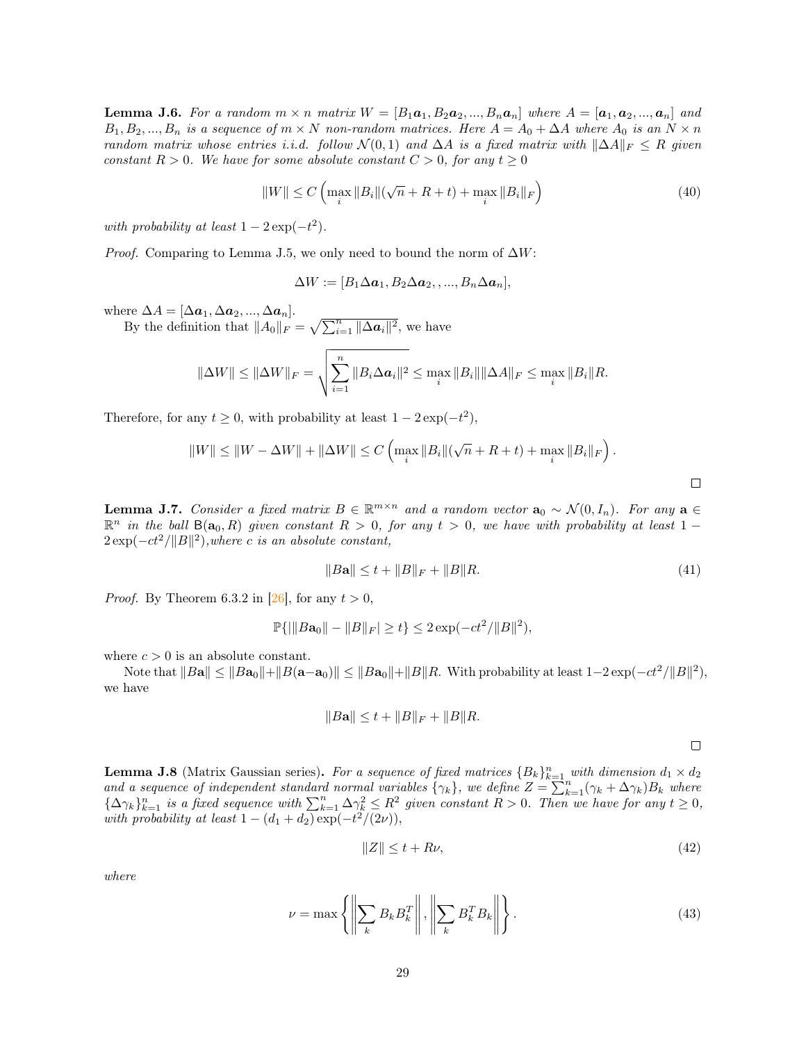<span id="page-28-0"></span>**Lemma J.6.** For a random  $m \times n$  matrix  $W = [B_1a_1, B_2a_2, ..., B_na_n]$  where  $A = [a_1, a_2, ..., a_n]$  and  $B_1, B_2, ..., B_n$  is a sequence of  $m \times N$  non-random matrices. Here  $A = A_0 + \Delta A$  where  $A_0$  is an  $N \times n$ random matrix whose entries i.i.d. follow  $\mathcal{N}(0,1)$  and  $\Delta A$  is a fixed matrix with  $\|\Delta A\|_F \leq R$  given constant  $R > 0$ . We have for some absolute constant  $C > 0$ , for any  $t \geq 0$ 

$$
||W|| \le C \left( \max_{i} ||B_{i}||(\sqrt{n} + R + t) + \max_{i} ||B_{i}||_{F} \right)
$$
\n(40)

with probability at least  $1 - 2 \exp(-t^2)$ .

*Proof.* Comparing to Lemma [J.5,](#page-27-0) we only need to bound the norm of  $\Delta W$ :

$$
\Delta W := [B_1 \Delta a_1, B_2 \Delta a_2, \dots, B_n \Delta a_n],
$$

where  $\Delta A = [\Delta a_1, \Delta a_2, ..., \Delta a_n].$ 

By the definition that  $||A_0||_F = \sqrt{\sum_{i=1}^n ||\Delta a_i||^2}$ , we have

$$
\|\Delta W\| \le \|\Delta W\|_F = \sqrt{\sum_{i=1}^n \|B_i \Delta a_i\|^2} \le \max_i \|B_i\| \|\Delta A\|_F \le \max_i \|B_i\| R.
$$

Therefore, for any  $t \geq 0$ , with probability at least  $1 - 2 \exp(-t^2)$ ,

$$
||W|| \le ||W - \Delta W|| + ||\Delta W|| \le C \left( \max_{i} ||B_i||(\sqrt{n} + R + t) + \max_{i} ||B_i||_F \right).
$$

<span id="page-28-1"></span>**Lemma J.7.** Consider a fixed matrix  $B \in \mathbb{R}^{m \times n}$  and a random vector  $\mathbf{a}_0 \sim \mathcal{N}(0, I_n)$ . For any  $\mathbf{a} \in$  $\mathbb{R}^n$  in the ball  $B(a_0, R)$  given constant  $R > 0$ , for any  $t > 0$ , we have with probability at least 1 –  $2 \exp(-ct^2/||B||^2)$ , where c is an absolute constant,

$$
||B\mathbf{a}|| \le t + ||B||_F + ||B||R. \tag{41}
$$

*Proof.* By Theorem 6.3.2 in [\[26\]](#page-11-12), for any  $t > 0$ ,

$$
\mathbb{P}\{|||B\mathbf{a}_0|| - ||B||_F| \ge t\} \le 2\exp(-ct^2/||B||^2),
$$

where  $c > 0$  is an absolute constant.

Note that  $||B\mathbf{a}|| \le ||B\mathbf{a}_0|| + ||B(\mathbf{a}-\mathbf{a}_0)|| \le ||B\mathbf{a}_0|| + ||B||R$ . With probability at least  $1-2\exp(-ct^2/||B||^2)$ , we have

$$
||Ba|| \le t + ||B||_F + ||B||R.
$$

 $\Box$ 

 $\Box$ 

<span id="page-28-2"></span>**Lemma J.8** (Matrix Gaussian series). For a sequence of fixed matrices  ${B_k}_{k=1}^n$  with dimension  $d_1 \times d_2$ and a sequence of independent standard normal variables  $\{\gamma_k\}$ , we define  $Z = \sum_{k=1}^{n} (\gamma_k + \Delta \gamma_k) B_k$  where  ${\{\Delta \gamma_k\}}_{k=1}^n$  is a fixed sequence with  $\sum_{k=1}^n \Delta \gamma_k^2 \leq R^2$  given constant  $R > 0$ . Then we have for any  $t \geq 0$ , with probability at least  $1 - (d_1 + d_2) \exp(-t^2/(2\nu)),$ 

$$
||Z|| \le t + R\nu,\tag{42}
$$

where

$$
\nu = \max \left\{ \left\| \sum_{k} B_{k} B_{k}^{T} \right\|, \left\| \sum_{k} B_{k}^{T} B_{k} \right\| \right\}.
$$
\n(43)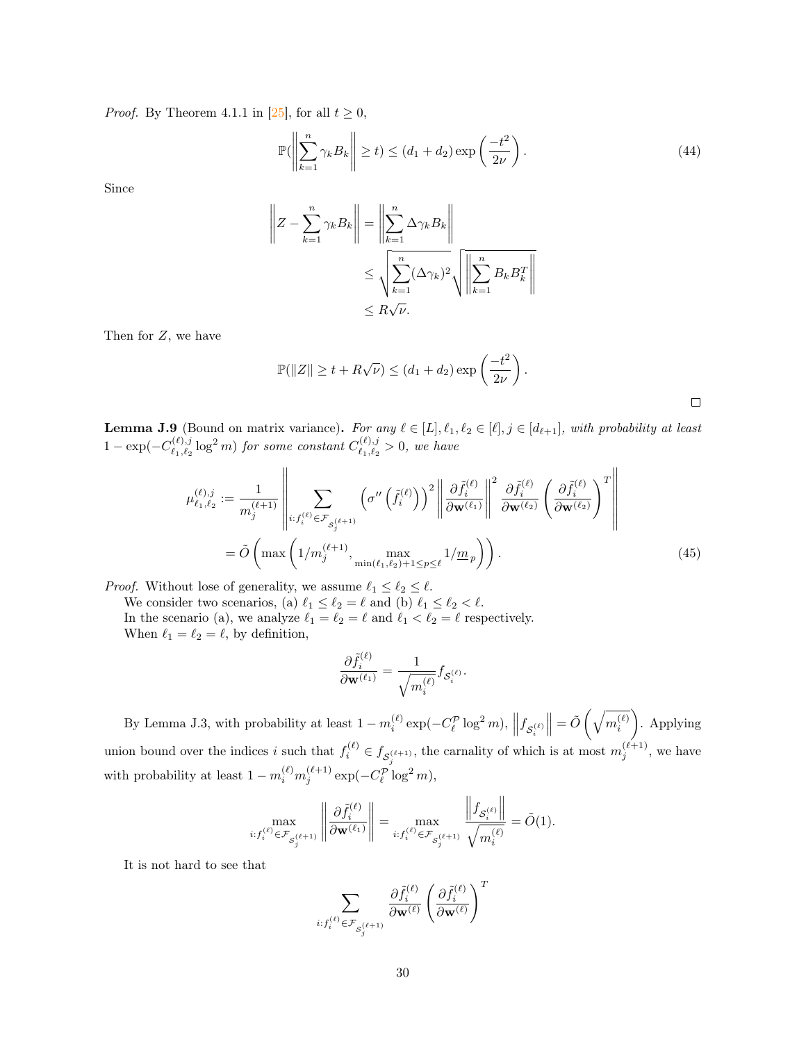*Proof.* By Theorem 4.1.1 in [\[25\]](#page-11-4), for all  $t \geq 0$ ,

$$
\mathbb{P}\left(\left\|\sum_{k=1}^{n} \gamma_k B_k\right\| \ge t\right) \le \left(d_1 + d_2\right) \exp\left(\frac{-t^2}{2\nu}\right). \tag{44}
$$

Since

$$
\left\| Z - \sum_{k=1}^{n} \gamma_k B_k \right\| = \left\| \sum_{k=1}^{n} \Delta \gamma_k B_k \right\|
$$
  

$$
\leq \sqrt{\sum_{k=1}^{n} (\Delta \gamma_k)^2} \sqrt{\left\| \sum_{k=1}^{n} B_k B_k^T \right\|}
$$
  

$$
\leq R \sqrt{\nu}.
$$

Then for Z, we have

$$
\mathbb{P}(\|Z\| \ge t + R\sqrt{\nu}) \le (d_1 + d_2) \exp\left(\frac{-t^2}{2\nu}\right).
$$

<span id="page-29-2"></span><span id="page-29-0"></span> $\Box$ 

<span id="page-29-1"></span>**Lemma J.9** (Bound on matrix variance). For any  $\ell \in [L], \ell_1, \ell_2 \in [\ell], j \in [d_{\ell+1}]$ , with probability at least  $1 - \exp(-C_{\ell_1,\ell_2}^{(\ell),j})$  $\chi^{(\ell),j}_{\ell_1,\ell_2} \log^2 m)$  for some constant  $C^{(\ell),j}_{\ell_1,\ell_2}$  $\binom{k}{l_1, l_2} > 0$ , we have

$$
\mu_{\ell_1,\ell_2}^{(\ell),j} := \frac{1}{m_j^{(\ell+1)}} \left\| \sum_{i:f_i^{(\ell)} \in \mathcal{F}_{S_j^{(\ell+1)}}} \left( \sigma''\left(\tilde{f}_i^{(\ell)}\right) \right)^2 \left\| \frac{\partial \tilde{f}_i^{(\ell)}}{\partial \mathbf{w}^{(\ell_1)}} \right\|^2 \frac{\partial \tilde{f}_i^{(\ell)}}{\partial \mathbf{w}^{(\ell_2)}} \left( \frac{\partial \tilde{f}_i^{(\ell)}}{\partial \mathbf{w}^{(\ell_2)}} \right)^T \right\|
$$
\n
$$
= \tilde{O}\left( \max \left( 1/m_j^{(\ell+1)}, \max_{\min(\ell_1,\ell_2)+1 \le p \le \ell} 1/m_p \right) \right). \tag{45}
$$

*Proof.* Without lose of generality, we assume  $\ell_1 \leq \ell_2 \leq \ell$ .

We consider two scenarios, (a)  $\ell_1 \leq \ell_2 = \ell$  and (b)  $\ell_1 \leq \ell_2 < \ell$ . In the scenario (a), we analyze  $\ell_1 = \ell_2 = \ell$  and  $\ell_1 < \ell_2 = \ell$  respectively. When  $\ell_1 = \ell_2 = \ell$ , by definition,

$$
\frac{\partial \tilde{f}_i^{(\ell)}}{\partial {\mathbf{w}}^{(\ell_1)}} = \frac{1}{\sqrt{m_i^{(\ell)}}} f_{\mathcal{S}_i^{(\ell)}}.
$$

By Lemma [J.3,](#page-26-0) with probability at least  $1 - m_i^{(\ell)} \exp(-C_{\ell}^{\mathcal{P}} \log^2 m)$ ,  $||f_{\mathcal{S}_i^{(\ell)}}$  $\Big\| = \tilde{O}\left(\sqrt{m_i^{(\ell)}}\right)$  . Applying union bound over the indices i such that  $f_i^{(\ell)} \in f_{\mathcal{S}_j^{(\ell+1)}}$ , the carnality of which is at most  $m_j^{(\ell+1)}$ , we have with probability at least  $1 - m_i^{(\ell)} m_j^{(\ell+1)} \exp(-C_\ell^{\mathcal{P}} \log^2 m)$ ,

$$
\max_{i:f_i^{(\ell)} \in \mathcal{F}_{S_i^{(\ell+1)}}} \left\| \frac{\partial \tilde{f}_i^{(\ell)}}{\partial \mathbf{w}^{(\ell_1)}} \right\| = \max_{i:f_i^{(\ell)} \in \mathcal{F}_{S_i^{(\ell+1)}}} \frac{\left\| f_{S_i^{(\ell)}} \right\|}{\sqrt{m_i^{(\ell)}}} = \tilde{O}(1).
$$

It is not hard to see that

$$
\sum_{i: f^{(\ell)}_i \in \mathcal{F}_{\mathcal{S}^{(\ell+1)}_j}} \frac{\partial \tilde{f}^{(\ell)}_i}{\partial \mathbf{w}^{(\ell)}} \left( \frac{\partial \tilde{f}^{(\ell)}_i}{\partial \mathbf{w}^{(\ell)}} \right)^T
$$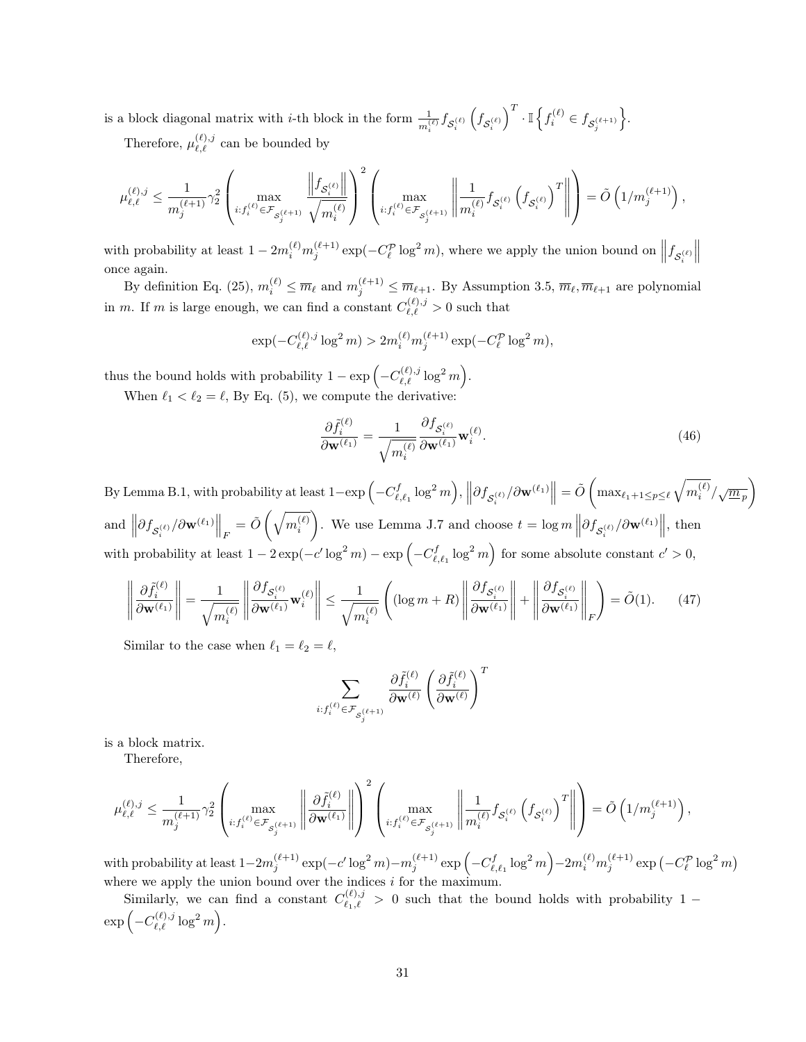is a block diagonal matrix with *i*-th block in the form  $\frac{1}{m_i^{(l)}} f_{S_i^{(l)}}$  $\left(f_{\mathcal{S}_i^{(\ell)}}\right)$  $\int^T \cdot \mathbb{I} \left\{ f^{(\ell)}_i \in f_{\mathcal{S}^{(\ell+1)}_j} \right\}$ o .

Therefore,  $\mu_{\ell,\ell}^{(\ell),j}$  can be bounded by

$$
\mu_{\ell,\ell}^{(\ell),j} \leq \frac{1}{m_j^{(\ell+1)}} \gamma_2^2 \left( \max_{i: f_i^{(\ell)} \in \mathcal{F}_{\mathcal{S}_j^{(\ell+1)}}} \frac{\left\|f_{\mathcal{S}_i^{(\ell)}}\right\|}{\sqrt{m_i^{(\ell)}}} \right)^2 \left( \max_{i: f_i^{(\ell)} \in \mathcal{F}_{\mathcal{S}_j^{(\ell+1)}}} \left\| \frac{1}{m_i^{(\ell)}} f_{\mathcal{S}_i^{(\ell)}} \left(f_{\mathcal{S}_i^{(\ell)}}\right)^T \right\| \right) = \tilde{O}\left(1/m_j^{(\ell+1)}\right),
$$

with probability at least  $1 - 2m_i^{(\ell)} m_j^{(\ell+1)} \exp(-C_\ell^{\mathcal{P}} \log^2 m)$ , where we apply the union bound on  $||f_{\mathcal{S}_i^{(\ell)}}||$  $\begin{array}{c} \hline \end{array}$ once again.

By definition Eq. [\(25\)](#page-14-1),  $m_i^{(\ell)} \leq \overline{m}_{\ell}$  and  $m_j^{(\ell+1)} \leq \overline{m}_{\ell+1}$ . By Assumption [3.5,](#page-5-3)  $\overline{m}_{\ell}, \overline{m}_{\ell+1}$  are polynomial in m. If m is large enough, we can find a constant  $C_{\ell,\ell}^{(\ell),j} > 0$  such that

$$
\exp(-C_{\ell,\ell}^{(\ell),j}\log^2 m) > 2m_i^{(\ell)}m_j^{(\ell+1)}\exp(-C_{\ell}^{\mathcal{P}}\log^2 m),
$$

thus the bound holds with probability  $1 - \exp(-C_{\ell,\ell}^{(\ell),j} \log^2 m)$ . When  $\ell_1 < \ell_2 = \ell$ , By Eq. [\(5\)](#page-4-0), we compute the derivative:

> $\partial \tilde{f}_i^{(\ell)}$  $\frac{\partial f_i^{(\ell)}}{\partial \mathbf{w}^{(\ell_1)}} = \frac{1}{\sqrt{m_i}}$  $\sqrt{m_i^{(\ell)}}$  $\frac{\partial f_{\mathcal{S}_i^{(\ell)}}}{\partial \mathbf{w}^{(\ell_1)}} \mathbf{w}_i^{(\ell)}$ .  $(46)$

By Lemma [B.1,](#page-15-1) with probability at least  $1 - \exp\left(-C_{\ell,\ell_1}^f\log^2 m\right),$   $\left\|\partial f_{\mathcal{S}_i^{(\ell)}} / \partial \mathbf{w}^{(\ell_1)}\right\| = \tilde{O}\left(\max_{\ell_1+1\leq p\leq \ell}\sqrt{m_i^{(\ell)}} / \sqrt{\underline{m}_p}\right)$ and  $\left\|\partial f_{\mathcal{S}_i^{(\ell)}} / \partial \mathbf{w}^{(\ell_1)} \right\|_F = \tilde{O} \left( \sqrt{m_i^{(\ell)}} \right)$ ). We use Lemma [J.7](#page-28-1) and choose  $t = \log m \left\| \frac{\partial f_{\mathcal{S}_i^{(\ell)}}}{\partial \mathbf{w}^{(\ell_1)}} \right\|$ , then with probability at least  $1 - 2 \exp(-c' \log^2 m) - \exp(-C_{\ell, \ell_1}^f \log^2 m)$  for some absolute constant  $c' > 0$ ,

$$
\left\|\frac{\partial \tilde{f}_{i}^{(\ell)}}{\partial \mathbf{w}^{(\ell_{1})}}\right\| = \frac{1}{\sqrt{m_{i}^{(\ell)}}} \left\|\frac{\partial f_{\mathcal{S}_{i}^{(\ell)}}}{\partial \mathbf{w}^{(\ell_{1})}} \mathbf{w}_{i}^{(\ell)}\right\| \leq \frac{1}{\sqrt{m_{i}^{(\ell)}}} \left( (\log m + R) \left\|\frac{\partial f_{\mathcal{S}_{i}^{(\ell)}}}{\partial \mathbf{w}^{(\ell_{1})}}\right\| + \left\|\frac{\partial f_{\mathcal{S}_{i}^{(\ell)}}}{\partial \mathbf{w}^{(\ell_{1})}}\right\|_{F} \right) = \tilde{O}(1). \tag{47}
$$

Similar to the case when  $\ell_1 = \ell_2 = \ell$ ,

<span id="page-30-0"></span>
$$
\sum_{i: f^{(\ell)}_i \in \mathcal{F}_{\mathcal{S}^{(\ell+1)}_j}} \frac{\partial \tilde{f}^{(\ell)}_i}{\partial \mathbf{w}^{(\ell)}} \left( \frac{\partial \tilde{f}^{(\ell)}_i}{\partial \mathbf{w}^{(\ell)}} \right)^T
$$

is a block matrix.

Therefore,

$$
\mu_{\ell,\ell}^{(\ell),j} \leq \frac{1}{m_j^{(\ell+1)}} \gamma_2^2 \left( \max_{i: f_i^{(\ell)} \in \mathcal{F}_{\mathcal{S}_j^{(\ell+1)}}} \left\| \frac{\partial \tilde{f}_i^{(\ell)}}{\partial \mathbf{w}^{(\ell_1)}} \right\| \right)^2 \left( \max_{i: f_i^{(\ell)} \in \mathcal{F}_{\mathcal{S}_j^{(\ell+1)}}} \left\| \frac{1}{m_i^{(\ell)}} f_{\mathcal{S}_i^{(\ell)}} \left( f_{\mathcal{S}_i^{(\ell)}} \right)^T \right\| \right) = \tilde{O}\left( 1/m_j^{(\ell+1)} \right),
$$

 $\text{with probability at least } 1-2m_j^{(\ell+1)}\exp(-c'\log^2 m)-m_j^{(\ell+1)}\exp\left(-C_{\ell,\ell_1}^f\log^2 m\right)-2m_i^{(\ell)}m_j^{(\ell+1)}\exp\left(-C_\ell^\mathcal{P}\log^2 m\right)$ where we apply the union bound over the indices  $i$  for the maximum.

Similarly, we can find a constant  $C_{\ell_1,\ell}^{(\ell),j} > 0$  such that the bound holds with probability 1 −  $\exp\left(-C_{\ell,\ell}^{(\ell),j}\log^2 m\right).$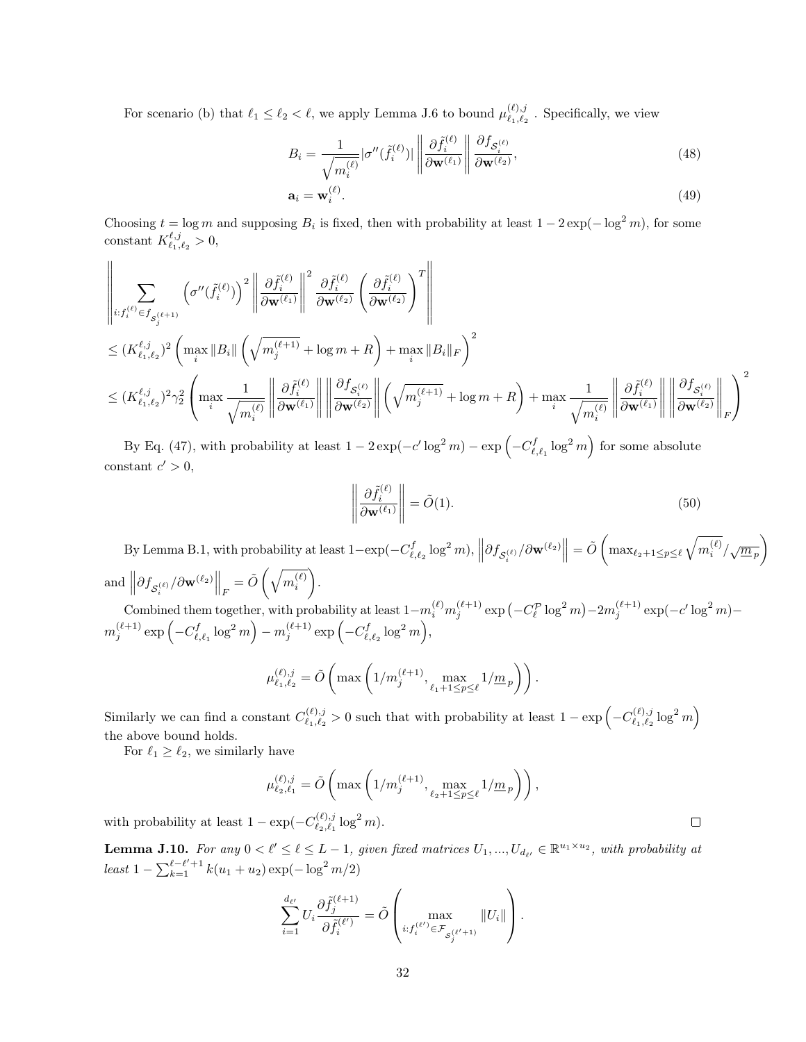For scenario (b) that  $\ell_1 \leq \ell_2 < \ell$ , we apply Lemma [J.6](#page-28-0) to bound  $\mu_{\ell_1,\ell_2}^{(\ell),j}$  $\ell_{1},\ell_{2}$ . Specifically, we view

$$
B_i = \frac{1}{\sqrt{m_i^{(\ell)}}} |\sigma''(\tilde{f}_i^{(\ell)})| \left\| \frac{\partial \tilde{f}_i^{(\ell)}}{\partial \mathbf{w}^{(\ell_1)}} \right\| \frac{\partial f_{\mathcal{S}_i^{(\ell)}}}{\partial \mathbf{w}^{(\ell_2)}},\tag{48}
$$

$$
\mathbf{a}_i = \mathbf{w}_i^{(\ell)}.\tag{49}
$$

Choosing  $t = \log m$  and supposing  $B_i$  is fixed, then with probability at least  $1 - 2\exp(-\log^2 m)$ , for some constant  $K_{\ell_1,\ell_2}^{\ell,j} > 0$ ,

$$
\begin{split} &\left\|\sum_{i:f_i^{(\ell)}\in f_{S_j^{(\ell+1)}}}\left(\sigma^{\prime\prime}(\tilde{f}_i^{(\ell)})\right)^2\left\|\frac{\partial \tilde{f}_i^{(\ell)}}{\partial \mathbf{w}^{(\ell_1)}}\right\|^2\frac{\partial \tilde{f}_i^{(\ell)}}{\partial \mathbf{w}^{(\ell_2)}}\left(\frac{\partial \tilde{f}_i^{(\ell)}}{\partial \mathbf{w}^{(\ell_2)}}\right)^T\right\|\\ &\leq (K_{\ell_1,\ell_2}^{\ell,j})^2\left(\max_i\|B_i\|\left(\sqrt{m_j^{(\ell+1)}}+\log m+R\right)+\max_i\|B_i\|_F\right)^2\\ &\leq (K_{\ell_1,\ell_2}^{\ell,j})^2\gamma_2^2\left(\max_i\frac{1}{\sqrt{m_i^{(\ell)}}}\left\|\frac{\partial \tilde{f}_i^{(\ell)}}{\partial \mathbf{w}^{(\ell_1)}}\right\|\left\|\frac{\partial f_{S_i^{(\ell)}}}{\partial \mathbf{w}^{(\ell_2)}}\right\|\left(\sqrt{m_j^{(\ell+1)}}+\log m+R\right)+\max_i\frac{1}{\sqrt{m_i^{(\ell)}}}\left\|\frac{\partial \tilde{f}_i^{(\ell)}}{\partial \mathbf{w}^{(\ell_1)}}\right\|^2_F\right)^2\\ &\leq (K_{\ell_1,\ell_2}^{\ell,j})^2\gamma_2^2\left(\max_i\frac{1}{\sqrt{m_i^{(\ell)}}}\left\|\frac{\partial \tilde{f}_i^{(\ell)}}{\partial \mathbf{w}^{(\ell_1)}}\right\|\left\|\frac{\partial f_{S_i^{(\ell)}}}{\partial \mathbf{w}^{(\ell_2)}}\right\|^2_F\right)^2\\ &\leq K_{\ell_1,\ell_2}^{\ell,j} \left\|\frac{\partial f_{S_i^{(\ell)}}}{\partial \mathbf{w}^{(\ell_1)}}\right\|^2_F\right)^2\\ \end{split}
$$

By Eq. [\(47\)](#page-30-0), with probability at least  $1 - 2 \exp(-c' \log^2 m) - \exp(-C_{\ell, \ell_1}^f \log^2 m)$  for some absolute constant  $c' > 0$ ,

$$
\left\| \frac{\partial \tilde{f}_i^{(\ell)}}{\partial \mathbf{w}^{(\ell_1)}} \right\| = \tilde{O}(1). \tag{50}
$$

By Lemma [B.1,](#page-15-1) with probability at least  $1 - \exp(-C_{\ell, \ell_2}^f \log^2 m)$ ,  $\left\| \partial f_{\mathcal{S}_i^{(\ell)}} / \partial \mathbf{w}^{(\ell_2)} \right\| = \tilde{O} \left( \max_{\ell_2 + 1 \leq p \leq \ell} \sqrt{m_i^{(\ell)}} / \sqrt{\underline{m}_p} \right)$ and  $\left\| \partial f_{\mathcal{S}_i^{(\ell)}} / \partial \mathbf{w}^{(\ell_2)} \right\|_F = \tilde{O} \left( \sqrt{m_i^{(\ell)}} \right)$  $\parallel$   $F$  .  $\text{Combined them together, with probability at least } 1-m_i^{(\ell)} m_j^{(\ell+1)} \exp\left(-C_\ell^{\mathcal{P}} \log^2 m\right) - 2m_j^{(\ell+1)} \exp(-c' \log^2 m) - \frac{1}{2} \exp\left(-c' \log^2 m\right)$ 

 $m_j^{(\ell+1)} \exp\left(-C^f_{\ell,\ell_1}\log^2 m\right) - m_j^{(\ell+1)} \exp\left(-C^f_{\ell,\ell_2}\log^2 m\right),$ 

$$
\mu_{\ell_1, \ell_2}^{(\ell), j} = \tilde{O}\left( \max\left( 1/m_j^{(\ell+1)}, \max_{\ell_1 + 1 \le p \le \ell} 1/m_p \right) \right).
$$

Similarly we can find a constant  $C_{\ell_1,\ell_2}^{(\ell),j}$  $\sum_{\ell_1,\ell_2}^{(\ell),j}$  > 0 such that with probability at least 1 − exp  $\left(-C^{(\ell),j}_{\ell_1,\ell_2}\right)$  $\genfrac{}{}{0pt}{}{(\ell),j}{\ell_1,\ell_2}\log^2m\Bigl)$ the above bound holds.

For  $\ell_1 \geq \ell_2$ , we similarly have

$$
\mu_{\ell_2,\ell_1}^{(\ell),j} = \tilde{O}\left(\max\left(1/m_j^{(\ell+1)}, \max_{\ell_2+1 \le p \le \ell} 1/\underline{m}_p\right)\right),\,
$$

with probability at least  $1 - \exp(-C_{\ell_2,\ell_1}^{(\ell),j})$  $\lim_{\ell_2,\ell_1}^{(\ell),j} \log^2 m$ ).

<span id="page-31-0"></span>**Lemma J.10.** For any  $0 < l' \le l \le L-1$ , given fixed matrices  $U_1, ..., U_{d_{\ell'}} \in \mathbb{R}^{u_1 \times u_2}$ , with probability at least  $1 - \sum_{k=1}^{\ell-\ell'+1} k(u_1 + u_2) \exp(-\log^2 m/2)$ 

$$
\sum_{i=1}^{d_{\ell'}} U_i \frac{\partial \tilde{f}_j^{(\ell+1)}}{\partial \tilde{f}_i^{(\ell')}} = \tilde{O}\left(\max_{i: f_i^{(\ell')} \in \mathcal{F}_{S_j^{(\ell'+1)}}} ||U_i||\right).
$$

 $\Box$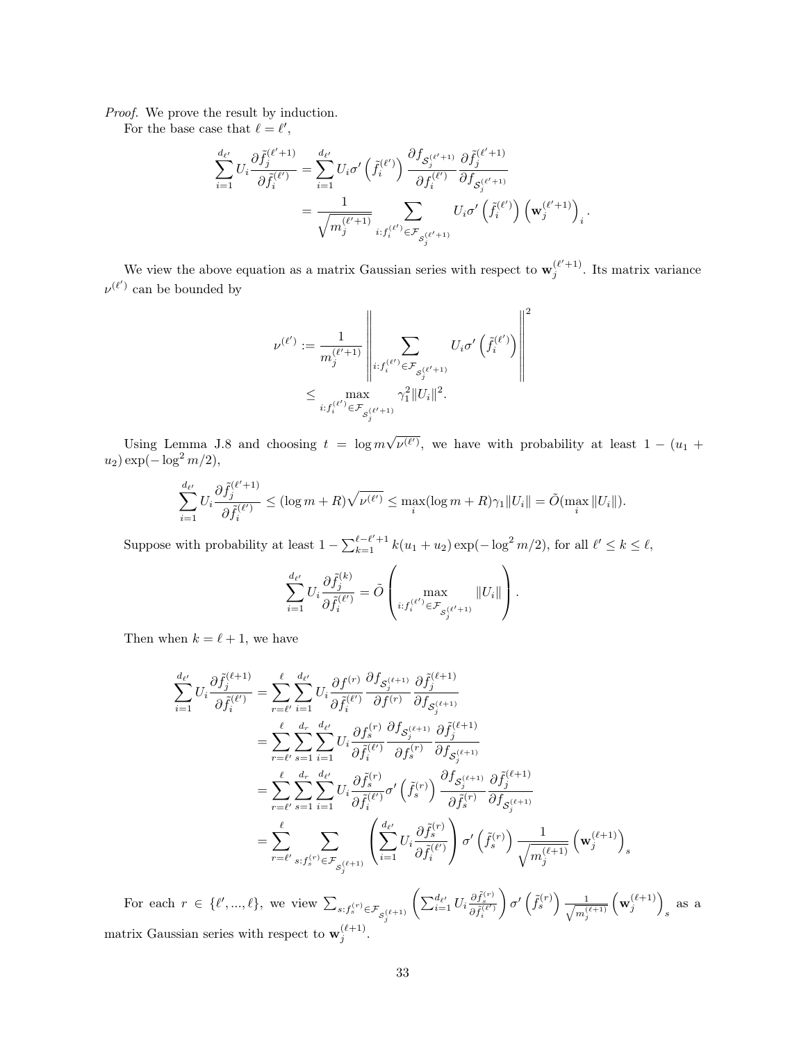Proof. We prove the result by induction.

For the base case that  $\ell = \ell'$ ,

$$
\begin{split} \sum_{i=1}^{d_{\ell'}} U_i \frac{\partial \tilde{f}_j^{(\ell'+1)}}{\partial \tilde{f}_i^{(\ell')}} &= \sum_{i=1}^{d_{\ell'}} U_i \sigma' \left( \tilde{f}_i^{(\ell')} \right) \frac{\partial f_{\mathcal{S}_j^{(\ell'+1)}}}{\partial f_i^{(\ell')}} \frac{\partial \tilde{f}_j^{(\ell'+1)}}{\partial f_{\mathcal{S}_j^{(\ell'+1)}}} \\ &= \frac{1}{\sqrt{m_j^{(\ell'+1)}}} \sum_{i: f_i^{(\ell')} \in \mathcal{F}_{\mathcal{S}_j^{(\ell'+1)}}} U_i \sigma' \left( \tilde{f}_i^{(\ell')} \right) \left( \mathbf{w}_j^{(\ell'+1)} \right)_i. \end{split}
$$

We view the above equation as a matrix Gaussian series with respect to  $\mathbf{w}_j^{(\ell'+1)}$ . Its matrix variance  $\nu^{(\ell')}$  can be bounded by

$$
\nu^{(\ell')} := \frac{1}{m_j^{(\ell'+1)}} \left\| \sum_{i: f_i^{(\ell')} \in \mathcal{F}_{S_j^{(\ell'+1)}}} U_i \sigma' \left( \tilde{f}_i^{(\ell')} \right) \right\|^2
$$
  

$$
\leq \max_{i: f_i^{(\ell')} \in \mathcal{F}_{S_j^{(\ell'+1)}}} \gamma_1^2 \| U_i \|^2.
$$

Using Lemma [J.8](#page-28-2) and choosing  $t = \log m$ √  $\overline{\nu^{(\ell')}}$ , we have with probability at least  $1 - (u_1 +$  $u_2) \exp(-\log^2 m/2),$ 

$$
\sum_{i=1}^{d_{\ell'}} U_i \frac{\partial \tilde{f}_j^{(\ell'+1)}}{\partial \tilde{f}_i^{(\ell')}} \le (\log m + R) \sqrt{\nu^{(\ell')}} \le \max_i (\log m + R) \gamma_1 ||U_i|| = \tilde{O}(\max_i ||U_i||).
$$

Suppose with probability at least  $1 - \sum_{k=1}^{\ell-\ell'+1} k(u_1 + u_2) \exp(-\log^2 m/2)$ , for all  $\ell' \leq k \leq \ell$ ,

$$
\sum_{i=1}^{d_{\ell'}} U_i \frac{\partial \tilde{f}_j^{(k)}}{\partial \tilde{f}_i^{(\ell')}} = \tilde{O}\left(\max_{i: f_i^{(\ell')} \in \mathcal{F}_{\mathcal{S}_j^{(\ell'+1)}}} \|U_i\|\right).
$$

Then when  $k = \ell + 1$ , we have

$$
\sum_{i=1}^{d_{\ell'}} U_i \frac{\partial \tilde{f}_j^{(\ell+1)}}{\partial \tilde{f}_i^{(\ell')}} = \sum_{r=\ell'}^{l} \sum_{i=1}^{d_{\ell'}} U_i \frac{\partial f^{(r)}}{\partial \tilde{f}_i^{(\ell')}} \frac{\partial f_{S_j^{(\ell+1)}}}{\partial f^{(r)}} \frac{\partial f_{S_j^{(\ell+1)}}}{\partial f_{S_j^{(\ell+1)}}} \frac{\partial f_{S_j^{(\ell+1)}}}{\partial f_{S_j^{(\ell+1)}}} \n= \sum_{r=\ell'}^{l} \sum_{s=1}^{d_r} \sum_{i=1}^{d_{\ell'}} U_i \frac{\partial f_s^{(r)}}{\partial \tilde{f}_i^{(\ell')}} \frac{\partial f_{S_j^{(\ell+1)}}}{\partial f_s^{(r)}} \frac{\partial f_{S_j^{(\ell+1)}}}{\partial f_{S_j^{(\ell+1)}}} \frac{\partial f_{S_j^{(\ell+1)}}}{\partial f_{S_j^{(\ell+1)}}} \n= \sum_{r=\ell'}^{l} \sum_{s=1}^{d_r} \sum_{i=1}^{d_{\ell'}} U_i \frac{\partial \tilde{f}_s^{(r)}}{\partial \tilde{f}_i^{(\ell')}} \sigma' \left( \tilde{f}_s^{(r)} \right) \frac{\partial f_{S_j^{(\ell+1)}}}{\partial f_{S_j^{(\ell)}}} \frac{\partial f_{S_j^{(\ell+1)}}}{\partial f_{S_j^{(\ell+1)}}} \n= \sum_{r=\ell'}^{l} \sum_{s:f_s^{(r)} \in \mathcal{F}_{S_j^{(\ell+1)}}} \left( \sum_{i=1}^{d_{\ell'}} U_i \frac{\partial \tilde{f}_s^{(r)}}{\partial \tilde{f}_i^{(\ell')}} \right) \sigma' \left( \tilde{f}_s^{(r)} \right) \frac{1}{\sqrt{m_j^{(\ell+1)}}} \left( \mathbf{w}_j^{(\ell+1)} \right)_s
$$

For each  $r \in \{\ell', ..., \ell\}$ , we view  $\sum_{s: f_s^{(r)} \in \mathcal{F}_{\mathcal{S}_j^{(\ell+1)}}}$  $\left( \sum_{i=1}^{d_{\ell'}} U_i \frac{\partial \tilde{f}_s^{(r)}}{\partial \tilde{f}_i^{(\ell')}} \right.$  $\sigma'(\tilde{f}_s^{(r)}) \frac{1}{\sqrt{m^3}}$  $m_j^{(\ell+1)}$  $\left(\mathbf{w}_j^{(\ell+1)}\right)$ s as a matrix Gaussian series with respect to  $\mathbf{w}_j^{(\ell+1)}$ .